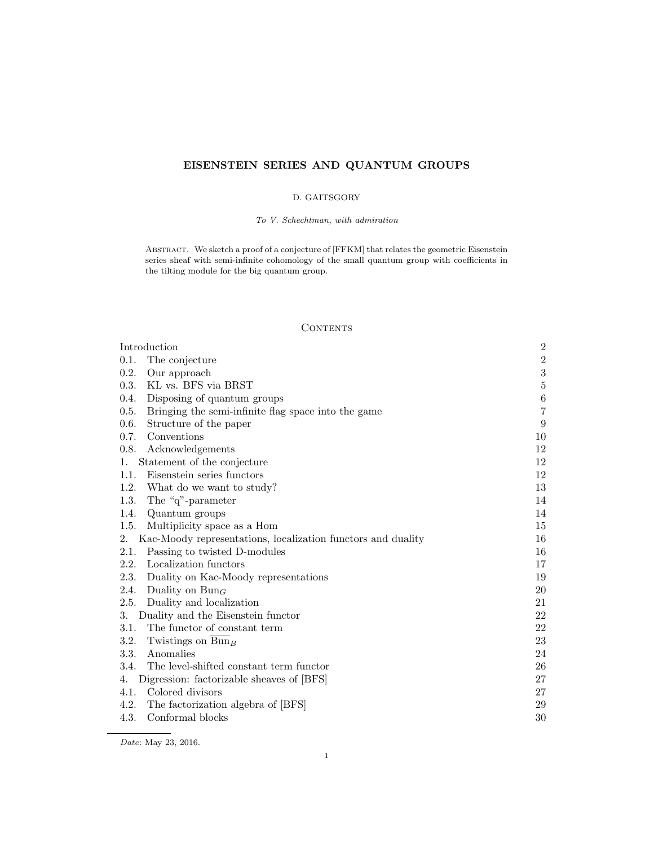# EISENSTEIN SERIES AND QUANTUM GROUPS

### D. GAITSGORY

To V. Schechtman, with admiration

Abstract. We sketch a proof of a conjecture of [FFKM] that relates the geometric Eisenstein series sheaf with semi-infinite cohomology of the small quantum group with coefficients in the tilting module for the big quantum group.

# CONTENTS

| Introduction                                                       | $\boldsymbol{2}$ |
|--------------------------------------------------------------------|------------------|
| 0.1.<br>The conjecture                                             | $\,2$            |
| 0.2.<br>Our approach                                               | $\sqrt{3}$       |
| KL vs. BFS via BRST<br>0.3.                                        | $\bf 5$          |
| 0.4.<br>Disposing of quantum groups                                | $\,6$            |
| Bringing the semi-infinite flag space into the game<br>0.5.        | $\overline{7}$   |
| 0.6.<br>Structure of the paper                                     | 9                |
| 0.7.<br>Conventions                                                | 10               |
| 0.8.<br>Acknowledgements                                           | 12               |
| Statement of the conjecture<br>1.                                  | 12               |
| Eisenstein series functors<br>1.1.                                 | 12               |
| 1.2.<br>What do we want to study?                                  | 13               |
| 1.3.<br>The "q"-parameter                                          | 14               |
| 1.4.<br>Quantum groups                                             | 14               |
| 1.5.<br>Multiplicity space as a Hom                                | 15               |
| Kac-Moody representations, localization functors and duality<br>2. | 16               |
| 2.1.<br>Passing to twisted D-modules                               | 16               |
| 2.2.<br>Localization functors                                      | 17               |
| 2.3.<br>Duality on Kac-Moody representations                       | 19               |
| 2.4.<br>Duality on $Bun_G$                                         | 20               |
| Duality and localization<br>2.5.                                   | 21               |
| Duality and the Eisenstein functor<br>3.                           | 22               |
| The functor of constant term<br>3.1.                               | 22               |
| 3.2.<br>Twistings on $Bun_B$                                       | 23               |
| 3.3.<br>Anomalies                                                  | 24               |
| 3.4.<br>The level-shifted constant term functor                    | 26               |
| Digression: factorizable sheaves of [BFS]<br>4.                    | 27               |
| 4.1.<br>Colored divisors                                           | 27               |
| 4.2.<br>The factorization algebra of [BFS]                         | 29               |
| 4.3.<br>Conformal blocks                                           | 30               |

Date: May 23, 2016.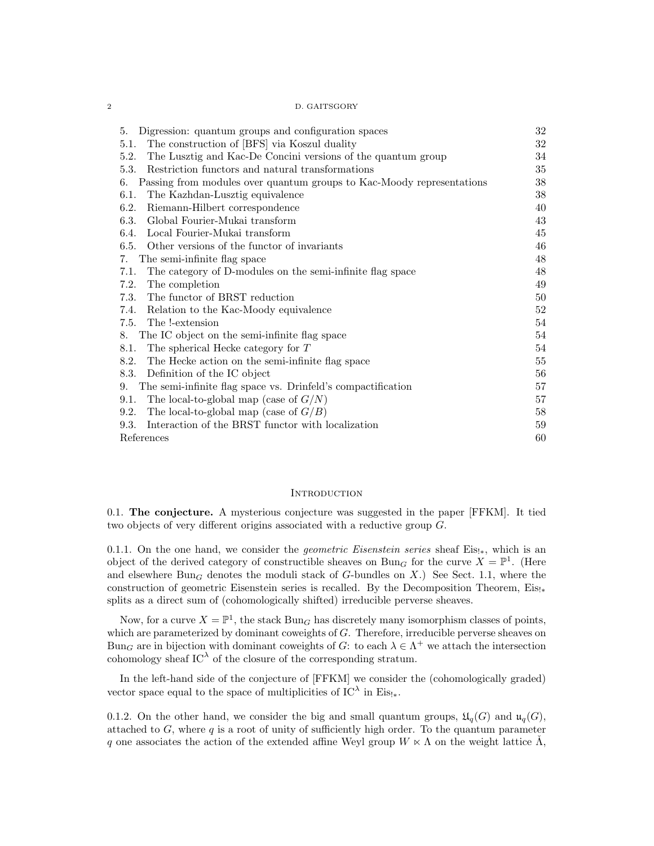#### 2 D. GAITSGORY

| Digression: quantum groups and configuration spaces<br>5.                   | $32\,$ |
|-----------------------------------------------------------------------------|--------|
| The construction of [BFS] via Koszul duality<br>5.1.                        | 32     |
| The Lusztig and Kac-De Concini versions of the quantum group<br>5.2.        | 34     |
| Restriction functors and natural transformations<br>5.3.                    | 35     |
| Passing from modules over quantum groups to Kac-Moody representations<br>6. | 38     |
| The Kazhdan-Lusztig equivalence<br>6.1.                                     | $38\,$ |
| 6.2.<br>Riemann-Hilbert correspondence                                      | 40     |
| 6.3. Global Fourier-Mukai transform                                         | 43     |
| 6.4. Local Fourier-Mukai transform                                          | 45     |
| Other versions of the functor of invariants<br>6.5.                         | 46     |
| The semi-infinite flag space<br>7.                                          | 48     |
| The category of D-modules on the semi-infinite flag space<br>7.1.           | 48     |
| 7.2.<br>The completion                                                      | 49     |
| The functor of BRST reduction<br>7.3.                                       | 50     |
| 7.4.<br>Relation to the Kac-Moody equivalence                               | $52\,$ |
| The !-extension<br>7.5.                                                     | 54     |
| The IC object on the semi-infinite flag space<br>8.                         | 54     |
| The spherical Hecke category for $T$<br>8.1.                                | 54     |
| The Hecke action on the semi-infinite flag space<br>8.2.                    | 55     |
| Definition of the IC object<br>8.3.                                         | 56     |
| The semi-infinite flag space vs. Drinfeld's compactification<br>9.          | 57     |
| The local-to-global map (case of $G/N$ )<br>9.1.                            | 57     |
| The local-to-global map (case of $G/B$ )<br>9.2.                            | 58     |
| Interaction of the BRST functor with localization<br>9.3.                   | 59     |
| References                                                                  | 60     |

### **INTRODUCTION**

0.1. The conjecture. A mysterious conjecture was suggested in the paper [FFKM]. It tied two objects of very different origins associated with a reductive group G.

0.1.1. On the one hand, we consider the *geometric Eisenstein series* sheaf Eis<sub>1\*</sub>, which is an object of the derived category of constructible sheaves on Bun<sub>G</sub> for the curve  $X = \mathbb{P}^1$ . (Here and elsewhere Bun<sub>G</sub> denotes the moduli stack of G-bundles on X.) See Sect. 1.1, where the construction of geometric Eisenstein series is recalled. By the Decomposition Theorem,  $Eis_{1*}$ splits as a direct sum of (cohomologically shifted) irreducible perverse sheaves.

Now, for a curve  $X = \mathbb{P}^1$ , the stack  $Bun_G$  has discretely many isomorphism classes of points, which are parameterized by dominant coweights of  $G$ . Therefore, irreducible perverse sheaves on Bun<sub>G</sub> are in bijection with dominant coweights of G: to each  $\lambda \in \Lambda^+$  we attach the intersection cohomology sheaf  $IC^{\lambda}$  of the closure of the corresponding stratum.

In the left-hand side of the conjecture of [FFKM] we consider the (cohomologically graded) vector space equal to the space of multiplicities of  $IC^{\lambda}$  in Eis<sub>!\*</sub>.

0.1.2. On the other hand, we consider the big and small quantum groups,  $\mathfrak{U}_q(G)$  and  $\mathfrak{u}_q(G)$ , attached to  $G$ , where  $q$  is a root of unity of sufficiently high order. To the quantum parameter q one associates the action of the extended affine Weyl group  $W \ltimes \Lambda$  on the weight lattice  $\Lambda$ ,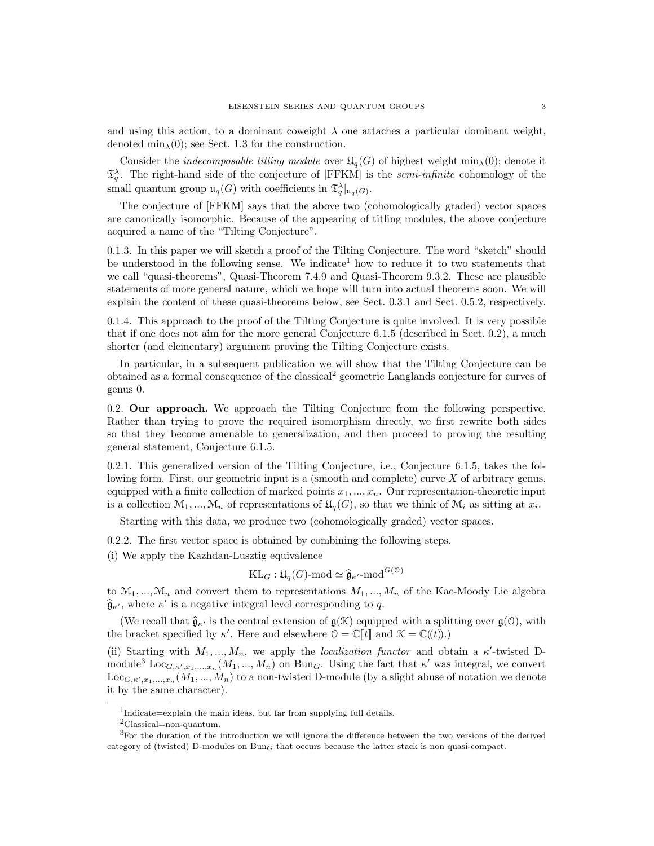and using this action, to a dominant coweight  $\lambda$  one attaches a particular dominant weight, denoted  $\min_{\lambda}(0)$ ; see Sect. 1.3 for the construction.

Consider the *indecomposable titling module* over  $\mathfrak{U}_q(G)$  of highest weight  $\min_{\lambda}(0)$ ; denote it  $\mathfrak{T}_q^{\lambda}$ . The right-hand side of the conjecture of [FFKM] is the *semi-infinite* cohomology of the small quantum group  $\mathfrak{u}_q(G)$  with coefficients in  $\mathfrak{T}_q^{\lambda}|_{\mathfrak{u}_q(G)}$ .

The conjecture of [FFKM] says that the above two (cohomologically graded) vector spaces are canonically isomorphic. Because of the appearing of titling modules, the above conjecture acquired a name of the "Tilting Conjecture".

0.1.3. In this paper we will sketch a proof of the Tilting Conjecture. The word "sketch" should be understood in the following sense. We indicate<sup>1</sup> how to reduce it to two statements that we call "quasi-theorems", Quasi-Theorem 7.4.9 and Quasi-Theorem 9.3.2. These are plausible statements of more general nature, which we hope will turn into actual theorems soon. We will explain the content of these quasi-theorems below, see Sect. 0.3.1 and Sect. 0.5.2, respectively.

0.1.4. This approach to the proof of the Tilting Conjecture is quite involved. It is very possible that if one does not aim for the more general Conjecture 6.1.5 (described in Sect. 0.2), a much shorter (and elementary) argument proving the Tilting Conjecture exists.

In particular, in a subsequent publication we will show that the Tilting Conjecture can be obtained as a formal consequence of the classical<sup>2</sup> geometric Langlands conjecture for curves of genus 0.

0.2. Our approach. We approach the Tilting Conjecture from the following perspective. Rather than trying to prove the required isomorphism directly, we first rewrite both sides so that they become amenable to generalization, and then proceed to proving the resulting general statement, Conjecture 6.1.5.

0.2.1. This generalized version of the Tilting Conjecture, i.e., Conjecture 6.1.5, takes the following form. First, our geometric input is a (smooth and complete) curve X of arbitrary genus, equipped with a finite collection of marked points  $x_1, ..., x_n$ . Our representation-theoretic input is a collection  $M_1, ..., M_n$  of representations of  $\mathfrak{U}_q(G)$ , so that we think of  $\mathcal{M}_i$  as sitting at  $x_i$ .

Starting with this data, we produce two (cohomologically graded) vector spaces.

0.2.2. The first vector space is obtained by combining the following steps.

(i) We apply the Kazhdan-Lusztig equivalence

$$
KL_G: \mathfrak{U}_q(G)\text{-}\mathrm{mod} \simeq \widehat{\mathfrak{g}}_{\kappa'}\text{-}\mathrm{mod}^{G(\mathcal{O})}
$$

to  $\mathcal{M}_1, ..., \mathcal{M}_n$  and convert them to representations  $M_1, ..., M_n$  of the Kac-Moody Lie algebra  $\widehat{\mathfrak{g}}_{\kappa}$ , where  $\kappa'$  is a negative integral level corresponding to q.

(We recall that  $\hat{\mathfrak{g}}_{\kappa}$  is the central extension of  $\mathfrak{g}(\mathfrak{K})$  equipped with a splitting over  $\mathfrak{g}(0)$ , with the bracket specified by  $\kappa'$ . Here and elsewhere  $\mathcal{O} = \mathbb{C}[[t]]$  and  $\mathcal{K} = \mathbb{C}((t))$ .

(ii) Starting with  $M_1, ..., M_n$ , we apply the *localization functor* and obtain a  $\kappa'$ -twisted Dmodule<sup>3</sup> Loc<sub>G,<sup>κ'</sup>,x<sub>1</sub>,...,x<sub>n</sub></sub> ( $M_1$ , ...,  $M_n$ ) on Bun<sub>G</sub>. Using the fact that  $\kappa'$  was integral, we convert  $\text{Loc}_{G,\kappa',x_1,...,x_n}(M_1,...,M_n)$  to a non-twisted D-module (by a slight abuse of notation we denote it by the same character).

<sup>&</sup>lt;sup>1</sup>Indicate=explain the main ideas, but far from supplying full details.

<sup>2</sup>Classical=non-quantum.

 ${}^{3}$ For the duration of the introduction we will ignore the difference between the two versions of the derived category of (twisted) D-modules on  $Bun_G$  that occurs because the latter stack is non quasi-compact.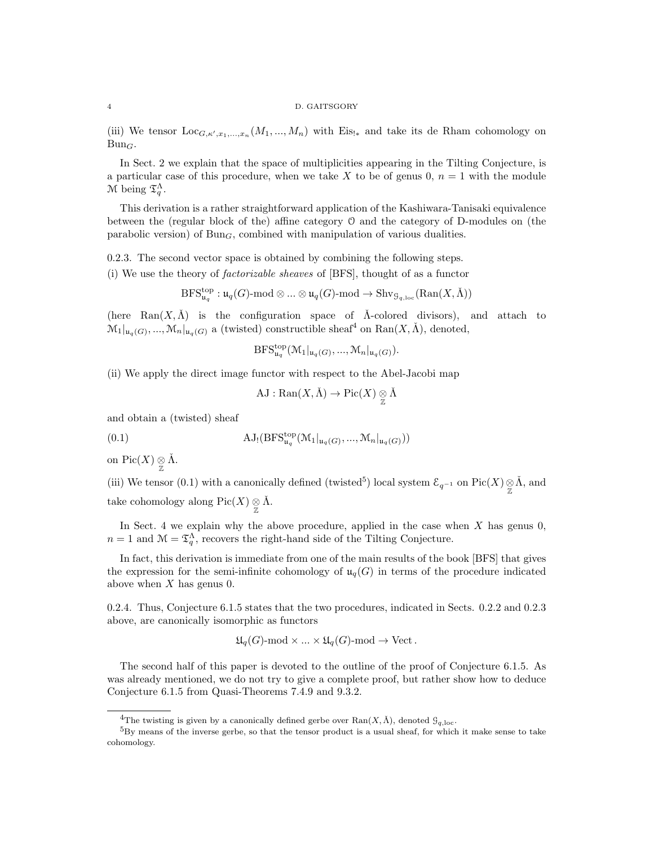### 4 D. GAITSGORY

(iii) We tensor  $Loc_{G,\kappa',x_1,\ldots,x_n}(M_1,\ldots,M_n)$  with  $Eis_{!*}$  and take its de Rham cohomology on  $Bun_{C}$ .

In Sect. 2 we explain that the space of multiplicities appearing in the Tilting Conjecture, is a particular case of this procedure, when we take X to be of genus 0,  $n = 1$  with the module M being  $\mathfrak{T}_q^{\Lambda}$ .

This derivation is a rather straightforward application of the Kashiwara-Tanisaki equivalence between the (regular block of the) affine category O and the category of D-modules on (the parabolic version) of  $Bun_G$ , combined with manipulation of various dualities.

0.2.3. The second vector space is obtained by combining the following steps.

(i) We use the theory of factorizable sheaves of [BFS], thought of as a functor

$$
\mathrm{BFS}_{\mathfrak{u}_q}^{\mathrm{top}}:\mathfrak{u}_q(G)\text{-}\mathrm{mod}\otimes\ldots\otimes \mathfrak{u}_q(G)\text{-}\mathrm{mod}\to \mathrm{Shv}_{\mathfrak{g}_{q,\mathrm{loc}}}(\mathrm{Ran}(X,\check{\Lambda}))
$$

(here  $\text{Ran}(X, \check{\Lambda})$  is the configuration space of  $\check{\Lambda}$ -colored divisors), and attach to  $\mathcal{M}_1|_{\mathfrak{u}_q(G)},...,\mathcal{M}_n|_{\mathfrak{u}_q(G)}$  a (twisted) constructible sheaf<sup>4</sup> on  $\text{Ran}(X,\check{\Lambda})$ , denoted,

$$
\mathrm{BFS}_{\mathfrak{u}_q}^{\mathrm{top}}(\mathfrak{M}_1|_{\mathfrak{u}_q(G)},...,\mathfrak{M}_n|_{\mathfrak{u}_q(G)}).
$$

(ii) We apply the direct image functor with respect to the Abel-Jacobi map

$$
\mathrm{AJ}:\mathrm{Ran}(X,\check{\Lambda})\rightarrow \mathrm{Pic}(X)\underset{\mathbb{Z}}{\otimes}\check{\Lambda}
$$

and obtain a (twisted) sheaf

(0.1) 
$$
\mathrm{AJ}_{!}(\mathrm{BFS}_{\mathfrak{u}_{q}}^{\mathrm{top}}(\mathfrak{M}_{1}|_{\mathfrak{u}_{q}(G)},...,\mathfrak{M}_{n}|_{\mathfrak{u}_{q}(G)}))
$$

on Pic $(X) \underset{\mathbb{Z}}{\otimes} \check{\Lambda}$ .

(iii) We tensor (0.1) with a canonically defined (twisted<sup>5</sup>) local system  $\mathcal{E}_{q^{-1}}$  on Pic $(X) \underset{\mathbb{Z}}{\otimes} \check{\Lambda}$ , and take cohomology along Pic $(X) \underset{\mathbb{Z}}{\otimes} \check{\Lambda}$ .

In Sect. 4 we explain why the above procedure, applied in the case when  $X$  has genus  $0$ ,  $n=1$  and  $\mathcal{M}=\mathfrak{T}_q^{\Lambda}$ , recovers the right-hand side of the Tilting Conjecture.

In fact, this derivation is immediate from one of the main results of the book [BFS] that gives the expression for the semi-infinite cohomology of  $\mathfrak{u}_n(G)$  in terms of the procedure indicated above when  $X$  has genus 0.

0.2.4. Thus, Conjecture 6.1.5 states that the two procedures, indicated in Sects. 0.2.2 and 0.2.3 above, are canonically isomorphic as functors

$$
\mathfrak{U}_q(G)
$$
-mod  $\times \dots \times \mathfrak{U}_q(G)$ -mod  $\rightarrow$  Vect.

The second half of this paper is devoted to the outline of the proof of Conjecture 6.1.5. As was already mentioned, we do not try to give a complete proof, but rather show how to deduce Conjecture 6.1.5 from Quasi-Theorems 7.4.9 and 9.3.2.

<sup>&</sup>lt;sup>4</sup>The twisting is given by a canonically defined gerbe over  $\text{Ran}(X, \check{\Lambda})$ , denoted  $\mathcal{G}_{q, \text{loc}}$ .

<sup>5</sup>By means of the inverse gerbe, so that the tensor product is a usual sheaf, for which it make sense to take cohomology.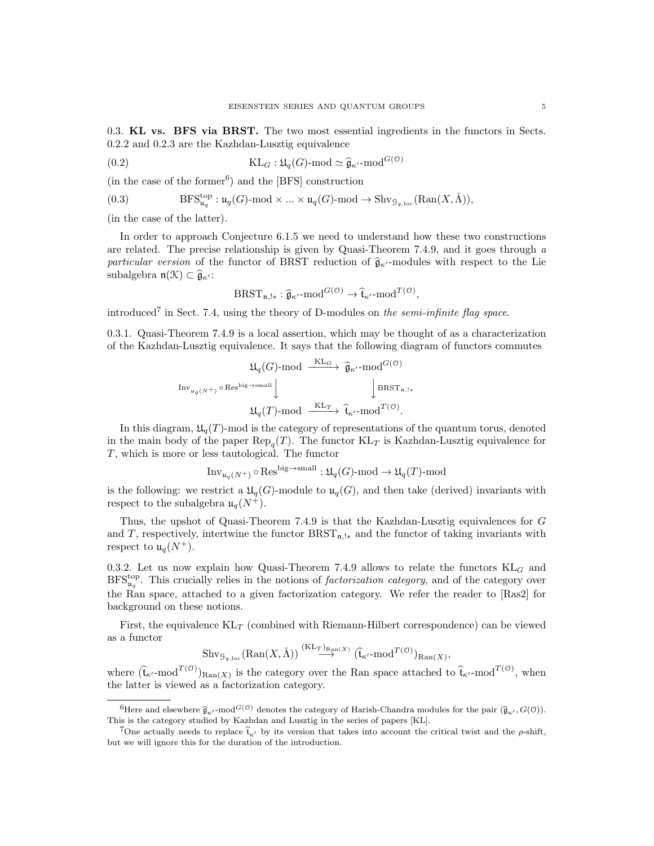0.3. KL vs. BFS via BRST. The two most essential ingredients in the functors in Sects. 0.2.2 and 0.2.3 are the Kazhdan-Lusztig equivalence

(0.2) 
$$
KL_G: \mathfrak{U}_q(G) \text{-mod } \simeq \widehat{\mathfrak{g}}_{\kappa'} \text{-mod }^{G(\mathcal{O})}
$$

 $(in the case of the former<sup>6</sup>)$  and the [BFS] construction

(0.3) 
$$
\mathrm{BFS}_{\mathfrak{u}_q}^{\mathrm{top}}: \mathfrak{u}_q(G)\text{-}\mathrm{mod} \times \ldots \times \mathfrak{u}_q(G)\text{-}\mathrm{mod} \to \mathrm{Shv}_{\mathfrak{S}_{q,\mathrm{loc}}}(\mathrm{Ran}(X,\check{\Lambda})),
$$

(in the case of the latter).

In order to approach Conjecture 6.1.5 we need to understand how these two constructions are related. The precise relationship is given by Quasi-Theorem 7.4.9, and it goes through a particular version of the functor of BRST reduction of  $\hat{\mathfrak{g}}_{\kappa}$ -modules with respect to the Lie subalgebra  $\mathfrak{n}(\mathfrak{K}) \subset \widehat{\mathfrak{g}}_{\kappa'}$ :

$$
\text{BRST}_{n,1*}: \widehat{\mathfrak{g}}_{\kappa'}\text{-mod}^{G(\mathcal{O})} \to \widehat{\mathfrak{t}}_{\kappa'}\text{-mod}^{T(\mathcal{O})},
$$

introduced<sup>7</sup> in Sect. 7.4, using the theory of D-modules on the semi-infinite flag space.

0.3.1. Quasi-Theorem 7.4.9 is a local assertion, which may be thought of as a characterization of the Kazhdan-Lusztig equivalence. It says that the following diagram of functors commutes

$$
\begin{array}{ccc}\n\mathfrak{U}_q(G)\text{-mod} & \xrightarrow{\operatorname{KL}_G} \widehat{\mathfrak{g}}_{\kappa'}\text{-mod}^{G(\mathfrak{O})} \\
\operatorname{Inv}_{\mathfrak{u}_q(N^+) \circ \operatorname{Res}^{\operatorname{big} \rightarrow \operatorname{small}}}\n\Big\downarrow & & \downarrow^{\operatorname{BRST}_{\mathfrak{n}, !*}} \\
\mathfrak{U}_q(T)\text{-mod} & \xrightarrow{\operatorname{KL}_T} \widehat{\mathfrak{t}}_{\kappa'}\text{-mod}^{T(\mathfrak{O})}.\n\end{array}
$$

In this diagram,  $\mathfrak{U}_q(T)$ -mod is the category of representations of the quantum torus, denoted in the main body of the paper  $\text{Rep}_q(T)$ . The functor  $\text{KL}_T$  is Kazhdan-Lusztig equivalence for T, which is more or less tautological. The functor

$$
\text{Inv}_{\mathfrak{u}_q(N^+)} \circ \text{Res}^{\text{big}\rightarrow \text{small}} : \mathfrak{U}_q(G)\text{-mod} \rightarrow \mathfrak{U}_q(T)\text{-mod}
$$

is the following: we restrict a  $\mathfrak{U}_q(G)$ -module to  $\mathfrak{u}_q(G)$ , and then take (derived) invariants with respect to the subalgebra  $\mathfrak{u}_q(N^+).$ 

Thus, the upshot of Quasi-Theorem 7.4.9 is that the Kazhdan-Lusztig equivalences for G and T, respectively, intertwine the functor  $BRST_{n,!*}$  and the functor of taking invariants with respect to  $\mathfrak{u}_q(N^+).$ 

0.3.2. Let us now explain how Quasi-Theorem 7.4.9 allows to relate the functors  $KL_G$  and  $BFS_{u_q}^{top}$ . This crucially relies in the notions of *factorization category*, and of the category over the Ran space, attached to a given factorization category. We refer the reader to [Ras2] for background on these notions.

First, the equivalence  $KL_T$  (combined with Riemann-Hilbert correspondence) can be viewed as a functor

$$
\text{Shv}_{\mathcal{G}_{q,\text{loc}}}(\text{Ran}(X,\check{\Lambda})) \stackrel{(\text{KL}_T)_{\text{Ran}(X)}}{\longrightarrow} (\hat{\mathfrak{t}}_{\kappa'}\text{-mod}^{T(\mathcal{O})})_{\text{Ran}(X)},
$$

where  $(\hat{\mathfrak{t}}_{\kappa'}\text{-mod}^{T(\mathcal{O})})_{\text{Ran}(X)}$  is the category over the Ran space attached to  $\hat{\mathfrak{t}}_{\kappa'}\text{-mod}^{T(\mathcal{O})}$ , when the latter is viewed as a factorization category.

<sup>&</sup>lt;sup>6</sup>Here and elsewhere  $\hat{\mathfrak{g}}_{\kappa'}$ -mod<sup>G(O)</sup> denotes the category of Harish-Chandra modules for the pair  $(\hat{\mathfrak{g}}_{\kappa'}, G(0))$ . This is the category studied by Kazhdan and Lusztig in the series of papers [KL].

<sup>&</sup>lt;sup>7</sup>One actually needs to replace  $\hat{\mathbf{t}}_{\kappa'}$  by its version that takes into account the critical twist and the  $\rho$ -shift, but we will ignore this for the duration of the introduction.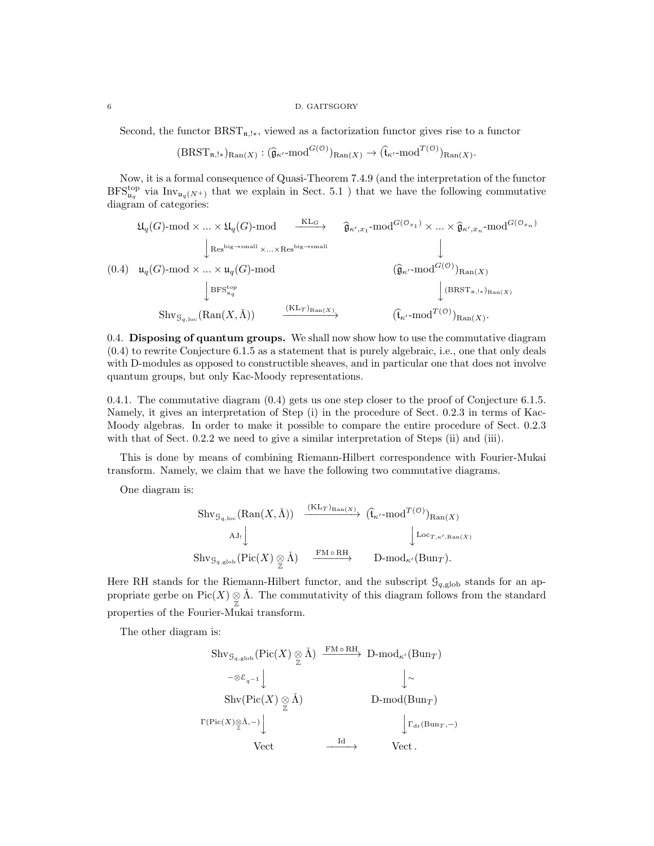#### 6 D. GAITSGORY

Second, the functor  $B\text{RST}_{n,1*}$ , viewed as a factorization functor gives rise to a functor

$$
(BRST_{n, !*})_{\text{Ran}(X)} : (\widehat{\mathfrak{g}}_{\kappa'}\text{-mod}^{G(\mathcal{O})})_{\text{Ran}(X)} \to (\widehat{\mathfrak{t}}_{\kappa'}\text{-mod}^{T(\mathcal{O})})_{\text{Ran}(X)}.
$$

Now, it is a formal consequence of Quasi-Theorem 7.4.9 (and the interpretation of the functor  $BFS_{u_q}^{top}$  via  $Inv_{u_q(N+)}$  that we explain in Sect. 5.1 ) that we have the following commutative diagram of categories:

$$
\mathfrak{U}_{q}(G)\text{-mod}\times...\times\mathfrak{U}_{q}(G)\text{-mod}\xrightarrow{\text{KL}_{G}}\widehat{\mathfrak{g}}_{\kappa',x_{1}}\text{-mod}^{G(\mathbb{O}_{x_{1}})}\times...\times\widehat{\mathfrak{g}}_{\kappa',x_{n}}\text{-mod}^{G(\mathbb{O}_{x_{n}})}
$$
\n
$$
\downarrow^{\text{Res}^{\text{big}\rightarrow\text{small}}}\times...\times\text{Res}^{\text{big}\rightarrow\text{small}}\qquad\downarrow^{\text{int}}\xrightarrow{\text{dist}^{\text{int}}\times...\times\text{Res}^{\text{int}}\times...\times\text{Res}^{\text{int}}}
$$
\n
$$
(0.4)\quad \mathfrak{u}_{q}(G)\text{-mod}\times...\times\mathfrak{u}_{q}(G)\text{-mod}\xrightarrow{\text{dist}^{\text{int}}\times...\times\text{Res}^{\text{int}}}\times\mathfrak{g}_{\kappa'}\text{-mod}^{G(\mathbb{O})})_{\text{Ran}(X)}
$$
\n
$$
\downarrow^{\text{BFS}^{\text{top}}_{u_{q}}}\qquad\qquad^{\text{int}}\xrightarrow{\text{dist}_{\kappa,\kappa}^{\text{int}}}\text{dist}_{\kappa,\kappa}^{\text{int}}\times...\times\text{dist}_{\kappa_{q}}^{\text{int}}.
$$

0.4. Disposing of quantum groups. We shall now show how to use the commutative diagram (0.4) to rewrite Conjecture 6.1.5 as a statement that is purely algebraic, i.e., one that only deals with D-modules as opposed to constructible sheaves, and in particular one that does not involve quantum groups, but only Kac-Moody representations.

0.4.1. The commutative diagram  $(0.4)$  gets us one step closer to the proof of Conjecture 6.1.5. Namely, it gives an interpretation of Step (i) in the procedure of Sect. 0.2.3 in terms of Kac-Moody algebras. In order to make it possible to compare the entire procedure of Sect. 0.2.3 with that of Sect. 0.2.2 we need to give a similar interpretation of Steps (ii) and (iii).

This is done by means of combining Riemann-Hilbert correspondence with Fourier-Mukai transform. Namely, we claim that we have the following two commutative diagrams.

One diagram is:

$$
\begin{array}{ccc}\n\operatorname{Shv}_{\mathcal{G}_{q,\text{loc}}}( \operatorname{Ran}(X, \check{\Lambda})) & \xrightarrow{(\operatorname{KL}_T)_{\operatorname{Ran}(X)}} & (\widehat{\mathfrak{t}}_{\kappa'}\text{-mod}^{T(\mathcal{O})})_{\operatorname{Ran}(X)} \\
\operatorname{AJ}_! \Big\downarrow & \Big\downarrow \operatorname{Loc}_{T, \kappa', \operatorname{Ran}(X)} \\
\operatorname{Shv}_{\mathcal{G}_{q,\text{glob}}}( \operatorname{Pic}(X) \underset{\mathbb{Z}}{\otimes} \check{\Lambda}) & \xrightarrow{\operatorname{FM} \circ \operatorname{RH}} & \operatorname{D-mod}_{\kappa'}(\operatorname{Bun}_T).\n\end{array}
$$

Here RH stands for the Riemann-Hilbert functor, and the subscript  $\mathcal{G}_{q,\text{glob}}$  stands for an appropriate gerbe on Pic $(X) \underset{\mathbb{Z}}{\otimes} \check{\Lambda}$ . The commutativity of this diagram follows from the standard properties of the Fourier-Mukai transform.

The other diagram is:

$$
\begin{array}{ccc}\n\text{Shv}_{\mathcal{G}_{q,\text{glob}}}(Pic(X)\underset{\mathbb{Z}}{\otimes}\check{\Lambda}) & \xrightarrow{\text{FM}\circ\text{RH}}& \text{D-mod}_{\kappa'}(\text{Bun}_T) \\
-\otimes \varepsilon_{q^{-1}}\downarrow & & \downarrow \sim \\
\text{Shv}(Pic(X)\underset{\mathbb{Z}}{\otimes}\check{\Lambda}) & & \text{D-mod}(\text{Bun}_T) \\
\Gamma(\text{Pic}(X)\underset{\mathbb{Z}}{\otimes}\check{\Lambda},\text{-})\downarrow & & \downarrow \Gamma_{\text{dr}}(\text{Bun}_T,\text{-}) \\
\text{Vect} & \xrightarrow{\text{Id}} & & \text{Vect}.\n\end{array}
$$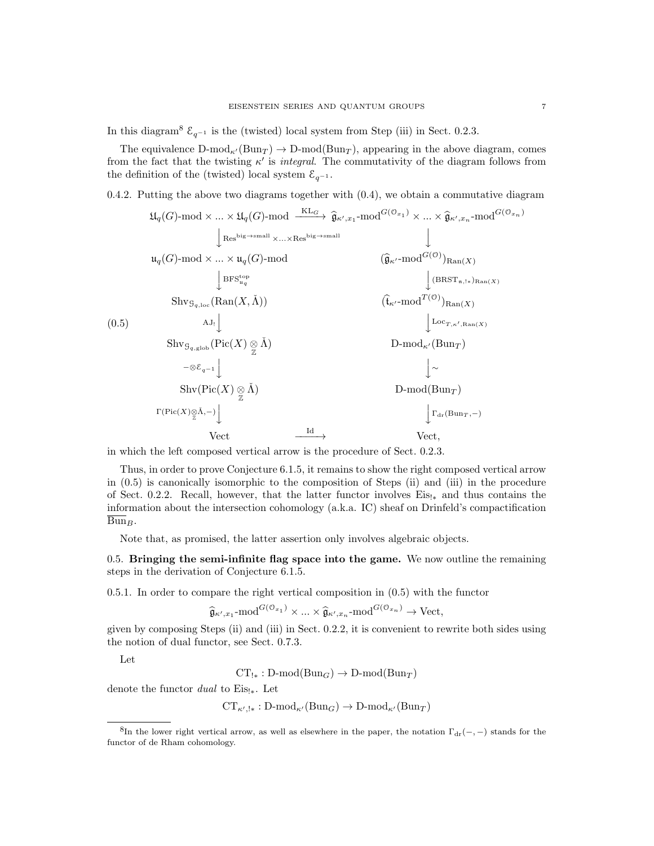In this diagram<sup>8</sup>  $\mathcal{E}_{q^{-1}}$  is the (twisted) local system from Step (iii) in Sect. 0.2.3.

The equivalence  $\text{D-mod}_{\kappa'}(\text{Bun}_T) \to \text{D-mod}(\text{Bun}_T)$ , appearing in the above diagram, comes from the fact that the twisting  $\kappa'$  is *integral*. The commutativity of the diagram follows from the definition of the (twisted) local system  $\mathcal{E}_{q^{-1}}$ .

0.4.2. Putting the above two diagrams together with (0.4), we obtain a commutative diagram

$$
\mathfrak{U}_{q}(G)\text{-mod}\times...\times\mathfrak{U}_{q}(G)\text{-mod}\xrightarrow{\operatorname{KL}_{G}}\widehat{\mathfrak{g}}_{\kappa',x_{1}}\text{-mod}^{G(\mathbb{O}_{x_{1}})}\times...\times\widehat{\mathfrak{g}}_{\kappa',x_{n}}\text{-mod}^{G(\mathbb{O}_{x_{n}})}
$$
\n
$$
\downarrow_{\operatorname{Res}^{\operatorname{big}\to\operatorname{small}}\times...\times\operatorname{Res}^{\operatorname{big}\to\operatorname{small}}\xrightarrow{\oplus}_{\kappa',x_{1}}\text{-mod}^{G(\mathbb{O}_{x_{1}})}\times...\times\widehat{\mathfrak{g}}_{\kappa',x_{n}}\text{-mod}^{G(\mathbb{O}_{x_{n}})}
$$
\n
$$
\downarrow_{q}(G)\text{-mod}\times...\times\mathfrak{u}_{q}(G)\text{-mod}\xrightarrow{\left(\widehat{\mathfrak{g}}_{\kappa'}\text{-mod}^{G(\mathbb{O})}\right)_{\operatorname{Ran}(X)}}\xrightarrow{\left(\widehat{\mathfrak{g}}_{\kappa'}\text{-mod}^{G(\mathbb{O})}\right)_{\operatorname{Ran}(X)}}\xrightarrow{\left(\operatorname{BRST}_{\mathfrak{n},\mathfrak{l}^{*}}\right)_{\operatorname{Ran}(X)}}\xrightarrow{\operatorname{Shv}_{\mathcal{G}_{q,\operatorname{glob}}}\left(\operatorname{Ran}(X,\check{\Lambda})\right)}\xrightarrow{\operatorname{Al}_{\mathfrak{1}}\downarrow}\xrightarrow{\left(\operatorname{Loc}_{T,\kappa',\operatorname{Ran}(X)}\right)}\xrightarrow{\left(\operatorname{Loc}_{T,\kappa',\operatorname{Ran}(X)}\right)}\xrightarrow{\left(\operatorname{Loc}_{T,\kappa',\operatorname{Ran}(X)}\right)}\xrightarrow{\left(\operatorname{Loc}_{T,\kappa',\operatorname{Ran}(X)}\right)}\xrightarrow{\left(\operatorname{Loc}_{T,\kappa',\operatorname{Ran}(X)}\right)}\xrightarrow{\left(\operatorname{Loc}_{T,\kappa',\operatorname{Ran}(X)}\right)}\xrightarrow{\left(\operatorname{Loc}_{T,\kappa',\operatorname{Ran}(X)}\right)}\xrightarrow{\left(\operatorname{Loc}_{T,\kappa',\operatorname{Ran}(X)}\right)}\xrightarrow{\left(\operatorname{Loc}_{T,\kappa',\operatorname{Ran}(X)}\right)}\xrightarrow{\left(\operatorname{Loc}_{T,\kappa',\
$$

in which the left composed vertical arrow is the procedure of Sect. 0.2.3.

Thus, in order to prove Conjecture 6.1.5, it remains to show the right composed vertical arrow in (0.5) is canonically isomorphic to the composition of Steps (ii) and (iii) in the procedure of Sect. 0.2.2. Recall, however, that the latter functor involves Eis<sub>!∗</sub> and thus contains the information about the intersection cohomology (a.k.a. IC) sheaf on Drinfeld's compactification  $Bun_B.$ 

Note that, as promised, the latter assertion only involves algebraic objects.

0.5. Bringing the semi-infinite flag space into the game. We now outline the remaining steps in the derivation of Conjecture 6.1.5.

0.5.1. In order to compare the right vertical composition in (0.5) with the functor

$$
\widehat{\mathfrak{g}}_{\kappa',x_1}\text{-mod}^{G(\mathcal{O}_{x_1})}\times\ldots\times\widehat{\mathfrak{g}}_{\kappa',x_n}\text{-mod}^{G(\mathcal{O}_{x_n})}\to\text{Vect},
$$

given by composing Steps (ii) and (iii) in Sect. 0.2.2, it is convenient to rewrite both sides using the notion of dual functor, see Sect. 0.7.3.

Let

 $CT_{!*}: D\text{-mod}(Bun_G) \to D\text{-mod}(Bun_T)$ 

denote the functor *dual* to Eis<sub>1\*</sub>. Let

 $CT_{\kappa',!*}: \mathrm{D\text{-}mod}_{\kappa'}(\mathrm{Bun}_G) \to \mathrm{D\text{-}mod}_{\kappa'}(\mathrm{Bun}_T)$ 

<sup>&</sup>lt;sup>8</sup>In the lower right vertical arrow, as well as elsewhere in the paper, the notation  $\Gamma_{dr}(-,-)$  stands for the functor of de Rham cohomology.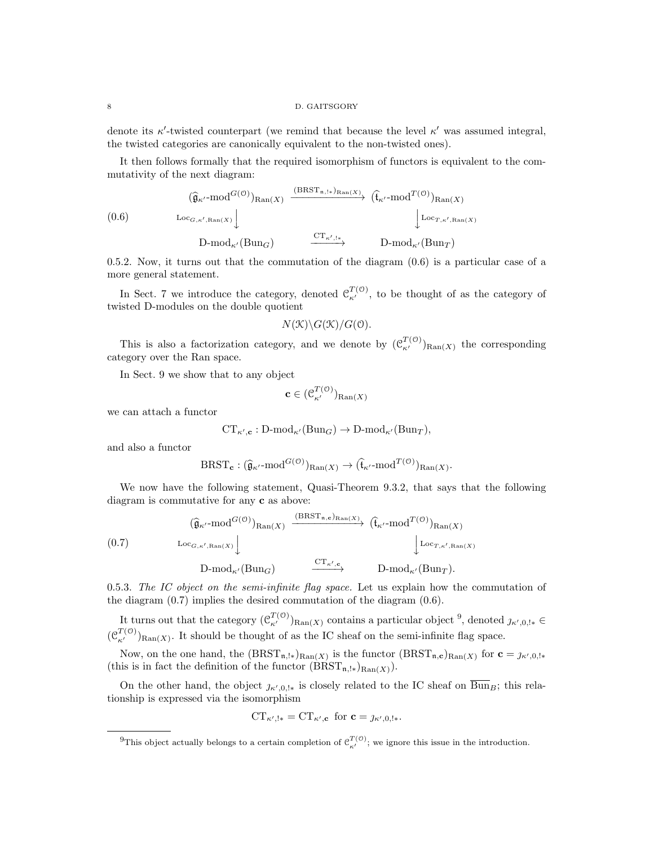#### 8 D. GAITSGORY

denote its  $\kappa'$ -twisted counterpart (we remind that because the level  $\kappa'$  was assumed integral, the twisted categories are canonically equivalent to the non-twisted ones).

It then follows formally that the required isomorphism of functors is equivalent to the commutativity of the next diagram:

(0.6)  
\n
$$
\begin{array}{ccc}\n(\widehat{\mathfrak{g}}_{\kappa'}\text{-mod}^{G(\mathcal{O})})_{\text{Ran}(X)} & \xrightarrow{\text{(BRST}_{\mathfrak{n},!*})_{\text{Ran}(X)}} (\widehat{\mathfrak{t}}_{\kappa'}\text{-mod}^{T(\mathcal{O})})_{\text{Ran}(X)} \\
& \downarrow \text{Loc}_{G,\kappa',\text{Ran}(X)} \downarrow & \downarrow \text{Loc}_{T,\kappa',\text{Ran}(X)} \\
& D\text{-mod}_{\kappa'}(\text{Bun}_G) & \xrightarrow{\text{CT}_{\kappa',!*}} D\text{-mod}_{\kappa'}(\text{Bun}_T)\n\end{array}
$$

0.5.2. Now, it turns out that the commutation of the diagram  $(0.6)$  is a particular case of a more general statement.

In Sect. 7 we introduce the category, denoted  $\mathcal{C}_{\kappa'}^{T(0)}$ , to be thought of as the category of twisted D-modules on the double quotient

$$
N(\mathcal{K})\backslash G(\mathcal{K})/G(\mathcal{O}).
$$

This is also a factorization category, and we denote by  $(\mathcal{C}_{\kappa'}^{T(0)})_{\text{Ran}(X)}$  the corresponding category over the Ran space.

In Sect. 9 we show that to any object

$$
\mathbf{c} \in (\mathcal{C}_{\kappa'}^{T(\mathcal{O})})_{\text{Ran}(X)}
$$

we can attach a functor

$$
CT_{\kappa', \mathbf{c}} : D\text{-mod}_{\kappa'}(Bun_G) \to D\text{-mod}_{\kappa'}(Bun_T),
$$

and also a functor

$$
BRST_{\mathbf{c}} : (\widehat{\mathfrak{g}}_{\kappa'}\text{-mod}^{G(\mathcal{O})})_{\text{Ran}(X)} \to (\widehat{\mathfrak{t}}_{\kappa'}\text{-mod}^{T(\mathcal{O})})_{\text{Ran}(X)}.
$$

We now have the following statement, Quasi-Theorem 9.3.2, that says that the following diagram is commutative for any c as above:

(0.7) 
$$
(\hat{\mathbf{g}}_{\kappa'}\text{-mod}^{G(\mathcal{O})})_{\text{Ran}(X)} \xrightarrow{\text{(BRST}_{\mathfrak{n},\mathbf{c}})_{\text{Ran}(X)}} (\hat{\mathbf{t}}_{\kappa'}\text{-mod}^{T(\mathcal{O})})_{\text{Ran}(X)}
$$
  
\n $\downarrow \text{Loc}_{G,\kappa',\text{Ran}(X)} \downarrow \qquad \qquad \downarrow \text{Loc}_{T,\kappa',\text{Ran}(X)}$   
\n $\text{D-mod}_{\kappa'}(\text{Bun}_G) \xrightarrow{\text{CT}_{\kappa',\mathbf{c}}} \text{D-mod}_{\kappa'}(\text{Bun}_T).$ 

0.5.3. The IC object on the semi-infinite flag space. Let us explain how the commutation of the diagram (0.7) implies the desired commutation of the diagram (0.6).

It turns out that the category  $(\mathcal{C}_{\kappa'}^{T(\mathcal{O})})_{\text{Ran}(X)}$  contains a particular object <sup>9</sup>, denoted  $j_{\kappa',0,1*} \in$  $(\mathcal{C}_{\kappa'}^{T(0)})_{\text{Ran}(X)}$ . It should be thought of as the IC sheaf on the semi-infinite flag space.

Now, on the one hand, the  $(BRST_{n,1*})_{\text{Ran}(X)}$  is the functor  $(BRST_{n,c})_{\text{Ran}(X)}$  for  $c = j_{\kappa',0,1*}$ (this is in fact the definition of the functor  $(BRST_{n,!=})_{\text{Ran}(X)}$ ).

On the other hand, the object  $j_{\kappa',0,1*}$  is closely related to the IC sheaf on Bun<sub>B</sub>; this relationship is expressed via the isomorphism

$$
CT_{\kappa',!*} = CT_{\kappa',\mathbf{c}} \text{ for } \mathbf{c} = j_{\kappa',0,!*}.
$$

<sup>&</sup>lt;sup>9</sup>This object actually belongs to a certain completion of  $\mathcal{C}_{\kappa'}^{T(0)}$ ; we ignore this issue in the introduction.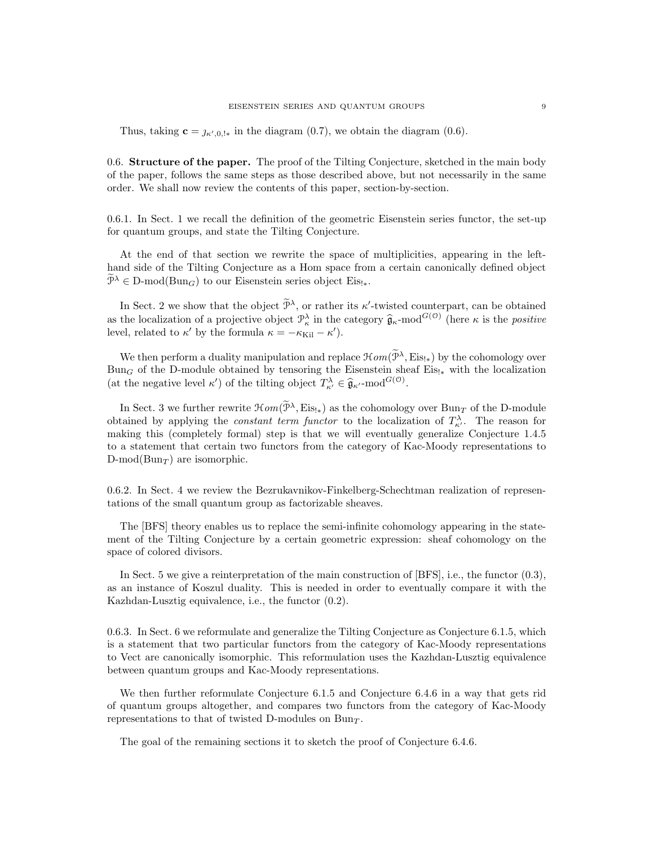Thus, taking  $\mathbf{c} = \jmath_{\kappa',0,!\ast}$  in the diagram  $(0.7)$ , we obtain the diagram  $(0.6)$ .

0.6. Structure of the paper. The proof of the Tilting Conjecture, sketched in the main body of the paper, follows the same steps as those described above, but not necessarily in the same order. We shall now review the contents of this paper, section-by-section.

0.6.1. In Sect. 1 we recall the definition of the geometric Eisenstein series functor, the set-up for quantum groups, and state the Tilting Conjecture.

At the end of that section we rewrite the space of multiplicities, appearing in the lefthand side of the Tilting Conjecture as a Hom space from a certain canonically defined object  $\widetilde{\mathcal{P}}^{\lambda} \in \mathcal{D}$ -mod(Bun<sub>G</sub>) to our Eisenstein series object Eis<sub>!\*</sub>.

In Sect. 2 we show that the object  $\mathcal{P}^{\lambda}$ , or rather its  $\kappa'$ -twisted counterpart, can be obtained as the localization of a projective object  $\mathcal{P}_{\kappa}^{\lambda}$  in the category  $\hat{\mathfrak{g}}_{\kappa}$ -mod<sup> $G(0)$ </sup> (here  $\kappa$  is the *positive*<br>level related to  $\kappa'$  by the formula  $\kappa = \kappa \kappa'$ ) level, related to  $\kappa'$  by the formula  $\kappa = -\kappa_{\text{Kil}} - \kappa'.$ 

We then perform a duality manipulation and replace  $\mathcal{H}om(\tilde{\mathcal{P}}^{\lambda}, \text{Eis}_{!*})$  by the cohomology over Bun<sub>G</sub> of the D-module obtained by tensoring the Eisenstein sheaf Eis<sub>!\*</sub> with the localization (at the negative level  $\kappa'$ ) of the tilting object  $T_{\kappa'}^{\lambda} \in \hat{\mathfrak{g}}_{\kappa'}\text{-mod}^{G(\mathcal{O})}$ .

In Sect. 3 we further rewrite  $\mathcal{H}om(\tilde{\mathcal{P}}^{\lambda}, \text{Eis}_{!*})$  as the cohomology over  $\text{Bun}_T$  of the D-module obtained by applying the *constant term functor* to the localization of  $T_{\kappa'}^{\lambda}$ . The reason for making this (completely formal) step is that we will eventually generalize Conjecture 1.4.5 to a statement that certain two functors from the category of Kac-Moody representations to  $D\text{-mod}(Bun_T)$  are isomorphic.

0.6.2. In Sect. 4 we review the Bezrukavnikov-Finkelberg-Schechtman realization of representations of the small quantum group as factorizable sheaves.

The [BFS] theory enables us to replace the semi-infinite cohomology appearing in the statement of the Tilting Conjecture by a certain geometric expression: sheaf cohomology on the space of colored divisors.

In Sect. 5 we give a reinterpretation of the main construction of [BFS], i.e., the functor (0.3), as an instance of Koszul duality. This is needed in order to eventually compare it with the Kazhdan-Lusztig equivalence, i.e., the functor (0.2).

0.6.3. In Sect. 6 we reformulate and generalize the Tilting Conjecture as Conjecture 6.1.5, which is a statement that two particular functors from the category of Kac-Moody representations to Vect are canonically isomorphic. This reformulation uses the Kazhdan-Lusztig equivalence between quantum groups and Kac-Moody representations.

We then further reformulate Conjecture 6.1.5 and Conjecture 6.4.6 in a way that gets rid of quantum groups altogether, and compares two functors from the category of Kac-Moody representations to that of twisted D-modules on Bun $_T$ .

The goal of the remaining sections it to sketch the proof of Conjecture 6.4.6.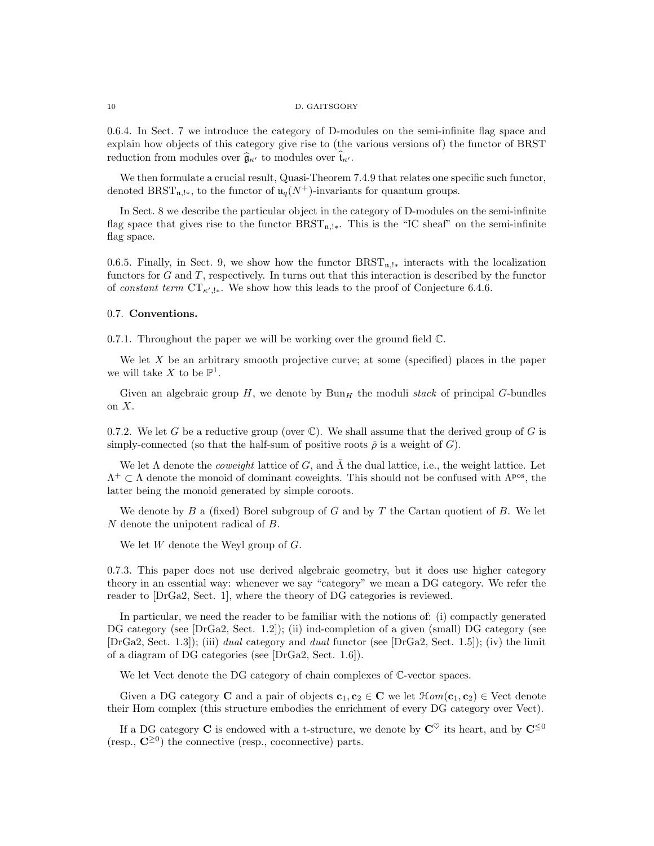#### 10 D. GAITSGORY

0.6.4. In Sect. 7 we introduce the category of D-modules on the semi-infinite flag space and explain how objects of this category give rise to (the various versions of) the functor of BRST reduction from modules over  $\widehat{\mathfrak{g}}_{\kappa}$  to modules over  $\mathfrak{t}_{\kappa}$ .

We then formulate a crucial result, Quasi-Theorem 7.4.9 that relates one specific such functor, denoted BRST<sub>n,!\*</sub>, to the functor of  $\mathfrak{u}_q(N^+)$ -invariants for quantum groups.

In Sect. 8 we describe the particular object in the category of D-modules on the semi-infinite flag space that gives rise to the functor  $\text{BRST}_{n,!*}$ . This is the "IC sheaf" on the semi-infinite flag space.

0.6.5. Finally, in Sect. 9, we show how the functor  $BRST_{n,1*}$  interacts with the localization functors for  $G$  and  $T$ , respectively. In turns out that this interaction is described by the functor of constant term  $CT_{\kappa',\mathbf{k}}$ . We show how this leads to the proof of Conjecture 6.4.6.

### 0.7. Conventions.

0.7.1. Throughout the paper we will be working over the ground field C.

We let X be an arbitrary smooth projective curve; at some (specified) places in the paper we will take X to be  $\mathbb{P}^1$ .

Given an algebraic group  $H$ , we denote by  $Bun<sub>H</sub>$  the moduli stack of principal G-bundles on X.

0.7.2. We let G be a reductive group (over  $\mathbb{C}$ ). We shall assume that the derived group of G is simply-connected (so that the half-sum of positive roots  $\check{\rho}$  is a weight of G).

We let  $\Lambda$  denote the *coweight* lattice of G, and  $\tilde{\Lambda}$  the dual lattice, i.e., the weight lattice. Let  $\Lambda^+ \subset \Lambda$  denote the monoid of dominant coweights. This should not be confused with  $\Lambda^{pos}$ , the latter being the monoid generated by simple coroots.

We denote by  $B$  a (fixed) Borel subgroup of  $G$  and by  $T$  the Cartan quotient of  $B$ . We let N denote the unipotent radical of B.

We let  $W$  denote the Weyl group of  $G$ .

0.7.3. This paper does not use derived algebraic geometry, but it does use higher category theory in an essential way: whenever we say "category" we mean a DG category. We refer the reader to [DrGa2, Sect. 1], where the theory of DG categories is reviewed.

In particular, we need the reader to be familiar with the notions of: (i) compactly generated DG category (see [DrGa2, Sect. 1.2]); (ii) ind-completion of a given (small) DG category (see  $[DrGa2, Sect. 1.3]$ ; (iii) *dual* category and *dual* functor (see  $[DrGa2, Sect. 1.5]$ ); (iv) the limit of a diagram of DG categories (see [DrGa2, Sect. 1.6]).

We let Vect denote the DG category of chain complexes of  $\mathbb{C}$ -vector spaces.

Given a DG category **C** and a pair of objects  $\mathbf{c}_1, \mathbf{c}_2 \in \mathbf{C}$  we let  $\mathcal{H}om(\mathbf{c}_1, \mathbf{c}_2) \in$  Vect denote their Hom complex (this structure embodies the enrichment of every DG category over Vect).

If a DG category C is endowed with a t-structure, we denote by  $\mathbb{C}^{\heartsuit}$  its heart, and by  $\mathbb{C}^{\leq 0}$  $(\text{resp., } C^{\geq 0})$  the connective (resp., coconnective) parts.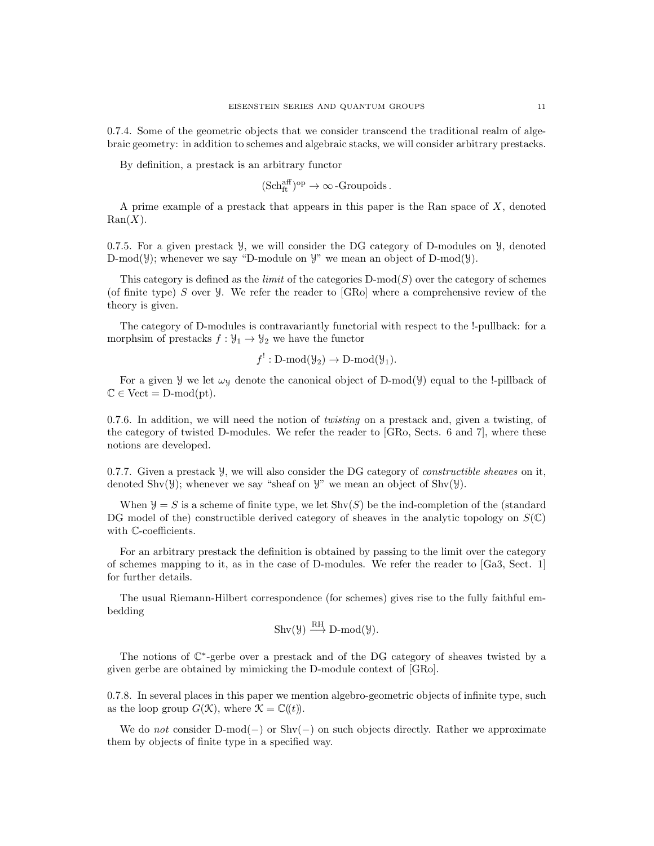0.7.4. Some of the geometric objects that we consider transcend the traditional realm of algebraic geometry: in addition to schemes and algebraic stacks, we will consider arbitrary prestacks.

By definition, a prestack is an arbitrary functor

$$
(\mathrm{Sch}^{\mathrm{aff}}_{\mathrm{ft}})^{\mathrm{op}}\to\infty\,\text{-}\mathrm{Groupoids}\,.
$$

A prime example of a prestack that appears in this paper is the Ran space of  $X$ , denoted  $\text{Ran}(X)$ .

0.7.5. For a given prestack Y, we will consider the DG category of D-modules on Y, denoted D-mod( $\mathcal{Y}$ ); whenever we say "D-module on  $\mathcal{Y}$ " we mean an object of D-mod( $\mathcal{Y}$ ).

This category is defined as the *limit* of the categories  $D\text{-mod}(S)$  over the category of schemes (of finite type) S over  $\mathcal Y$ . We refer the reader to [GRo] where a comprehensive review of the theory is given.

The category of D-modules is contravariantly functorial with respect to the !-pullback: for a morphsim of prestacks  $f: \mathcal{Y}_1 \to \mathcal{Y}_2$  we have the functor

$$
f^!
$$
: D-mod( $\mathcal{Y}_2$ )  $\rightarrow$  D-mod( $\mathcal{Y}_1$ ).

For a given y we let  $\omega_y$  denote the canonical object of D-mod(y) equal to the !-pillback of  $\mathbb{C} \in$  Vect = D-mod(pt).

0.7.6. In addition, we will need the notion of *twisting* on a prestack and, given a twisting, of the category of twisted D-modules. We refer the reader to [GRo, Sects. 6 and 7], where these notions are developed.

0.7.7. Given a prestack  $\mathcal{Y}$ , we will also consider the DG category of *constructible sheaves* on it, denoted Shv $(\mathcal{Y})$ ; whenever we say "sheaf on  $\mathcal{Y}$ " we mean an object of Shv $(\mathcal{Y})$ .

When  $\mathcal{Y} = S$  is a scheme of finite type, we let Shv(S) be the ind-completion of the (standard DG model of the) constructible derived category of sheaves in the analytic topology on  $S(\mathbb{C})$ with C-coefficients.

For an arbitrary prestack the definition is obtained by passing to the limit over the category of schemes mapping to it, as in the case of D-modules. We refer the reader to [Ga3, Sect. 1] for further details.

The usual Riemann-Hilbert correspondence (for schemes) gives rise to the fully faithful embedding

$$
\text{Shv}(\mathcal{Y}) \stackrel{\text{KH}}{\longrightarrow} \text{D-mod}(\mathcal{Y}).
$$

 $\overline{a}$ 

The notions of  $\mathbb{C}^*$ -gerbe over a prestack and of the DG category of sheaves twisted by a given gerbe are obtained by mimicking the D-module context of [GRo].

0.7.8. In several places in this paper we mention algebro-geometric objects of infinite type, such as the loop group  $G(\mathcal{K})$ , where  $\mathcal{K} = \mathbb{C}(\ell t)$ .

We do not consider D-mod(−) or Shv(−) on such objects directly. Rather we approximate them by objects of finite type in a specified way.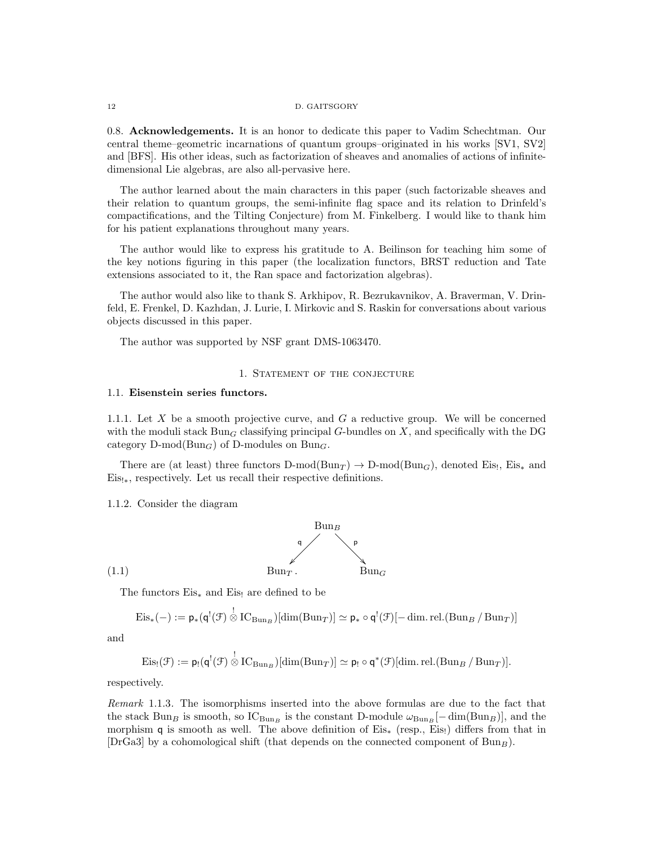#### 12 D. GAITSGORY

0.8. Acknowledgements. It is an honor to dedicate this paper to Vadim Schechtman. Our central theme–geometric incarnations of quantum groups–originated in his works [SV1, SV2] and [BFS]. His other ideas, such as factorization of sheaves and anomalies of actions of infinitedimensional Lie algebras, are also all-pervasive here.

The author learned about the main characters in this paper (such factorizable sheaves and their relation to quantum groups, the semi-infinite flag space and its relation to Drinfeld's compactifications, and the Tilting Conjecture) from M. Finkelberg. I would like to thank him for his patient explanations throughout many years.

The author would like to express his gratitude to A. Beilinson for teaching him some of the key notions figuring in this paper (the localization functors, BRST reduction and Tate extensions associated to it, the Ran space and factorization algebras).

The author would also like to thank S. Arkhipov, R. Bezrukavnikov, A. Braverman, V. Drinfeld, E. Frenkel, D. Kazhdan, J. Lurie, I. Mirkovic and S. Raskin for conversations about various objects discussed in this paper.

The author was supported by NSF grant DMS-1063470.

### 1. STATEMENT OF THE CONJECTURE

### 1.1. Eisenstein series functors.

1.1.1. Let X be a smooth projective curve, and  $G$  a reductive group. We will be concerned with the moduli stack  $Bun_G$  classifying principal G-bundles on X, and specifically with the DG category  $D\text{-mod}(Bun_G)$  of D-modules on  $Bun_G$ .

There are (at least) three functors  $D\text{-mod}(Bun_T) \to D\text{-mod}(Bun_G)$ , denoted Eis!, Eis<sub>\*</sub> and Eis!<sup>∗</sup>, respectively. Let us recall their respective definitions.

### 1.1.2. Consider the diagram



The functors  $Eis_*$  and  $Eis_!$  are defined to be

$$
\mathrm{Eis}_*(-):=\mathsf{p}_*(\mathsf{q}^!(\mathcal{F})\overset{!}{\otimes}\mathrm{IC}_{\mathrm{Bun}_B})[\dim(\mathrm{Bun}_T)]\simeq \mathsf{p}_*\circ\mathsf{q}^!(\mathcal{F})[-\dim.\mathrm{rel}.(\mathrm{Bun}_B/\mathrm{Bun}_T)]
$$

and

$$
\mathrm{Eis}_{!}(\mathcal{F}):=\mathsf{p}_{!}(\mathsf{q}^{!}(\mathcal{F})\overset{!}{\otimes}\mathrm{IC}_{\mathrm{Bun}_{B}})[\dim(\mathrm{Bun}_{T})]\simeq\mathsf{p}_{!}\circ\mathsf{q}^{*}(\mathcal{F})[\dim.\mathrm{rel}.(\mathrm{Bun}_{B}/\mathrm{Bun}_{T})].
$$

respectively.

Remark 1.1.3. The isomorphisms inserted into the above formulas are due to the fact that the stack Bun<sub>B</sub> is smooth, so  $IC_{\text{Bun}_B}$  is the constant D-module  $\omega_{\text{Bun}_B}$  [− dim(Bun<sub>B</sub>)], and the morphism q is smooth as well. The above definition of  $Eis_*$  (resp.,  $Eis_1$ ) differs from that in [DrGa3] by a cohomological shift (that depends on the connected component of  $Bun_B$ ).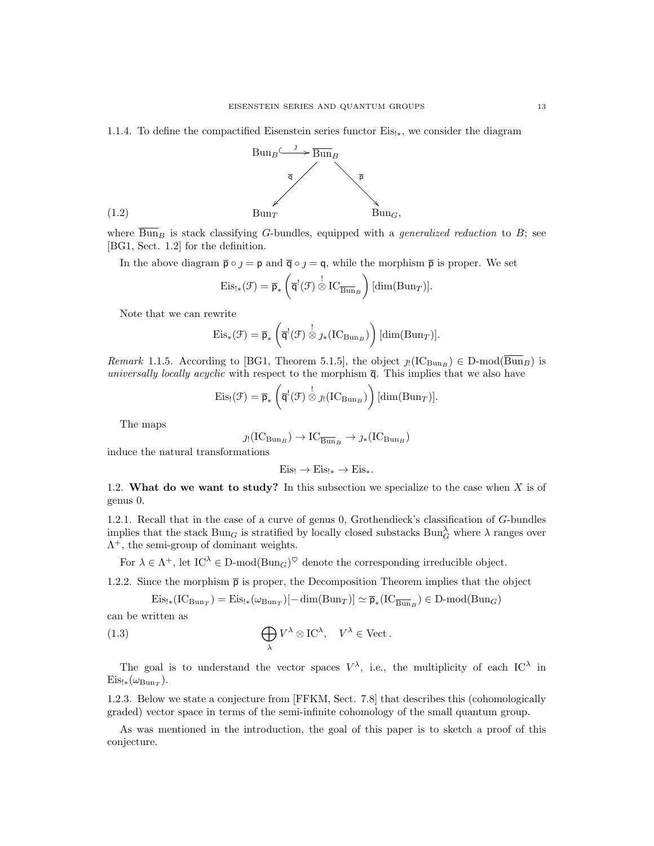1.1.4. To define the compactified Eisenstein series functor  $Eis_{!*}$ , we consider the diagram



where  $\overline{\text{Bun}}_B$  is stack classifying G-bundles, equipped with a *generalized reduction* to B; see [BG1, Sect. 1.2] for the definition.

In the above diagram  $\bar{p} \circ \jmath = p$  and  $\bar{q} \circ \jmath = q$ , while the morphism  $\bar{p}$  is proper. We set

$$
\mathrm{Eis}_{!*}(\mathcal{F}) = \overline{\rho}_* \left( \overline{\mathsf{q}}^!(\mathcal{F}) \overset{!}{\otimes} \mathrm{IC}_{\overline{\mathrm{Bun}}_B} \right) [\dim(\mathrm{Bun}_T)].
$$

Note that we can rewrite

$$
\mathrm{Eis}_*(\mathcal{F}) = \overline{\mathsf{p}}_*\left(\overline{\mathsf{q}}^!(\mathcal{F}) \overset{!}{\otimes} \jmath_*(\mathrm{IC}_{\mathrm{Bun}_B})\right)[\dim(\mathrm{Bun}_T)].
$$

*Remark* 1.1.5. According to [BG1, Theorem 5.1.5], the object  $j_!(I\mathbf{C}_{\text{Bun}_B}) \in \mathbf{D}\text{-mod}(\mathbf{Bun}_B)$  is universally locally acyclic with respect to the morphism  $\overline{q}$ . This implies that we also have

$$
\mathrm{Eis}_{!}(\mathcal{F})=\overline{p}_*\left(\overline{q}^!(\mathcal{F})\overset{!}{\otimes}_{\mathcal{J}!}(\mathrm{IC}_{\mathrm{Bun}_\mathcal{B}})\right)[\dim(\mathrm{Bun}_\mathcal{T})].
$$

The maps

$$
\jmath_! (IC_{\operatorname{Bun}_B}) \to IC_{\overline{\operatorname{Bun}}_B} \to \jmath_* (IC_{\operatorname{Bun}_B})
$$

induce the natural transformations

$$
\mathrm{Eis}_! \to \mathrm{Eis}_{!*} \to \mathrm{Eis}_*.
$$

1.2. What do we want to study? In this subsection we specialize to the case when  $X$  is of genus 0.

1.2.1. Recall that in the case of a curve of genus 0, Grothendieck's classification of G-bundles implies that the stack  $\text{Bun}_G$  is stratified by locally closed substacks  $\text{Bun}_G^{\lambda}$  where  $\lambda$  ranges over  $\Lambda^{+}$ , the semi-group of dominant weights.

For  $\lambda \in \Lambda^+$ , let  $IC^{\lambda} \in D\text{-mod}(Bun_G)^{\heartsuit}$  denote the corresponding irreducible object.

1.2.2. Since the morphism  $\bar{p}$  is proper, the Decomposition Theorem implies that the object

$$
Eis_{!*}(IC_{\text{Bun}_T}) = Eis_{!*}(\omega_{\text{Bun}_T})[-\dim(\text{Bun}_T)] \simeq \overline{\mathsf{p}}_*(IC_{\overline{\text{Bun}}_B}) \in \text{D-mod}(\text{Bun}_G)
$$

can be written as

(1.3) 
$$
\bigoplus_{\lambda} V^{\lambda} \otimes \mathrm{IC}^{\lambda}, \quad V^{\lambda} \in \mathrm{Vect}.
$$

The goal is to understand the vector spaces  $V^{\lambda}$ , i.e., the multiplicity of each IC<sup> $\lambda$ </sup> in  $\mathrm{Eis}_{!*}(\omega_{\mathrm{Bun}_T}).$ 

1.2.3. Below we state a conjecture from [FFKM, Sect. 7.8] that describes this (cohomologically graded) vector space in terms of the semi-infinite cohomology of the small quantum group.

As was mentioned in the introduction, the goal of this paper is to sketch a proof of this conjecture.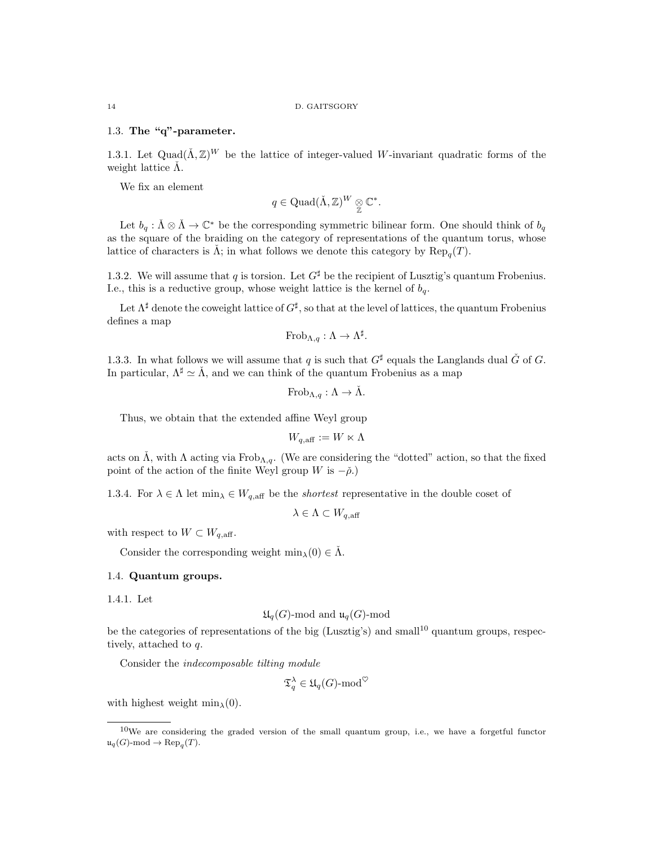### 1.3. The "q"-parameter.

1.3.1. Let  $\text{Quad}(\check{\Lambda}, \mathbb{Z})^W$  be the lattice of integer-valued W-invariant quadratic forms of the weight lattice  $\dot{\Lambda}$ .

We fix an element

$$
q \in \mathrm{Quad}(\check{\Lambda}, \mathbb{Z})^W \underset{\mathbb{Z}}{\otimes} \mathbb{C}^*.
$$

Let  $b_q : \check{\Lambda} \otimes \check{\Lambda} \to \mathbb{C}^*$  be the corresponding symmetric bilinear form. One should think of  $b_q$ as the square of the braiding on the category of representations of the quantum torus, whose lattice of characters is  $\check{\Lambda}$ ; in what follows we denote this category by  $\text{Rep}_q(T)$ .

1.3.2. We will assume that q is torsion. Let  $G^{\sharp}$  be the recipient of Lusztig's quantum Frobenius. I.e., this is a reductive group, whose weight lattice is the kernel of  $b_q$ .

Let  $\Lambda^{\sharp}$  denote the coweight lattice of  $G^{\sharp}$ , so that at the level of lattices, the quantum Frobenius defines a map

$$
\mathrm{Frob}_{\Lambda,q} : \Lambda \to \Lambda^{\sharp}.
$$

1.3.3. In what follows we will assume that q is such that  $G^{\sharp}$  equals the Langlands dual  $\check{G}$  of G. In particular,  $\Lambda^{\sharp} \simeq \Lambda$ , and we can think of the quantum Frobenius as a map

$$
\operatorname{Frob}_{\Lambda,q}: \Lambda \to \check{\Lambda}.
$$

Thus, we obtain that the extended affine Weyl group

$$
W_{q,\text{aff}} := W \ltimes \Lambda
$$

acts on  $\check{\Lambda}$ , with  $\Lambda$  acting via Frob<sub> $\Lambda, q$ </sub>. (We are considering the "dotted" action, so that the fixed point of the action of the finite Weyl group W is  $-\check{\rho}$ .)

1.3.4. For  $\lambda \in \Lambda$  let  $\min_{\lambda} \in W_{q, \text{aff}}$  be the *shortest* representative in the double coset of

 $\lambda \in \Lambda \subset W_{q,\text{aff}}$ 

with respect to  $W \subset W_{q,aff}.$ 

Consider the corresponding weight  $\min_{\lambda}(0) \in \check{\Lambda}$ .

# 1.4. Quantum groups.

1.4.1. Let

 $\mathfrak{U}_q(G)$ -mod and  $\mathfrak{u}_q(G)$ -mod

be the categories of representations of the big (Lusztig's) and small<sup>10</sup> quantum groups, respectively, attached to q.

Consider the indecomposable tilting module

$$
\mathfrak{T}^\lambda_q\in \mathfrak{U}_q(G)\operatorname{\!-mod}^\heartsuit
$$

with highest weight  $\min_{\lambda}(0)$ .

 $10$ We are considering the graded version of the small quantum group, i.e., we have a forgetful functor  $\mathfrak{u}_q(G)$ -mod  $\to \text{Rep}_q(T)$ .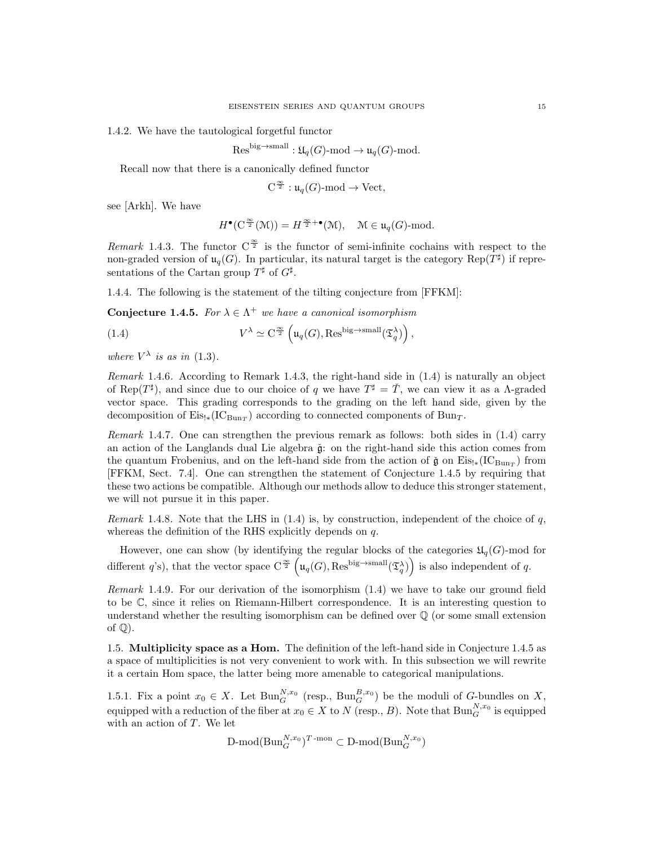1.4.2. We have the tautological forgetful functor

 $\operatorname{Res}^{\text{big}\rightarrow \operatorname{small}}: \mathfrak{U}_q(G)\text{-mod} \to \mathfrak{u}_q(G)\text{-mod}.$ 

Recall now that there is a canonically defined functor

$$
C^{\frac{\infty}{2}}: \mathfrak{u}_q(G)\text{-mod} \to \text{Vect},
$$

see [Arkh]. We have

$$
H^{\bullet}(\mathrm{C}^{\frac{\infty}{2}}(\mathcal{M})) = H^{\frac{\infty}{2}+\bullet}(\mathcal{M}), \quad \mathcal{M} \in \mathfrak{u}_q(G)\text{-mod}.
$$

Remark 1.4.3. The functor  $C^{\frac{\infty}{2}}$  is the functor of semi-infinite cochains with respect to the non-graded version of  $\mathfrak{u}_q(G)$ . In particular, its natural target is the category  $\text{Rep}(T^{\sharp})$  if representations of the Cartan group  $T^{\sharp}$  of  $G^{\sharp}$ .

1.4.4. The following is the statement of the tilting conjecture from [FFKM]:

**Conjecture 1.4.5.** For  $\lambda \in \Lambda^+$  we have a canonical isomorphism

(1.4) 
$$
V^{\lambda} \simeq C^{\frac{\infty}{2}} \left( \mathfrak{u}_q(G), \text{Res}^{\text{big}\to\text{small}}(\mathfrak{T}_q^{\lambda}) \right),
$$

where  $V^{\lambda}$  is as in (1.3).

Remark 1.4.6. According to Remark 1.4.3, the right-hand side in (1.4) is naturally an object of Rep(T<sup>‡</sup>), and since due to our choice of q we have  $T^{\sharp} = \check{T}$ , we can view it as a  $\Lambda$ -graded vector space. This grading corresponds to the grading on the left hand side, given by the decomposition of  $Eis_{!*}(\mathrm{IC}_{Bun_T})$  according to connected components of  $Bun_T$ .

Remark 1.4.7. One can strengthen the previous remark as follows: both sides in (1.4) carry an action of the Langlands dual Lie algebra  $\ddot{\mathfrak{a}}$ : on the right-hand side this action comes from the quantum Frobenius, and on the left-hand side from the action of  $\check{\mathfrak{g}}$  on  $\mathrm{Eis}_{!*}(\mathrm{IC}_{\mathrm{Bun}_T})$  from [FFKM, Sect. 7.4]. One can strengthen the statement of Conjecture 1.4.5 by requiring that these two actions be compatible. Although our methods allow to deduce this stronger statement, we will not pursue it in this paper.

Remark 1.4.8. Note that the LHS in  $(1.4)$  is, by construction, independent of the choice of q, whereas the definition of the RHS explicitly depends on q.

However, one can show (by identifying the regular blocks of the categories  $\mathfrak{U}_q(G)$ -mod for different q's), that the vector space  $C^{\frac{\infty}{2}}\left(\mu_q(G), \text{Res}^{\text{big}\rightarrow\text{small}}(\mathfrak{T}_q^{\lambda})\right)$  is also independent of q.

Remark 1.4.9. For our derivation of the isomorphism (1.4) we have to take our ground field to be C, since it relies on Riemann-Hilbert correspondence. It is an interesting question to understand whether the resulting isomorphism can be defined over  $\mathbb Q$  (or some small extension of  $\mathbb{Q}$ ).

1.5. Multiplicity space as a Hom. The definition of the left-hand side in Conjecture 1.4.5 as a space of multiplicities is not very convenient to work with. In this subsection we will rewrite it a certain Hom space, the latter being more amenable to categorical manipulations.

1.5.1. Fix a point  $x_0 \in X$ . Let  $\text{Bun}_G^{N,x_0}$  (resp.,  $\text{Bun}_G^{B,x_0}$ ) be the moduli of G-bundles on X, equipped with a reduction of the fiber at  $x_0 \in X$  to N (resp., B). Note that  $\text{Bun}_G^{N,x_0}$  is equipped with an action of T. We let

$$
\text{D-mod}(\text{Bun}_{G}^{N,x_0})^{T\text{-mon}}\subset \text{D-mod}(\text{Bun}_{G}^{N,x_0})
$$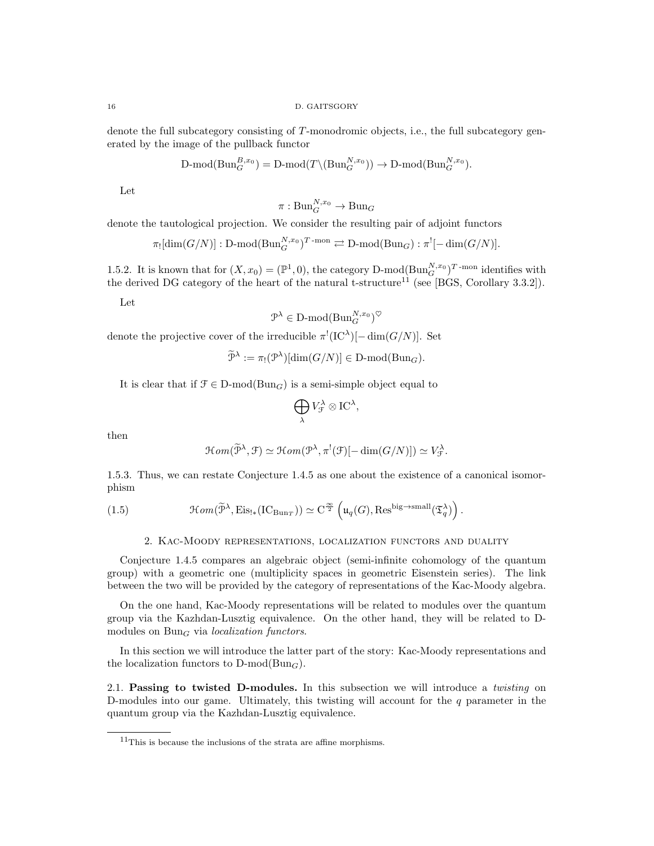16 D. GAITSGORY

denote the full subcategory consisting of T-monodromic objects, i.e., the full subcategory generated by the image of the pullback functor

$$
\text{D-mod}(\text{Bun}_G^{B,x_0}) = \text{D-mod}(T \setminus (\text{Bun}_G^{N,x_0})) \to \text{D-mod}(\text{Bun}_G^{N,x_0}).
$$

Let

$$
\pi: \mathrm{Bun}_G^{N, x_0} \to \mathrm{Bun}_G
$$

denote the tautological projection. We consider the resulting pair of adjoint functors

$$
\pi_![\dim(G/N)] : {\rm D\text{-}mod}({\rm Bun}_G^{N,x_0})^{T\text{-}{\rm mon}}\rightleftarrows {\rm D\text{-}mod}({\rm Bun}_G) : \pi^![-\dim(G/N)].
$$

1.5.2. It is known that for  $(X, x_0) = (\mathbb{P}^1, 0)$ , the category D-mod $(\text{Bun}_G^{N, x_0})^T$ -mon identifies with the derived DG category of the heart of the natural t-structure<sup>11</sup> (see [BGS, Corollary 3.3.2]).

Let

$$
\mathcal{P}^{\lambda} \in \mathbf{D}\text{-mod}(\mathbf{Bun}_{G}^{N,x_0})^{\heartsuit}
$$

denote the projective cover of the irreducible  $\pi^!(\mathrm{IC}^{\lambda})[-\dim(G/N)]$ . Set

$$
\widetilde{\mathcal{P}}^{\lambda} := \pi_!(\mathcal{P}^{\lambda})[\dim(G/N)] \in \mathcal{D}\text{-mod}(\mathcal{B}\mathfrak{u}\mathfrak{n}_G).
$$

It is clear that if  $\mathcal{F} \in \mathcal{D}$ -mod $(\mathcal{B}\text{un}_G)$  is a semi-simple object equal to

$$
\bigoplus_{\lambda} V_{\mathcal{F}}^{\lambda} \otimes \mathrm{IC}^{\lambda},
$$

then

$$
\mathcal{H}om(\widetilde{\mathcal{P}}^{\lambda}, \mathcal{F}) \simeq \mathcal{H}om(\mathcal{P}^{\lambda}, \pi^{!}(\mathcal{F})[-\dim(G/N)]) \simeq V_{\mathcal{F}}^{\lambda}.
$$

1.5.3. Thus, we can restate Conjecture 1.4.5 as one about the existence of a canonical isomorphism

(1.5) 
$$
\mathcal{H}om(\widetilde{\mathcal{P}}^{\lambda}, \mathrm{Eis}_{!*}(\mathrm{IC}_{\mathrm{Bun}_T})) \simeq \mathrm{C}^{\frac{\infty}{2}}\left(\mathfrak{u}_q(G), \mathrm{Res}^{\mathrm{big}\to\mathrm{small}}(\mathfrak{T}_q^{\lambda})\right).
$$

### 2. Kac-Moody representations, localization functors and duality

Conjecture 1.4.5 compares an algebraic object (semi-infinite cohomology of the quantum group) with a geometric one (multiplicity spaces in geometric Eisenstein series). The link between the two will be provided by the category of representations of the Kac-Moody algebra.

On the one hand, Kac-Moody representations will be related to modules over the quantum group via the Kazhdan-Lusztig equivalence. On the other hand, they will be related to Dmodules on  $Bun_G$  via *localization functors*.

In this section we will introduce the latter part of the story: Kac-Moody representations and the localization functors to  $D\text{-mod}(Bun_G)$ .

2.1. Passing to twisted D-modules. In this subsection we will introduce a twisting on D-modules into our game. Ultimately, this twisting will account for the  $q$  parameter in the quantum group via the Kazhdan-Lusztig equivalence.

 $11$ This is because the inclusions of the strata are affine morphisms.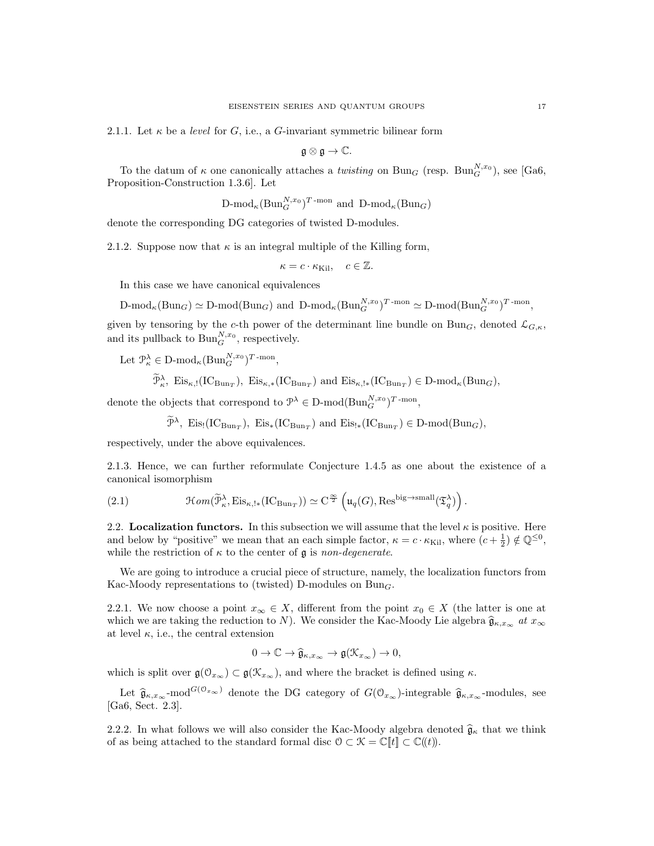2.1.1. Let  $\kappa$  be a *level* for G, i.e., a G-invariant symmetric bilinear form

$$
\mathfrak{g}\otimes\mathfrak{g}\to\mathbb{C}.
$$

To the datum of  $\kappa$  one canonically attaches a *twisting* on Bun<sub>G</sub> (resp. Bun<sup>N,x<sub>0</sub></sub>), see [Ga6,</sup> Proposition-Construction 1.3.6]. Let

$$
\mathrm{D\text{-}mod}_\kappa(\mathrm{Bun}_G^{N,x_0})^{T\text{-}{\rm mon}}
$$
 and  $\mathrm{D\text{-}mod}_\kappa(\mathrm{Bun}_G)$ 

denote the corresponding DG categories of twisted D-modules.

2.1.2. Suppose now that  $\kappa$  is an integral multiple of the Killing form,

$$
\kappa = c \cdot \kappa_{\text{Kil}}, \quad c \in \mathbb{Z}.
$$

In this case we have canonical equivalences

$$
\text{D-mod}_{\kappa}(\text{Bun}_G) \simeq \text{D-mod}(\text{Bun}_G) \text{ and } \text{D-mod}_{\kappa}(\text{Bun}_G^{N,x_0})^{T-\text{mon}} \simeq \text{D-mod}(\text{Bun}_G^{N,x_0})^{T-\text{mon}},
$$

given by tensoring by the c-th power of the determinant line bundle on Bun<sub>G</sub>, denoted  $\mathcal{L}_{G,\kappa}$ , and its pullback to  $\text{Bun}_G^{N,x_0}$ , respectively.

Let  $\mathcal{P}_{\kappa}^{\lambda} \in \mathcal{D}\text{-mod}_{\kappa}(\text{Bun}_{G}^{N,x_0})^{\text{T--mon}},$ 

 $\widetilde{\mathcal{P}}_{\kappa}^{\lambda}$ ,  $\mathrm{Eis}_{\kappa, \mathsf{l}}(\mathrm{IC}_{\mathrm{Bun}_T})$ ,  $\mathrm{Eis}_{\kappa, *}(\mathrm{IC}_{\mathrm{Bun}_T})$  and  $\mathrm{Eis}_{\kappa, !}(\mathrm{IC}_{\mathrm{Bun}_T}) \in \mathrm{D-mod}_{\kappa}(\mathrm{Bun}_G)$ ,

denote the objects that correspond to  $\mathcal{P}^{\lambda} \in \mathcal{D}\text{-mod}(\text{Bun}_{G}^{N,x_0})^T\text{-mon}$ ,

 $\widetilde{\mathcal{P}}^{\lambda}$ , Eis<sub>!</sub>(IC<sub>Bun*T*</sub>), Eis<sub>\*</sub>(IC<sub>Bun*T*</sub>) and Eis<sub>!\*</sub>(IC<sub>Bun*T*</sub>)  $\in$  D-mod(Bun<sub>G</sub>),

respectively, under the above equivalences.

2.1.3. Hence, we can further reformulate Conjecture 1.4.5 as one about the existence of a canonical isomorphism

(2.1) 
$$
\mathcal{H}om(\widetilde{\mathcal{P}}_{\kappa}^{\lambda}, \mathrm{Eis}_{\kappa, !*}(\mathrm{IC}_{\mathrm{Bun}_T})) \simeq \mathrm{C}^{\frac{\infty}{2}}\left(\mathfrak{u}_q(G), \mathrm{Res}^{\mathrm{big}\to\mathrm{small}}(\mathfrak{T}_q^{\lambda})\right).
$$

2.2. Localization functors. In this subsection we will assume that the level  $\kappa$  is positive. Here and below by "positive" we mean that an each simple factor,  $\kappa = c \cdot \kappa_{\text{Kil}}$ , where  $(c + \frac{1}{2}) \notin \mathbb{Q}^{\leq 0}$ , while the restriction of  $\kappa$  to the center of  $\mathfrak g$  is non-degenerate.

We are going to introduce a crucial piece of structure, namely, the localization functors from Kac-Moody representations to (twisted) D-modules on  $Bun<sub>G</sub>$ .

2.2.1. We now choose a point  $x_{\infty} \in X$ , different from the point  $x_0 \in X$  (the latter is one at which we are taking the reduction to N). We consider the Kac-Moody Lie algebra  $\hat{\mathfrak{g}}_{\kappa,x_{\infty}}$  at  $x_{\infty}$ at level  $\kappa$ , i.e., the central extension

$$
0 \to \mathbb{C} \to \widehat{\mathfrak{g}}_{\kappa,x_{\infty}} \to \mathfrak{g}(\mathfrak{X}_{x_{\infty}}) \to 0,
$$

which is split over  $\mathfrak{g}(\mathfrak{O}_{x_{\infty}}) \subset \mathfrak{g}(\mathfrak{K}_{x_{\infty}})$ , and where the bracket is defined using  $\kappa$ .

Let  $\hat{\mathfrak{g}}_{\kappa,x_\infty}$ -mod<sup> $G(\mathbb{O}_{x_\infty})$ </sup> denote the DG category of  $G(\mathbb{O}_{x_\infty})$ -integrable  $\hat{\mathfrak{g}}_{\kappa,x_\infty}$ -modules, see [Ga6, Sect. 2.3].

2.2.2. In what follows we will also consider the Kac-Moody algebra denoted  $\hat{\mathfrak{g}}_{\kappa}$  that we think of as being attached to the standard formal disc  $0 \subset \mathcal{K} = \mathbb{C}[[t]] \subset \mathbb{C}([t])$ .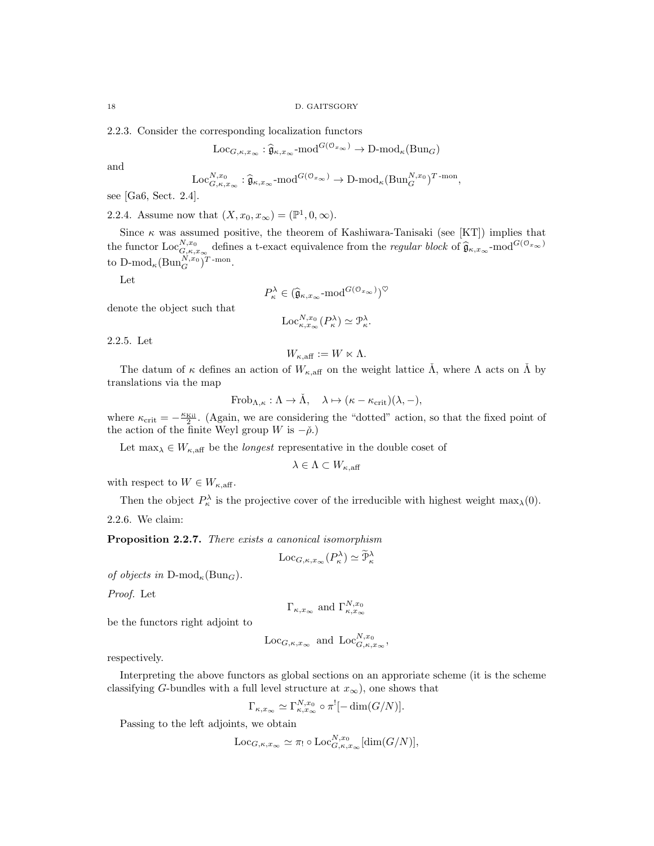2.2.3. Consider the corresponding localization functors

$$
\mathrm{Loc}_{G,\kappa,x_{\infty}} : \widehat{\mathfrak{g}}_{\kappa,x_{\infty}} \text{-mod}^{G(\mathcal{O}_{x_{\infty}})} \to \mathrm{D}\text{-mod}_{\kappa}(\mathrm{Bun}_G)
$$

and

$$
\operatorname{Loc}_{G,\kappa,x_\infty}^{N,x_0} : \widehat{\mathfrak{g}}_{\kappa,x_\infty} \text{-}\mathrm{mod}^{G(\mathcal{O}_{x_\infty})} \to \operatorname{D-mod}_\kappa(\operatorname{Bun}_G^{N,x_0})^{T\text{-}\mathrm{mon}}
$$

,

see [Ga6, Sect. 2.4].

2.2.4. Assume now that  $(X, x_0, x_{\infty}) = (\mathbb{P}^1, 0, \infty)$ .

Since  $\kappa$  was assumed positive, the theorem of Kashiwara-Tanisaki (see [KT]) implies that the functor  $\text{Loc}_{G,\kappa,x_{\infty}}^{N,x_0}$  defines a t-exact equivalence from the *regular block* of  $\hat{\mathfrak{g}}_{\kappa,x_{\infty}}$ -mod<sup> $G(\mathfrak{O}_{x_{\infty}})$ </sup> to  $D\text{-mod}_\kappa(\text{Bun}_G^{N,x_0})^T\text{-mon}.$ 

Let

$$
P_{\kappa}^{\lambda} \in (\widehat{\mathfrak{g}}_{\kappa,x_{\infty}} \text{-mod}^{G(\mathcal{O}_{x_{\infty}})})^{\heartsuit}
$$

denote the object such that

$$
\mathrm{Loc}_{\kappa, x_\infty}^{N, x_0}(P_\kappa^\lambda) \simeq \mathcal{P}_\kappa^\lambda.
$$

2.2.5. Let

$$
W_{\kappa, \text{aff}} := W \ltimes \Lambda.
$$

The datum of  $\kappa$  defines an action of  $W_{\kappa, \text{aff}}$  on the weight lattice  $\check{\Lambda}$ , where  $\Lambda$  acts on  $\check{\Lambda}$  by translations via the map

$$
\mathrm{Frob}_{\Lambda,\kappa} : \Lambda \to \check{\Lambda}, \quad \lambda \mapsto (\kappa - \kappa_{\mathrm{crit}})(\lambda, -),
$$

where  $\kappa_{\rm crit} = -\frac{\kappa_{\rm Kil}}{2}$ . (Again, we are considering the "dotted" action, so that the fixed point of the action of the finite Weyl group W is  $-\check{\rho}$ .)

Let  $\max_{\lambda} \in W_{\kappa, \text{aff}}$  be the *longest* representative in the double coset of

$$
\lambda \in \Lambda \subset W_{\kappa, \text{aff}}
$$

with respect to  $W \in W_{\kappa, \text{aff}}$ .

Then the object  $P_{\kappa}^{\lambda}$  is the projective cover of the irreducible with highest weight  $\max_{\lambda}(0)$ .

2.2.6. We claim:

Proposition 2.2.7. There exists a canonical isomorphism

$$
\mathrm{Loc}_{G,\kappa,x_\infty}(P_\kappa^\lambda) \simeq \widetilde{\mathcal{P}}_\kappa^\lambda
$$

of objects in  $D\text{-mod}_\kappa(\text{Bun}_G)$ .

Proof. Let

$$
\Gamma_{\kappa, x_{\infty}}
$$
 and  $\Gamma_{\kappa, x_{\infty}}^{N, x_0}$ 

be the functors right adjoint to

$$
\mathcal{Loc}_{G,\kappa,x_\infty} \text{ and } \mathcal{Loc}_{G,\kappa,x_\infty}^{N,x_0},
$$

respectively.

Interpreting the above functors as global sections on an approriate scheme (it is the scheme classifying G-bundles with a full level structure at  $x_{\infty}$ ), one shows that

$$
\Gamma_{\kappa,x_{\infty}} \simeq \Gamma_{\kappa,x_{\infty}}^{N,x_0} \circ \pi^![-\dim(G/N)].
$$

Passing to the left adjoints, we obtain

$$
\mathrm{Loc}_{G,\kappa,x_\infty}\simeq \pi_!\circ \mathrm{Loc}_{G,\kappa,x_\infty}^{N,x_0}[\dim(G/N)],
$$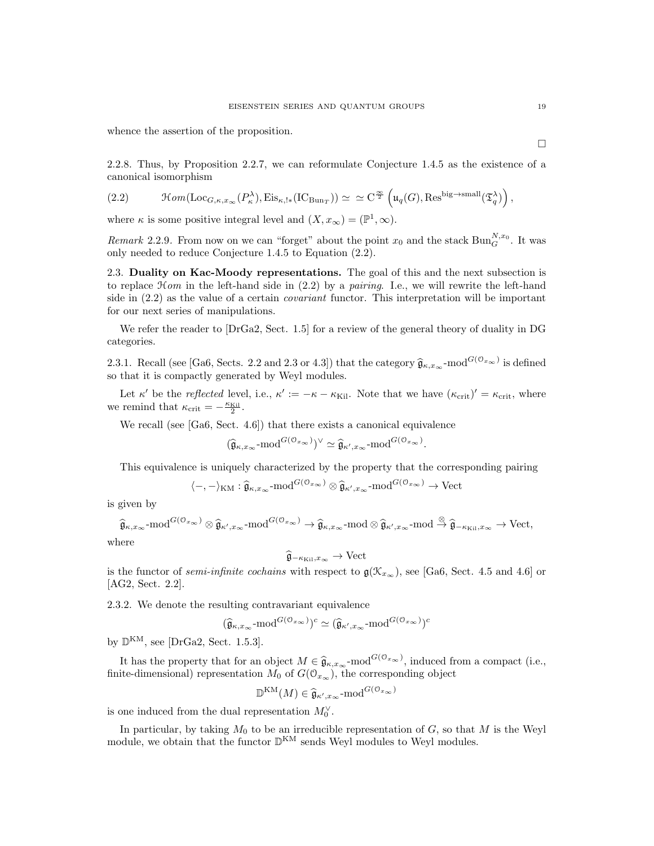whence the assertion of the proposition.

2.2.8. Thus, by Proposition 2.2.7, we can reformulate Conjecture 1.4.5 as the existence of a canonical isomorphism

(2.2) 
$$
\mathcal{H}om(\mathrm{Loc}_{G,\kappa,x_{\infty}}(P_{\kappa}^{\lambda}), \mathrm{Eis}_{\kappa,1*}(\mathrm{IC}_{\mathrm{Bun}_T})) \simeq \simeq \mathrm{C}^{\frac{\infty}{2}}\left(\mathfrak{u}_q(G), \mathrm{Res}^{\mathrm{big}\to\mathrm{small}}(\mathfrak{T}_q^{\lambda})\right),
$$

where  $\kappa$  is some positive integral level and  $(X, x_{\infty}) = (\mathbb{P}^1, \infty)$ .

*Remark* 2.2.9. From now on we can "forget" about the point  $x_0$  and the stack  $\text{Bun}_G^{N,x_0}$ . It was only needed to reduce Conjecture 1.4.5 to Equation (2.2).

2.3. Duality on Kac-Moody representations. The goal of this and the next subsection is to replace  $\mathcal{H}$ om in the left-hand side in (2.2) by a *pairing*. I.e., we will rewrite the left-hand side in (2.2) as the value of a certain covariant functor. This interpretation will be important for our next series of manipulations.

We refer the reader to [DrGa2, Sect. 1.5] for a review of the general theory of duality in DG categories.

2.3.1. Recall (see [Ga6, Sects. 2.2 and 2.3 or 4.3]) that the category  $\hat{\mathfrak{g}}_{\kappa,x_\infty}$ -mod<sup> $G(\mathfrak{O}_{x_\infty})$ </sup> is defined so that it is compactly generated by Weyl modules.

Let  $\kappa'$  be the *reflected* level, i.e.,  $\kappa' := -\kappa - \kappa_{\text{Kil}}$ . Note that we have  $(\kappa_{\text{crit}})' = \kappa_{\text{crit}}$ , where we remind that  $\kappa_{\text{crit}} = -\frac{\kappa_{\text{Kil}}}{2}$ .

We recall (see [Ga6, Sect. 4.6]) that there exists a canonical equivalence

$$
(\widehat{\mathfrak{g}}_{\kappa,x_{\infty}}\text{-mod}^{G(\mathcal{O}_{x_{\infty}})})^{\vee} \simeq \widehat{\mathfrak{g}}_{\kappa',x_{\infty}}\text{-mod}^{G(\mathcal{O}_{x_{\infty}})}.
$$

This equivalence is uniquely characterized by the property that the corresponding pairing

$$
\langle -, - \rangle_{\text{KM}} : \hat{\mathfrak{g}}_{\kappa, x_{\infty}} \text{-mod}^{G(\mathcal{O}_{x_{\infty}})} \otimes \hat{\mathfrak{g}}_{\kappa', x_{\infty}} \text{-mod}^{G(\mathcal{O}_{x_{\infty}})} \to \text{Vect}
$$

is given by

$$
\widehat{\mathfrak{g}}_{\kappa,x_\infty}\text{-mod}^{G(\mathcal{O}_{x_\infty})}\otimes \widehat{\mathfrak{g}}_{\kappa',x_\infty}\text{-mod}^{G(\mathcal{O}_{x_\infty})}\to \widehat{\mathfrak{g}}_{\kappa,x_\infty}\text{-mod}\otimes \widehat{\mathfrak{g}}_{\kappa',x_\infty}\text{-mod}\overset{\otimes}{\to}\widehat{\mathfrak{g}}_{-\kappa_{\text{Kil}},x_\infty}\to \text{Vect},
$$

where

$$
\widehat{\mathfrak{g}}_{-\kappa_{\text{Kil}},x_{\infty}} \to \text{Vect}
$$

is the functor of *semi-infinite cochains* with respect to  $\mathfrak{g}(\mathfrak{X}_{x_{\infty}})$ , see [Ga6, Sect. 4.5 and 4.6] or [AG2, Sect. 2.2].

2.3.2. We denote the resulting contravariant equivalence

$$
(\widehat{\mathfrak{g}}_{\kappa,x_{\infty}}\text{-mod}^{G(\mathcal{O}_{x_{\infty}})})^c \simeq (\widehat{\mathfrak{g}}_{\kappa',x_{\infty}}\text{-mod}^{G(\mathcal{O}_{x_{\infty}})})^c
$$

by  $\mathbb{D}^{KM}$ , see [DrGa2, Sect. 1.5.3].

It has the property that for an object  $M \in \hat{\mathfrak{g}}_{\kappa,x_{\infty}}$ -mod $G(\mathfrak{O}_{x_{\infty}})$ , induced from a compact (i.e., finite-dimensional) representation  $M_0$  of  $G(\mathbb{O}_{x_{\infty}})$ , the corresponding object

$$
\mathbb{D}^{\mathrm{KM}}(M) \in \widehat{\mathfrak{g}}_{\kappa', x_{\infty}} \text{-mod}^{G(\mathcal{O}_{x_{\infty}})}
$$

is one induced from the dual representation  $M_0^{\vee}$ .

In particular, by taking  $M_0$  to be an irreducible representation of  $G$ , so that  $M$  is the Weyl module, we obtain that the functor  $\mathbb{D}^{KM}$  sends Weyl modules to Weyl modules.

 $\Box$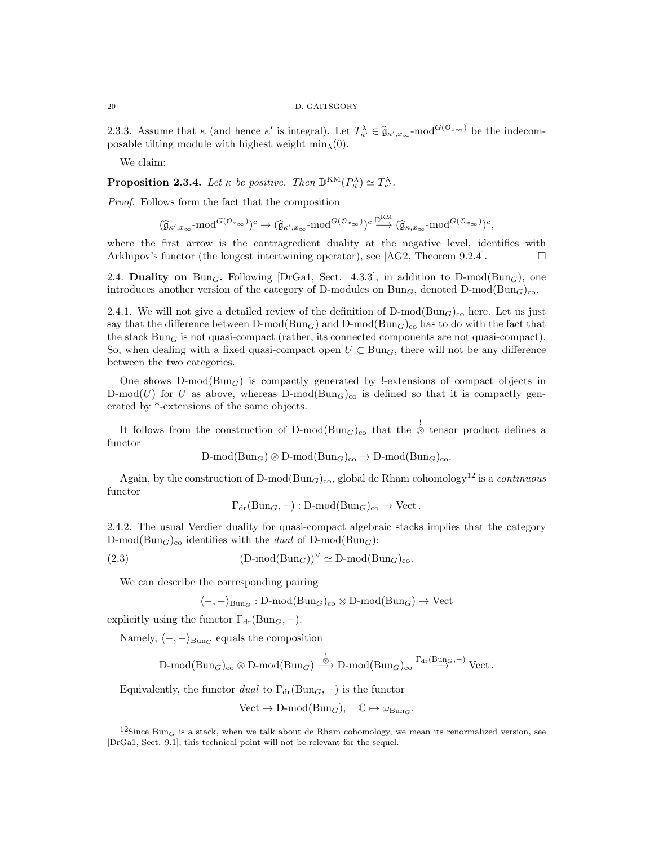2.3.3. Assume that  $\kappa$  (and hence  $\kappa'$  is integral). Let  $T_{\kappa'}^{\lambda} \in \hat{\mathfrak{g}}_{\kappa',x_{\infty}}$ -mod<sup> $G(\mathfrak{O}_{x_{\infty}})$ </sup> be the indecomposable tilting module with highest weight  $\min_{\lambda}(0)$ .

We claim:

**Proposition 2.3.4.** Let  $\kappa$  be positive. Then  $\mathbb{D}^{KM}(P_{\kappa}^{\lambda}) \simeq T_{\kappa'}^{\lambda}$ .

Proof. Follows form the fact that the composition

$$
(\widehat{\mathfrak{g}}_{\kappa',x_\infty}\text{-mod}^{G(\mathcal{O}_{x_\infty})})^c \rightarrow (\widehat{\mathfrak{g}}_{\kappa',x_\infty}\text{-mod}^{G(\mathcal{O}_{x_\infty})})^c \overset{\mathbb{D}^{\text{KM}}}{\longrightarrow} (\widehat{\mathfrak{g}}_{\kappa,x_\infty}\text{-mod}^{G(\mathcal{O}_{x_\infty})})^c,
$$

where the first arrow is the contragredient duality at the negative level, identifies with Arkhipov's functor (the longest intertwining operator), see [AG2, Theorem 9.2.4].

2.4. Duality on Bun<sub>G</sub>. Following [DrGa1, Sect. 4.3.3], in addition to D-mod(Bun<sub>G</sub>), one introduces another version of the category of D-modules on  $Bun_G$ , denoted  $D\text{-mod}(Bun_G)_{co}$ .

2.4.1. We will not give a detailed review of the definition of  $D\text{-mod}(Bun_G)_{co}$  here. Let us just say that the difference between  $D\text{-mod}(Bun_G)$  and  $D\text{-mod}(Bun_G)_{co}$  has to do with the fact that the stack  $Bun<sub>G</sub>$  is not quasi-compact (rather, its connected components are not quasi-compact). So, when dealing with a fixed quasi-compact open  $U \subset \text{Bun}_G$ , there will not be any difference between the two categories.

One shows  $D\text{-mod}(Bun_G)$  is compactly generated by !-extensions of compact objects in D-mod(U) for U as above, whereas D-mod(Bun<sub>G</sub>)<sub>co</sub> is defined so that it is compactly generated by \*-extensions of the same objects.

It follows from the construction of D-mod( $\text{Bun}_G$ )<sub>co</sub> that the  $\stackrel{!}{\otimes}$  tensor product defines a functor

 $D\text{-mod}(Bun_G) \otimes D\text{-mod}(Bun_G)_{co} \to D\text{-mod}(Bun_G)_{co}.$ 

Again, by the construction of D-mod( $Bun_G$ )<sub>co</sub>, global de Rham cohomology<sup>12</sup> is a *continuous* functor

 $\Gamma_{\text{dr}}(\text{Bun}_G, -): \text{D-mod}(\text{Bun}_G)_{\text{co}} \to \text{Vect}.$ 

2.4.2. The usual Verdier duality for quasi-compact algebraic stacks implies that the category  $D\text{-mod}(Bun_G)_{co}$  identifies with the *dual* of  $D\text{-mod}(Bun_G)$ :

(2.3) 
$$
(\text{D-mod}(\text{Bun}_G))^{\vee} \simeq \text{D-mod}(\text{Bun}_G)_{\text{co}}.
$$

We can describe the corresponding pairing

$$
\langle -, -\rangle_{\text{Bun}_G} : D\text{-mod}(\text{Bun}_G)_{\text{co}} \otimes D\text{-mod}(\text{Bun}_G) \to \text{Vect}
$$

explicitly using the functor  $\Gamma_{dr}(\text{Bun}_G, -)$ .

Namely,  $\langle -, -\rangle_{\text{Bun}_G}$  equals the composition

$$
\text{D-mod}(\text{Bun}_G)_{\text{co}}\otimes \text{D-mod}(\text{Bun}_G)\stackrel{\overset{!}{\otimes}}{\longrightarrow}\text{D-mod}(\text{Bun}_G)_{\text{co}}\stackrel{\Gamma_{\text{dr}}(\text{Bun}_G,-)}{\longrightarrow}\text{Vect}\,.
$$

Equivalently, the functor dual to  $\Gamma_{dr}(\text{Bun}_G, -)$  is the functor

$$
\text{Vect} \to \text{D-mod}(\text{Bun}_G), \quad \mathbb{C} \mapsto \omega_{\text{Bun}_G}.
$$

<sup>&</sup>lt;sup>12</sup>Since Bun<sub>G</sub> is a stack, when we talk about de Rham cohomology, we mean its renormalized version, see [DrGa1, Sect. 9.1]; this technical point will not be relevant for the sequel.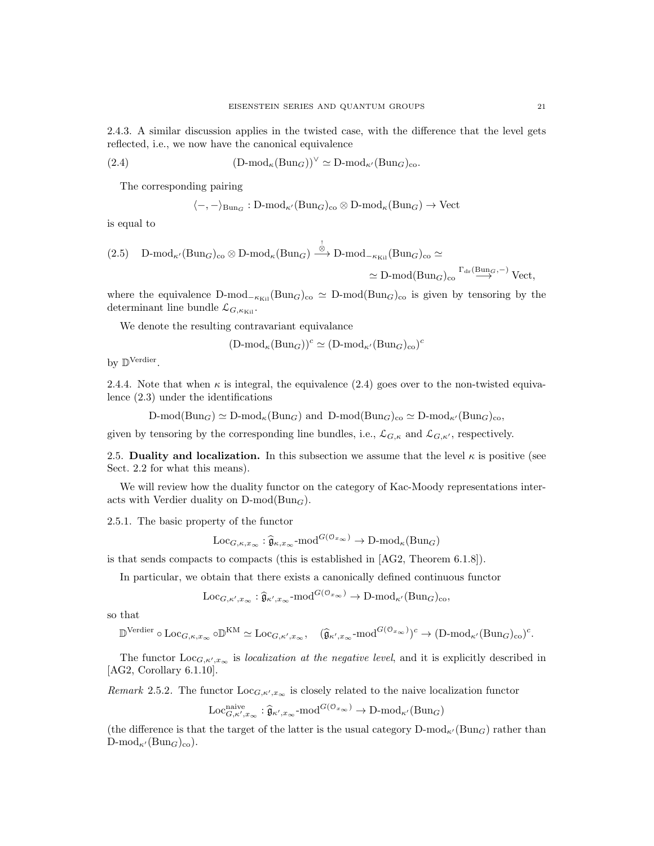2.4.3. A similar discussion applies in the twisted case, with the difference that the level gets reflected, i.e., we now have the canonical equivalence

(2.4) 
$$
(\text{D-mod}_{\kappa}(\text{Bun}_G))^{\vee} \simeq \text{D-mod}_{\kappa'}(\text{Bun}_G)_{\text{co}}.
$$

The corresponding pairing

$$
\langle -, - \rangle_{\text{Bun}_G} : D\text{-mod}_{\kappa'}(\text{Bun}_G)_{\text{co}} \otimes D\text{-mod}_{\kappa}(\text{Bun}_G) \to \text{Vect}
$$

is equal to

(2.5) 
$$
D\text{-mod}_{\kappa'}(\text{Bun}_G)_{co} \otimes D\text{-mod}_{\kappa}(\text{Bun}_G) \xrightarrow{\stackrel{\rightarrow}{\otimes}} D\text{-mod}_{-\kappa_{\text{Kil}}}(\text{Bun}_G)_{co} \simeq
$$

$$
\simeq D\text{-mod}(\text{Bun}_G)_{co} \xrightarrow{\Gamma_{\text{dr}}(\text{Bun}_G,-)} \text{Vect},
$$

where the equivalence D-mod<sub> $-k_{\text{Kil}}(\text{Bun}_G)_{\text{co}} \simeq D\text{-mod}(\text{Bun}_G)_{\text{co}}$  is given by tensoring by the</sub> determinant line bundle  $\mathcal{L}_{G,\kappa_{\text{Kil}}}.$ 

We denote the resulting contravariant equivalance

$$
(\mathrm{D\text{-}mod}_\kappa(\mathrm{Bun}_G))^c \simeq (\mathrm{D\text{-}mod}_{\kappa'}(\mathrm{Bun}_G)_{co})^c
$$

by  $\mathbb{D}^{\text{Verdier}}$ .

2.4.4. Note that when  $\kappa$  is integral, the equivalence (2.4) goes over to the non-twisted equivalence (2.3) under the identifications

$$
\text{D-mod}(\text{Bun}_G) \simeq \text{D-mod}_{\kappa}(\text{Bun}_G) \text{ and } \text{D-mod}(\text{Bun}_G)_{\text{co}} \simeq \text{D-mod}_{\kappa'}(\text{Bun}_G)_{\text{co}},
$$

given by tensoring by the corresponding line bundles, i.e.,  $\mathcal{L}_{G,\kappa}$  and  $\mathcal{L}_{G,\kappa'}$ , respectively.

2.5. Duality and localization. In this subsection we assume that the level  $\kappa$  is positive (see Sect. 2.2 for what this means).

We will review how the duality functor on the category of Kac-Moody representations interacts with Verdier duality on  $D\text{-mod}(Bun_G)$ .

2.5.1. The basic property of the functor

$$
\mathrm{Loc}_{G,\kappa,x_{\infty}} : \widehat{\mathfrak{g}}_{\kappa,x_{\infty}} \text{-mod}^{G(\mathcal{O}_{x_{\infty}})} \to \mathrm{D}\text{-mod}_{\kappa}(\mathrm{Bun}_G)
$$

is that sends compacts to compacts (this is established in [AG2, Theorem 6.1.8]).

In particular, we obtain that there exists a canonically defined continuous functor

$$
\mathrm{Loc}_{G,\kappa',x_{\infty}} : \widehat{\mathfrak{g}}_{\kappa',x_{\infty}} \text{-mod}^{G(\mathcal{O}_{x_{\infty}})} \to \mathrm{D-mod}_{\kappa'}(\mathrm{Bun}_G)_{\mathrm{co}},
$$

so that

$$
\mathbb{D}^{\text{Verdier}} \circ \text{Loc}_{G,\kappa,x_{\infty}} \circ \mathbb{D}^{\text{KM}} \simeq \text{Loc}_{G,\kappa',x_{\infty}}, \quad (\widehat{\mathfrak{g}}_{\kappa',x_{\infty}} \text{-mod}^{G(\mathcal{O}_{x_{\infty}})})^c \to (\text{D-mod}_{\kappa'}(\text{Bun}_G)_{\text{co}})^c.
$$

The functor  $Loc_{G,\kappa',x_\infty}$  is *localization at the negative level*, and it is explicitly described in [AG2, Corollary 6.1.10].

Remark 2.5.2. The functor  $Loc_{G,\kappa',x_\infty}$  is closely related to the naive localization functor

$$
\mathrm{Loc}_{G,\kappa',x_\infty}^{\text{naive}} : \widehat{\mathfrak{g}}_{\kappa',x_\infty} \text{-mod}^{G(\mathcal{O}_{x_\infty})} \to \mathrm{D-mod}_{\kappa'}(\mathrm{Bun}_G)
$$

(the difference is that the target of the latter is the usual category  $D\text{-mod}_{\kappa'}(Bun_G)$  rather than  $\text{D-mod}_{\kappa'}(\text{Bun}_G)_{\text{co}}).$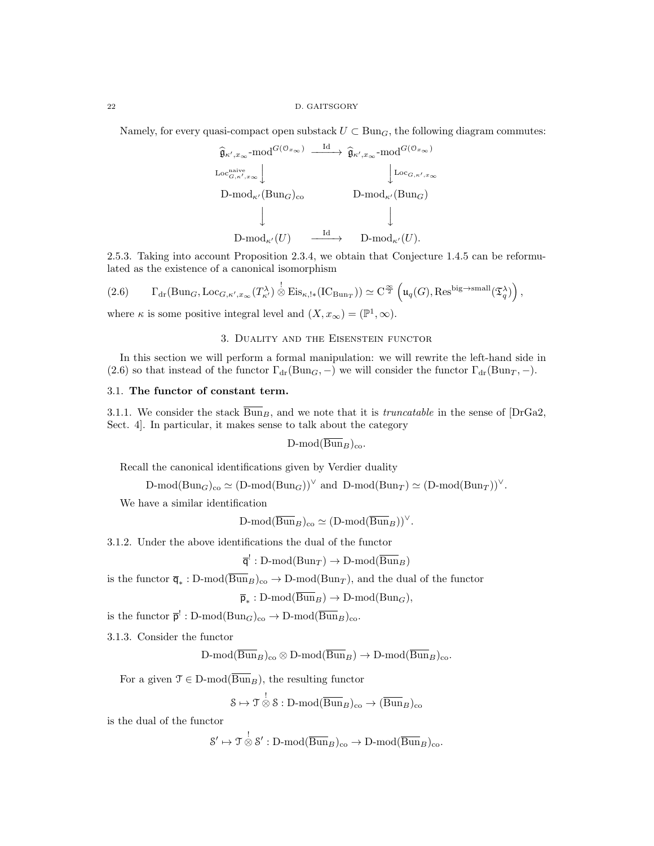#### 22 D. GAITSGORY

Namely, for every quasi-compact open substack  $U \subset \text{Bun}_G$ , the following diagram commutes:

$$
\begin{array}{ccc}\n\widehat{\mathfrak{g}}_{\kappa',x_{\infty}}\text{-mod}^{G(\mathcal{O}_{x_{\infty}})} & \xrightarrow{\operatorname{Id}} & \widehat{\mathfrak{g}}_{\kappa',x_{\infty}}\text{-mod}^{G(\mathcal{O}_{x_{\infty}})} \\
\text{Loc}_{G,\kappa',x_{\infty}}^{\text{naive}} & & \downarrow \text{Loc}_{G,\kappa',x_{\infty}} \\
\text{D-mod}_{\kappa'}(\text{Bun}_G)_{\text{co}} & & \text{D-mod}_{\kappa'}(\text{Bun}_G) \\
& & & \downarrow \\
\text{D-mod}_{\kappa'}(U) & \xrightarrow{\operatorname{Id}} & & \text{D-mod}_{\kappa'}(U).\n\end{array}
$$

2.5.3. Taking into account Proposition 2.3.4, we obtain that Conjecture 1.4.5 can be reformulated as the existence of a canonical isomorphism

$$
(2.6) \qquad \Gamma_{\text{dr}}(\text{Bun}_G, \text{Loc}_{G,\kappa',x_\infty}(T^\lambda_{\kappa'}) \overset{!}{\otimes} \text{Eis}_{\kappa,!\ast}(\text{IC}_{\text{Bun}_T})) \simeq C^{\frac{\infty}{2}} \left(\mathfrak{u}_q(G), \text{Res}^{\text{big}\to\text{small}}(\mathfrak{T}_q^\lambda)\right),
$$

where  $\kappa$  is some positive integral level and  $(X, x_{\infty}) = (\mathbb{P}^1, \infty)$ .

# 3. Duality and the Eisenstein functor

In this section we will perform a formal manipulation: we will rewrite the left-hand side in (2.6) so that instead of the functor  $\Gamma_{dr}(\text{Bun}_G, -)$  we will consider the functor  $\Gamma_{dr}(\text{Bun}_T, -)$ .

# 3.1. The functor of constant term.

3.1.1. We consider the stack  $\overline{Bun}_B$ , and we note that it is *truncatable* in the sense of [DrGa2, Sect. 4]. In particular, it makes sense to talk about the category

$$
D\text{-mod}(Bun_B)_{\text{co}}
$$
.

Recall the canonical identifications given by Verdier duality

$$
\text{D-mod}(\text{Bun}_G)_{\text{co}} \simeq (\text{D-mod}(\text{Bun}_G))^{\vee} \text{ and } \text{D-mod}(\text{Bun}_T) \simeq (\text{D-mod}(\text{Bun}_T))^{\vee}.
$$

We have a similar identification

$$
\text{D-mod}(\overline{\text{Bun}}_B)_{\text{co}} \simeq (\text{D-mod}(\overline{\text{Bun}}_B))^{\vee}.
$$

3.1.2. Under the above identifications the dual of the functor

$$
\overline{\mathsf{q}}^! : \mathsf{D}\text{-mod}(\mathsf{Bun}_T) \to \mathsf{D}\text{-mod}(\overline{\mathsf{Bun}}_B)
$$

is the functor  $\overline{\mathsf{q}}_* : D\text{-mod}(Bun_B)_{\text{co}} \to D\text{-mod}(Bun_T)$ , and the dual of the functor

$$
\overline{\mathsf{p}}_* : D\text{-mod}(\overline{\mathrm{Bun}}_B) \to D\text{-mod}(\mathrm{Bun}_G),
$$

is the functor  $\bar{\mathsf{p}}^! : \mathsf{D}\text{-mod}(\mathsf{Bun}_G)_{\mathsf{co}} \to \mathsf{D}\text{-mod}(\overline{\mathsf{Bun}}_B)_{\mathsf{co}}.$ 

3.1.3. Consider the functor

 $D\text{-mod}(\overline{\text{Bun}}_B)_{\text{co}} \otimes D\text{-mod}(\overline{\text{Bun}}_B) \to D\text{-mod}(\overline{\text{Bun}}_B)_{\text{co}}.$ 

For a given  $\mathfrak{T} \in \mathcal{D}$ -mod $(\overline{\text{Bun}}_B)$ , the resulting functor

$$
\mathcal{S}\mapsto\mathcal{T}\overset{!}{\otimes}\mathcal{S}:\mathrm{D\text{-}mod}(\overline{\mathrm{Bun}}_B)_{\mathrm{co}}\rightarrow(\overline{\mathrm{Bun}}_B)_{\mathrm{co}}
$$

is the dual of the functor

$$
\mathcal{S}' \mapsto \mathcal{T} \overset{!}{\otimes} \mathcal{S}' : D\text{-mod}(\overline{\operatorname{Bun}}_B)_{\operatorname{co}} \to D\text{-mod}(\overline{\operatorname{Bun}}_B)_{\operatorname{co}}.
$$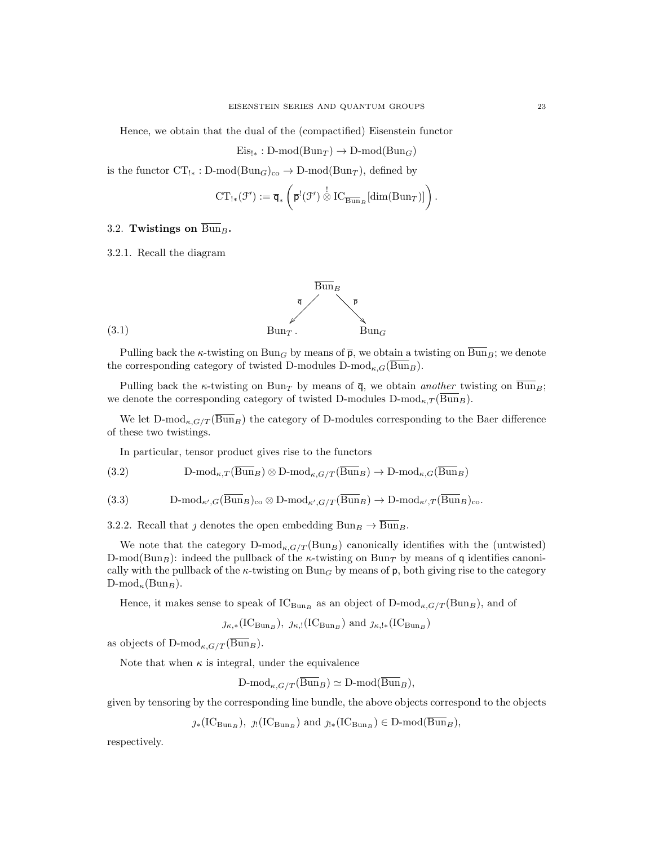Hence, we obtain that the dual of the (compactified) Eisenstein functor

 $Eis_{!*}: D\text{-mod}(Bun_T) \to D\text{-mod}(Bun_G)$ 

is the functor  $CT_{!*}: D\text{-mod}(Bun_G)_{co} \to D\text{-mod}(Bun_T)$ , defined by

$$
\operatorname{CT}_{!*}(\mathcal{F}'):=\overline{\mathsf{q}}_*\left(\overline{\mathsf{p}}^!(\mathcal{F}')\overset{!}{\otimes}\operatorname{IC}_{\overline{\operatorname{Bun}}_B}[\dim(\operatorname{Bun}_T)]\right).
$$

# 3.2. Twistings on  $\overline{\text{Bun}}_B$ .

3.2.1. Recall the diagram



Pulling back the  $\kappa$ -twisting on  $Bun_G$  by means of  $\bar{\rho}$ , we obtain a twisting on  $\overline{Bun}_B$ ; we denote the corresponding category of twisted D-modules  $D\text{-mod}_{\kappa,G}(Bun_B)$ .

Pulling back the  $\kappa$ -twisting on Bun<sub>T</sub> by means of  $\overline{\mathsf{q}}$ , we obtain another twisting on  $\overline{\text{Bun}}_B$ ; we denote the corresponding category of twisted D-modules  $D\text{-mod}_{\kappa,T}(\overline{\text{Bun}}_B)$ .

We let  $D\text{-mod}_{\kappa,G/T}(\overline{Bun}_B)$  the category of D-modules corresponding to the Baer difference of these two twistings.

In particular, tensor product gives rise to the functors

(3.2) 
$$
\text{D-mod}_{\kappa,T}(\overline{\text{Bun}}_B) \otimes \text{D-mod}_{\kappa,G/T}(\overline{\text{Bun}}_B) \to \text{D-mod}_{\kappa,G}(\overline{\text{Bun}}_B)
$$

(3.3)  $D\text{-mod}_{\kappa',G}(\overline{\text{Bun}}_B)_{\text{co}} \otimes D\text{-mod}_{\kappa',G/T}(\overline{\text{Bun}}_B) \to D\text{-mod}_{\kappa',T}(\overline{\text{Bun}}_B)_{\text{co}}.$ 

3.2.2. Recall that  $\jmath$  denotes the open embedding  $Bun_B \to \overline{Bun}_B$ .

We note that the category  $D\text{-mod}_{\kappa,G/T}(Bun_B)$  canonically identifies with the (untwisted) D-mod(Bun<sub>B</sub>): indeed the pullback of the  $\kappa$ -twisting on Bun<sub>T</sub> by means of q identifies canonically with the pullback of the  $\kappa$ -twisting on Bun<sub>G</sub> by means of p, both giving rise to the category  $\text{D-mod}_{\kappa}(\text{Bun}_B).$ 

Hence, it makes sense to speak of  $IC_{Bun_B}$  as an object of  $D\text{-mod}_{\kappa,G/T}(\text{Bun}_B)$ , and of

$$
j_{\kappa,*}
$$
(IC<sub>Bun<sub>B</sub></sub>),  $j_{\kappa,!}$ (IC<sub>Bun<sub>B</sub></sub>) and  $j_{\kappa,!*}$ (IC<sub>Bun<sub>B</sub></sub>)

as objects of D-mod<sub> $\kappa$ ,  $G/T$  ( $\overline{\text{Bun}}_B$ ).</sub>

Note that when  $\kappa$  is integral, under the equivalence

$$
\text{D-mod}_{\kappa, G/T}(\overline{\text{Bun}}_B) \simeq \text{D-mod}(\overline{\text{Bun}}_B),
$$

given by tensoring by the corresponding line bundle, the above objects correspond to the objects

 $\jmath_*({\rm IC}_{\rm Bun_B}),\ \jmath_!({\rm IC}_{\rm Bun_B})\text{ and }\jmath_{!*}({\rm IC}_{\rm Bun_B})\in{\rm D\text{-}mod}(\overline{\rm Bun}_B),$ 

respectively.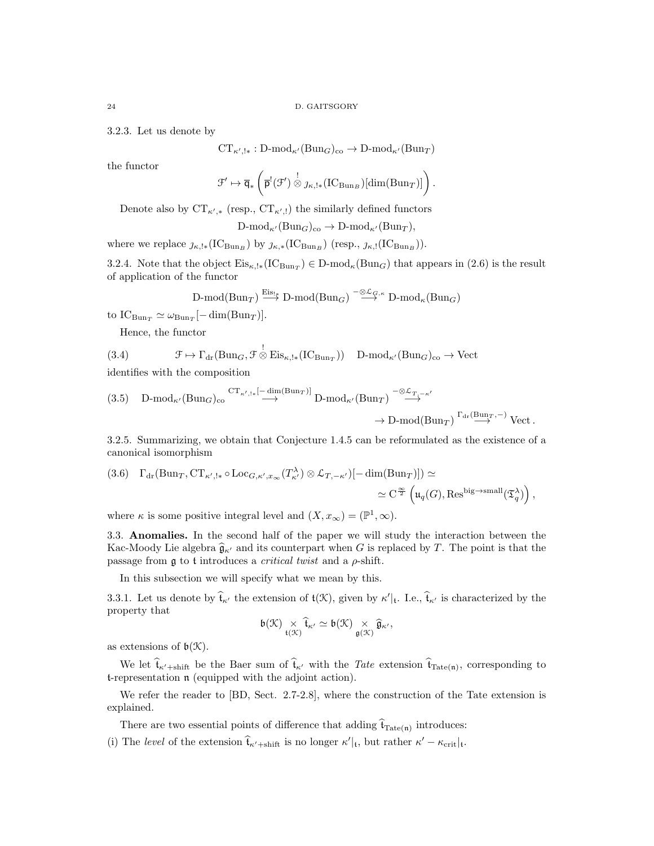3.2.3. Let us denote by

$$
CT_{\kappa',!*}: D\text{-mod}_{\kappa'}(Bun_G)_{co} \to D\text{-mod}_{\kappa'}(Bun_T)
$$

the functor

$$
\mathcal{F}' \mapsto \overline{\mathsf{q}}_*\left(\overline{\mathsf{p}}^!(\mathcal{F}') \overset{!}{\otimes} \jmath_{\kappa, !*}(\mathrm{IC}_{\mathrm{Bun}_B})[\dim(\mathrm{Bun}_T)]\right).
$$

Denote also by  $CT_{\kappa',*}$  (resp.,  $CT_{\kappa',!}$ ) the similarly defined functors

$$
\text{D-mod}_{\kappa'}(\text{Bun}_G)_{\text{co}} \to \text{D-mod}_{\kappa'}(\text{Bun}_T),
$$

where we replace  $j_{\kappa, !*}(\text{IC}_{\text{Bun}_B})$  by  $j_{\kappa, *}(\text{IC}_{\text{Bun}_B})$  (resp.,  $j_{\kappa, !}(\text{IC}_{\text{Bun}_B})$ ).

3.2.4. Note that the object  $\mathrm{Eis}_{\kappa, !*}(IC_{\text{Bun}_T}) \in D\text{-mod}_{\kappa}(Bun_G)$  that appears in  $(2.6)$  is the result of application of the functor

$$
\text{D-mod}(\text{Bun}_T) \stackrel{\text{Eis}_{!*}}{\longrightarrow} \text{D-mod}(\text{Bun}_G) \stackrel{-\otimes \mathcal{L}_{G,\kappa}}{\longrightarrow} \text{D-mod}_{\kappa}(\text{Bun}_G)
$$

to  $IC_{\text{Bun}_T} \simeq \omega_{\text{Bun}_T}[-\dim(\text{Bun}_T)].$ 

Hence, the functor

(3.4) 
$$
\mathcal{F} \mapsto \Gamma_{\text{dr}}(\text{Bun}_G, \mathcal{F} \overset{!}{\otimes} \text{Eis}_{\kappa, !*}(\text{IC}_{\text{Bun}_T})) \quad \text{D-mod}_{\kappa'}(\text{Bun}_G)_{\text{co}} \to \text{Vect}
$$

identifies with the composition

$$
(3.5) \quad \text{D-mod}_{\kappa'}(\text{Bun}_G)_{\text{co}} \stackrel{\text{CT}_{\kappa',!*}[-\dim(\text{Bun}_T)]}{\longrightarrow} \text{D-mod}_{\kappa'}(\text{Bun}_T) \stackrel{-\otimes \mathcal{L}_{T,-\kappa'}}{\longrightarrow} \sim
$$

$$
\rightarrow \text{D-mod}(\text{Bun}_T) \stackrel{\Gamma_{\text{dr}}(\text{Bun}_T,-)}{\longrightarrow} \text{Vect}.
$$

3.2.5. Summarizing, we obtain that Conjecture 1.4.5 can be reformulated as the existence of a canonical isomorphism

$$
(3.6) \Gamma_{\rm dr}(\text{Bun}_T, \text{CT}_{\kappa',!*} \circ \text{Loc}_{G,\kappa',x_\infty}(T_{\kappa'}^{\lambda}) \otimes \mathcal{L}_{T,-\kappa'})[-\dim(\text{Bun}_T)]) \simeq
$$
  

$$
\simeq C^{\frac{\infty}{2}} \left(\mathfrak{u}_q(G), \text{Res}^{\text{big}\to\text{small}}(\mathfrak{T}_q^{\lambda})\right),
$$

where  $\kappa$  is some positive integral level and  $(X, x_{\infty}) = (\mathbb{P}^1, \infty)$ .

3.3. Anomalies. In the second half of the paper we will study the interaction between the Kac-Moody Lie algebra  $\hat{\mathfrak{g}}_{\kappa}$  and its counterpart when G is replaced by T. The point is that the passage from  $\mathfrak g$  to t introduces a *critical twist* and a  $\rho$ -shift.

In this subsection we will specify what we mean by this.

3.3.1. Let us denote by  $\hat{\mathbf{t}}_{\kappa'}$  the extension of  $\mathbf{t}(\mathcal{K})$ , given by  $\kappa'|_{\mathbf{t}}$ . I.e.,  $\hat{\mathbf{t}}_{\kappa'}$  is characterized by the property that

$$
\mathfrak{b}(\mathfrak{K})\underset{\mathfrak{t}(\mathfrak{K})}{\times}\widehat{\mathfrak{t}}_{\kappa'}\simeq \mathfrak{b}(\mathfrak{K})\underset{\mathfrak{g}(\mathfrak{K})}{\times}\widehat{\mathfrak{g}}_{\kappa'},
$$

as extensions of  $\mathfrak{b}(\mathfrak{K})$ .

We let  $\mathfrak{t}_{\kappa'+\text{shift}}$  be the Baer sum of  $\mathfrak{t}_{\kappa'}$  with the Tate extension  $\mathfrak{t}_{\text{Tate}(\mathfrak{n})}$ , corresponding to t-representation n (equipped with the adjoint action).

We refer the reader to [BD, Sect. 2.7-2.8], where the construction of the Tate extension is explained.

There are two essential points of difference that adding  $\hat{t}_{\text{Tate}(n)}$  introduces:

(i) The level of the extension  $\hat{\mathbf{t}}_{\kappa'+\text{shift}}$  is no longer  $\kappa'|_{\mathbf{t}}$ , but rather  $\kappa' - \kappa_{\text{crit}}|_{\mathbf{t}}$ .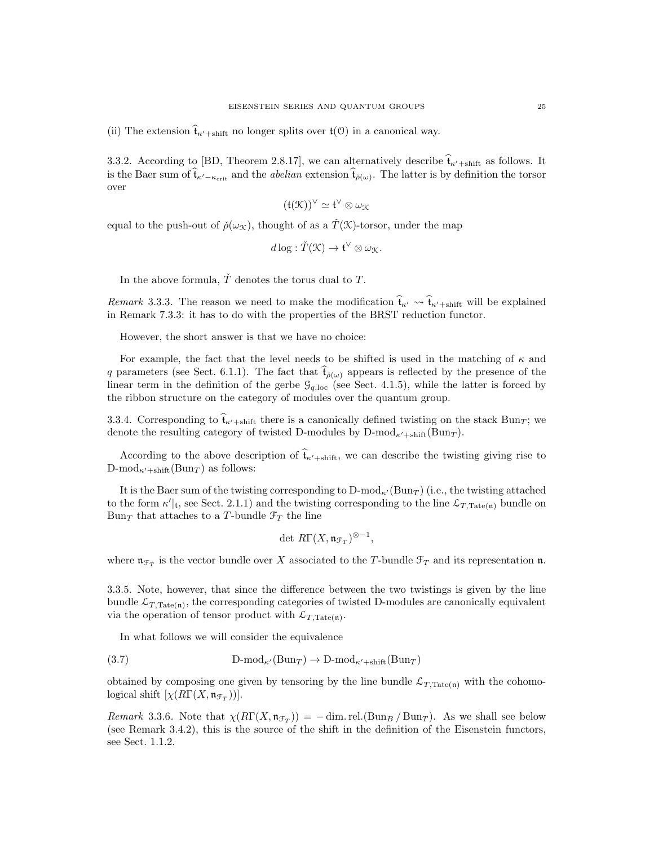(ii) The extension  $\hat{\mathfrak{t}}_{\kappa'+\text{shift}}$  no longer splits over  $\mathfrak{t}(0)$  in a canonical way.

3.3.2. According to [BD, Theorem 2.8.17], we can alternatively describe  $\hat{\mathfrak{t}}_{\kappa'+\text{shift}}$  as follows. It is the Baer sum of  $\mathfrak{t}_{\kappa'-\kappa_{\rm crit}}$  and the *abelian* extension  $\mathfrak{t}_{\check{\rho}(\omega)}$ . The latter is by definition the torsor over

$$
(\mathfrak{t}(\mathfrak{K}))^{\vee} \simeq \mathfrak{t}^{\vee} \otimes \omega_{\mathfrak{K}}
$$

equal to the push-out of  $\check{\rho}(\omega_{\mathcal{K}})$ , thought of as a  $\check{T}(\mathcal{K})$ -torsor, under the map

$$
d\log:\check{T}(\mathfrak{K})\to \mathfrak{t}^\vee\otimes \omega_{\mathfrak{K}}.
$$

In the above formula,  $\check{T}$  denotes the torus dual to  $T$ .

Remark 3.3.3. The reason we need to make the modification  $\hat{\mathfrak{t}}_{\kappa'} \leadsto \hat{\mathfrak{t}}_{\kappa'+\text{shift}}$  will be explained in Remark 7.3.3: it has to do with the properties of the BRST reduction functor.

However, the short answer is that we have no choice:

For example, the fact that the level needs to be shifted is used in the matching of  $\kappa$  and q parameters (see Sect. 6.1.1). The fact that  $\mathfrak{t}_{\rho(\omega)}$  appears is reflected by the presence of the linear term in the definition of the gerbe  $\mathcal{G}_{q,loc}$  (see Sect. 4.1.5), while the latter is forced by the ribbon structure on the category of modules over the quantum group.

3.3.4. Corresponding to  $\hat{\mathfrak{t}}_{\kappa'+\text{shift}}$  there is a canonically defined twisting on the stack Bun<sub>T</sub>; we denote the resulting category of twisted D-modules by  $D\text{-mod}_{\kappa'+\text{shift}}(\text{Bun}_T)$ .

According to the above description of  $\hat{t}_{\kappa' + \text{shift}}$ , we can describe the twisting giving rise to  $D\text{-mod}_{\kappa'+\text{shift}}(Bun_T)$  as follows:

It is the Baer sum of the twisting corresponding to  $D\text{-mod}_{\kappa'}(Bun_T)$  (i.e., the twisting attached to the form  $\kappa'|_{t}$ , see Sect. 2.1.1) and the twisting corresponding to the line  $\mathcal{L}_{T,\text{Tate}(n)}$  bundle on Bun<sub>T</sub> that attaches to a T-bundle  $\mathcal{F}_T$  the line

$$
\det R\Gamma(X,\mathfrak{n}_{\mathcal{F}_T})^{\otimes -1},
$$

where  $\mathfrak{n}_{\mathcal{T}_T}$  is the vector bundle over X associated to the T-bundle  $\mathcal{T}_T$  and its representation  $\mathfrak{n}$ .

3.3.5. Note, however, that since the difference between the two twistings is given by the line bundle  $\mathcal{L}_{T, \text{Tate}(\mathfrak{n})}$ , the corresponding categories of twisted D-modules are canonically equivalent via the operation of tensor product with  $\mathcal{L}_{T,\text{Tate(n)}}$ .

In what follows we will consider the equivalence

(3.7) 
$$
D\text{-mod}_{\kappa'}(\text{Bun}_T) \to D\text{-mod}_{\kappa' + \text{shift}}(\text{Bun}_T)
$$

obtained by composing one given by tensoring by the line bundle  $\mathcal{L}_{T, \text{Tate}(\mathfrak{n})}$  with the cohomological shift  $[\chi(R\Gamma(X,\mathfrak{n}_{\mathcal{F}_T}))].$ 

*Remark* 3.3.6. Note that  $\chi(R\Gamma(X, \mathfrak{n}_{\mathcal{T}_T})) = -\dim \text{rel.}(\text{Bun}_B/\text{Bun}_T)$ . As we shall see below (see Remark 3.4.2), this is the source of the shift in the definition of the Eisenstein functors, see Sect. 1.1.2.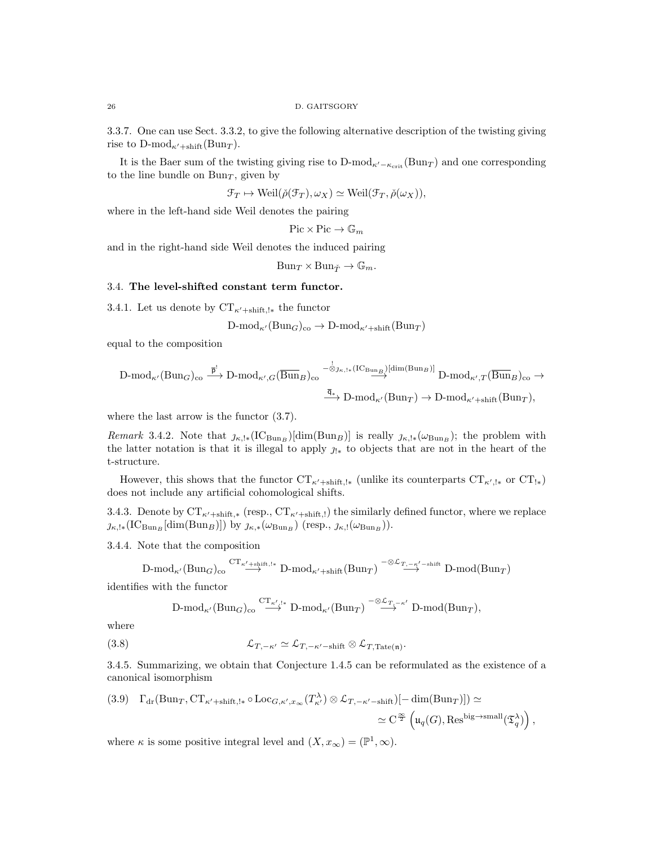3.3.7. One can use Sect. 3.3.2, to give the following alternative description of the twisting giving rise to D-mod<sub> $\kappa'$ +shift</sub>(Bun<sub>T</sub>).

It is the Baer sum of the twisting giving rise to D-mod<sub> $\kappa'$ - $\kappa_{\rm crit}$  (Bun<sub>T</sub>) and one corresponding</sub> to the line bundle on  $Bun<sub>T</sub>$ , given by

$$
\mathcal{F}_T \mapsto \text{Weil}(\check{\rho}(\mathcal{F}_T), \omega_X) \simeq \text{Weil}(\mathcal{F}_T, \check{\rho}(\omega_X)),
$$

where in the left-hand side Weil denotes the pairing

 $Pic \times Pic \rightarrow \mathbb{G}_m$ 

and in the right-hand side Weil denotes the induced pairing

 $Bun_T \times Bun_{\tilde{T}} \to \mathbb{G}_m$ .

### 3.4. The level-shifted constant term functor.

3.4.1. Let us denote by  $CT_{\kappa'+\text{shift.}!*}$  the functor

 $D\text{-mod}_{\kappa'}(\text{Bun}_G)_{\text{co}} \to D\text{-mod}_{\kappa'+\text{shift}}(\text{Bun}_T )$ 

equal to the composition

$$
\mathrm{D\text{-}mod}_{\kappa'}(\mathrm{Bun}_G)_{\mathrm{co}} \xrightarrow{\overline{\mathsf{p}}^!} \mathrm{D\text{-}mod}_{\kappa',G}(\overline{\mathrm{Bun}}_B)_{\mathrm{co}} \xrightarrow{-\overset{!}{\otimes}_{\jmath_{\kappa,\mathsf{I}*}}(\mathrm{IC}_{\mathrm{Bun}_B})[\dim(\mathrm{Bun}_B)]} \mathrm{D\text{-}mod}_{\kappa',T}(\overline{\mathrm{Bun}}_B)_{\mathrm{co}} \xrightarrow{\overline{\mathsf{q}}^*} \mathrm{D\text{-}mod}_{\kappa'(\mathrm{Bun}_T)} \mathrm{D\text{-}mod}_{\kappa'+\mathrm{shift}}(\mathrm{Bun}_T),
$$

where the last arrow is the functor (3.7).

Remark 3.4.2. Note that  $\jmath_{\kappa, !*}(\text{IC}_{\text{Bun}_B})[\text{dim}(\text{Bun}_B)]$  is really  $\jmath_{\kappa, !*}(\omega_{\text{Bun}_B})$ ; the problem with the latter notation is that it is illegal to apply  $j_{!*}$  to objects that are not in the heart of the t-structure.

However, this shows that the functor  $CT_{\kappa'+\text{shift},!*}$  (unlike its counterparts  $CT_{\kappa',!*}$  or  $CT_{!*}$ ) does not include any artificial cohomological shifts.

3.4.3. Denote by  $CT_{\kappa'+\text{shift},*}$  (resp.,  $CT_{\kappa'+\text{shift},!}$ ) the similarly defined functor, where we replace  $_{j_{\kappa, !*}}(IC_{\text{Bun}_B}[\text{dim}(\text{Bun}_B)])$  by  $_{j_{\kappa, *}}(\omega_{\text{Bun}_B})$  (resp.,  $_{j_{\kappa, !}}(\omega_{\text{Bun}_B})$ ).

3.4.4. Note that the composition

$$
\mathrm{D\text{-}mod}_{\kappa'}(\mathrm{Bun}_G)_{\mathrm{co}} \stackrel{\mathrm{CT}_{\kappa'+\mathrm{shift}, !\ast}}{\longrightarrow} \mathrm{D\text{-}mod}_{\kappa'+\mathrm{shift}}(\mathrm{Bun}_T) \stackrel{-\otimes \mathcal{L}_{T, -\kappa'-\mathrm{shift}}}{\longrightarrow} \mathrm{D\text{-}mod}(\mathrm{Bun}_T)
$$

identifies with the functor

$$
\mathrm{D\text{-}mod}_{\kappa'}(\mathrm{Bun}_G)_{\mathrm{co}}\stackrel{\mathrm{CT}_{\kappa',!*}}{\longrightarrow} \mathrm{D\text{-}mod}_{\kappa'}(\mathrm{Bun}_T)\stackrel{-\otimes \mathcal{L}_{T_i-\kappa'}}{\longrightarrow}\mathrm{D\text{-}mod}(\mathrm{Bun}_T),
$$

where

(3.8) 
$$
\mathcal{L}_{T,-\kappa'} \simeq \mathcal{L}_{T,-\kappa'-\text{shift}} \otimes \mathcal{L}_{T,\text{Tate(n)}}
$$

3.4.5. Summarizing, we obtain that Conjecture 1.4.5 can be reformulated as the existence of a canonical isomorphism

.

$$
(3.9) \Gamma_{\rm dr}(\text{Bun}_T, \text{CT}_{\kappa' + \text{shift}, !*} \circ \text{Loc}_{G, \kappa', x_{\infty}}(T^{\lambda}_{\kappa'}) \otimes \mathcal{L}_{T, -\kappa' - \text{shift}})[- \dim(\text{Bun}_T)]) \simeq
$$
  

$$
\simeq C^{\frac{\infty}{2}} \left( \mathfrak{u}_q(G), \text{Res}^{\text{big} \to \text{small}}(\mathfrak{T}^{\lambda}_q) \right),
$$

where  $\kappa$  is some positive integral level and  $(X, x_{\infty}) = (\mathbb{P}^1, \infty)$ .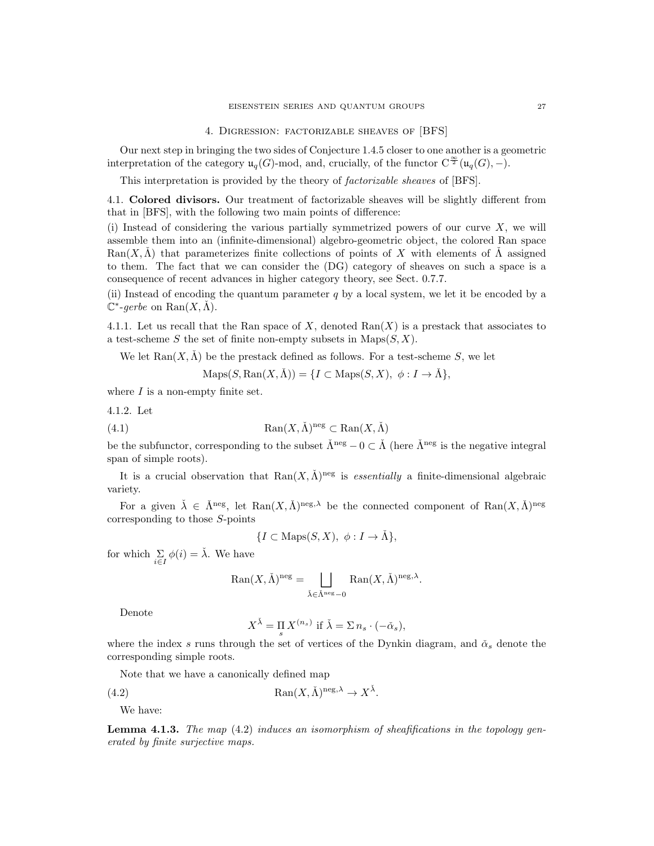### 4. Digression: factorizable sheaves of [BFS]

Our next step in bringing the two sides of Conjecture 1.4.5 closer to one another is a geometric interpretation of the category  $\mathfrak{u}_q(G)$ -mod, and, crucially, of the functor  $C^{\frac{\infty}{2}}(\mathfrak{u}_q(G), -)$ .

This interpretation is provided by the theory of factorizable sheaves of [BFS].

4.1. Colored divisors. Our treatment of factorizable sheaves will be slightly different from that in [BFS], with the following two main points of difference:

(i) Instead of considering the various partially symmetrized powers of our curve  $X$ , we will assemble them into an (infinite-dimensional) algebro-geometric object, the colored Ran space  $\text{Ran}(X,\Lambda)$  that parameterizes finite collections of points of X with elements of  $\Lambda$  assigned to them. The fact that we can consider the (DG) category of sheaves on such a space is a consequence of recent advances in higher category theory, see Sect. 0.7.7.

(ii) Instead of encoding the quantum parameter  $q$  by a local system, we let it be encoded by a  $\check{\mathbb{C}}^*$ -gerbe on  $\text{Ran}(X, \check{\Lambda}).$ 

4.1.1. Let us recall that the Ran space of X, denoted  $\text{Ran}(X)$  is a prestack that associates to a test-scheme S the set of finite non-empty subsets in  $\text{Maps}(S, X)$ .

We let  $\text{Ran}(X, \check{\Lambda})$  be the prestack defined as follows. For a test-scheme S, we let

$$
Maps(S, Ran(X, \check{\Lambda})) = \{ I \subset Maps(S, X), \ \phi : I \to \check{\Lambda} \},
$$

where  $I$  is a non-empty finite set.

4.1.2. Let

(4.1) 
$$
\text{Ran}(X, \check{\Lambda})^{\text{neg}} \subset \text{Ran}(X, \check{\Lambda})
$$

be the subfunctor, corresponding to the subset  $\check{\Lambda}^{\text{neg}} - 0 \subset \check{\Lambda}$  (here  $\check{\Lambda}^{\text{neg}}$  is the negative integral span of simple roots).

It is a crucial observation that  $\text{Ran}(X, \check{\Lambda})^{\text{neg}}$  is *essentially* a finite-dimensional algebraic variety.

For a given  $\lambda \in \Lambda^{\text{neg}}$ , let  $\text{Ran}(X, \check{\Lambda})^{\text{neg}}$  be the connected component of  $\text{Ran}(X, \check{\Lambda})^{\text{neg}}$ corresponding to those S-points

$$
\{I \subset \text{Maps}(S, X), \ \phi: I \to \check{\Lambda}\},\
$$

for which  $\sum_{i \in I} \phi(i) = \check{\lambda}$ . We have

$$
\text{Ran}(X,\check{\Lambda})^{\text{neg}} = \bigsqcup_{\check{\lambda} \in \check{\Lambda}^{\text{neg}} - 0} \text{Ran}(X,\check{\Lambda})^{\text{neg},\lambda}.
$$

Denote

$$
X^{\check{\lambda}} = \prod_s X^{(n_s)} \text{ if } \check{\lambda} = \Sigma n_s \cdot (-\check{\alpha}_s),
$$

where the index s runs through the set of vertices of the Dynkin diagram, and  $\alpha_s$  denote the corresponding simple roots.

Note that we have a canonically defined map

(4.2) 
$$
\text{Ran}(X, \check{\Lambda})^{\text{neg}, \lambda} \to X^{\check{\lambda}}.
$$

We have:

**Lemma 4.1.3.** The map  $(4.2)$  induces an isomorphism of sheaft fications in the topology generated by finite surjective maps.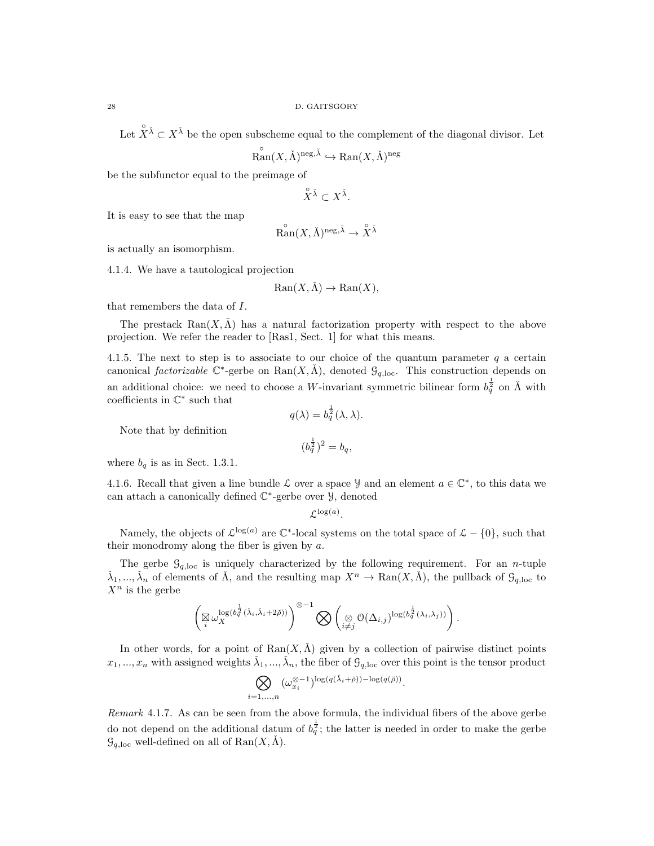Let  $X^{\check{\lambda}} \subset X^{\check{\lambda}}$  be the open subscheme equal to the complement of the diagonal divisor. Let

$$
\overset{\circ}{\text{Ran}}(X,\check{\Lambda})^{\text{neg},\check{\lambda}} \hookrightarrow \text{Ran}(X,\check{\Lambda})^{\text{neg}}
$$

be the subfunctor equal to the preimage of

$$
\overset{\circ}{X}{}^{\check\lambda}\subset X^{\check\lambda}.
$$

It is easy to see that the map

$$
\overset{\circ}{\text{\rm Ran}} (X,\check{\Lambda})^{\text{\rm neg},\check{\lambda}} \to \overset{\circ}{X}\check{\lambda}
$$

is actually an isomorphism.

4.1.4. We have a tautological projection

$$
Ran(X, \check{\Lambda}) \to Ran(X),
$$

that remembers the data of I.

The prestack Ran $(X, \Lambda)$  has a natural factorization property with respect to the above projection. We refer the reader to [Ras1, Sect. 1] for what this means.

4.1.5. The next to step is to associate to our choice of the quantum parameter  $q$  a certain canonical factorizable  $\mathbb{C}^*$ -gerbe on  $\text{Ran}(X, \check{\Lambda})$ , denoted  $\mathcal{G}_{q,\text{loc}}$ . This construction depends on an additional choice: we need to choose a W-invariant symmetric bilinear form  $b_q^{\frac{1}{2}}$  on  $\check{\Lambda}$  with coefficients in  $\mathbb{C}^*$  such that

$$
q(\lambda) = b_q^{\frac{1}{2}}(\lambda, \lambda).
$$

Note that by definition

$$
(b_q^{\frac{1}{2}})^2 = b_q,
$$

where  $b_q$  is as in Sect. 1.3.1.

4.1.6. Recall that given a line bundle  $\mathcal L$  over a space  $\mathcal Y$  and an element  $a \in \mathbb C^*$ , to this data we can attach a canonically defined C ∗ -gerbe over Y, denoted

 $\mathcal{L}^{\log(a)}$ .

Namely, the objects of  $\mathcal{L}^{\log(a)}$  are  $\mathbb{C}^*$ -local systems on the total space of  $\mathcal{L} - \{0\}$ , such that their monodromy along the fiber is given by  $a$ .

The gerbe  $\mathcal{G}_{q,loc}$  is uniquely characterized by the following requirement. For an *n*-tuple  $\check{\lambda}_1,...,\check{\lambda}_n$  of elements of  $\check{\Lambda}$ , and the resulting map  $X^n \to \text{Ran}(X,\check{\Lambda})$ , the pullback of  $\mathcal{G}_{q,\text{loc}}$  to  $X^n$  is the gerbe

$$
\left(\boxtimes_{i}\omega_X^{\log(b_q^{\frac{1}{2}}(\check{\lambda}_i,\check{\lambda}_i+2\check{\rho}))}\right)^{\otimes-1}\bigotimes \left(\underset{i\neq j}{\otimes}\mathcal{O}(\Delta_{i,j})^{\log(b_q^{\frac{1}{2}}(\lambda_i,\lambda_j))}\right).
$$

In other words, for a point of  $\text{Ran}(X,\Lambda)$  given by a collection of pairwise distinct points  $x_1, ..., x_n$  with assigned weights  $\lambda_1, ..., \lambda_n$ , the fiber of  $\mathcal{G}_{q,loc}$  over this point is the tensor product

$$
\bigotimes_{i=1,\ldots,n} (\omega_{x_i}^{\otimes -1})^{\log(q(\check{\lambda}_i+\check{\rho}))-\log(q(\check{\rho}))}.
$$

Remark 4.1.7. As can be seen from the above formula, the individual fibers of the above gerbe do not depend on the additional datum of  $b_q^{\frac{1}{2}}$ ; the latter is needed in order to make the gerbe  $\mathcal{G}_{q,loc}$  well-defined on all of  $\text{Ran}(X,\check{\Lambda})$ .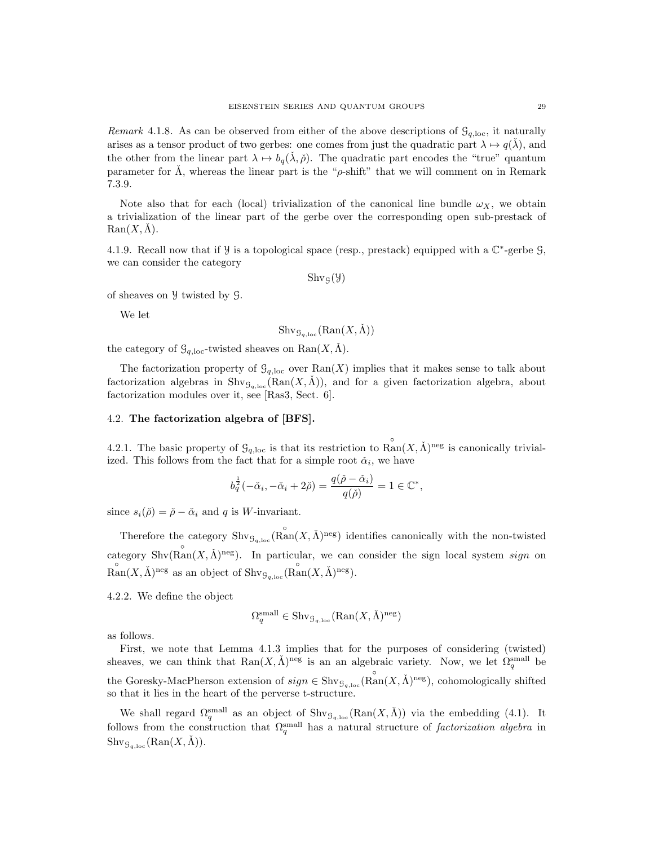Remark 4.1.8. As can be observed from either of the above descriptions of  $\mathcal{G}_{q,loc}$ , it naturally arises as a tensor product of two gerbes: one comes from just the quadratic part  $\lambda \mapsto q(\lambda)$ , and the other from the linear part  $\lambda \mapsto b_q(\lambda, \check{\rho})$ . The quadratic part encodes the "true" quantum parameter for  $\dot{\Lambda}$ , whereas the linear part is the " $\rho$ -shift" that we will comment on in Remark 7.3.9.

Note also that for each (local) trivialization of the canonical line bundle  $\omega_X$ , we obtain a trivialization of the linear part of the gerbe over the corresponding open sub-prestack of  $\text{Ran}(X,\Lambda)$ .

4.1.9. Recall now that if  $\mathcal{Y}$  is a topological space (resp., prestack) equipped with a  $\mathbb{C}^*$ -gerbe  $\mathcal{G}$ , we can consider the category

 $\text{Shv}_\mathcal{G}(y)$ 

of sheaves on Y twisted by G.

We let

$$
\mathrm{Shv}_{\mathcal{G}_{q,\mathrm{loc}}}(\mathrm{Ran}(X,\check{\Lambda}))
$$

the category of  $\mathcal{G}_{q,\text{loc}}$ -twisted sheaves on Ran $(X,\check{\Lambda})$ .

The factorization property of  $\mathcal{G}_{q,\mathrm{loc}}$  over  $\text{Ran}(X)$  implies that it makes sense to talk about factorization algebras in  $\text{Shv}_{\mathcal{G}_q,\text{loc}}(\text{Ran}(X,\check{\Lambda}))$ , and for a given factorization algebra, about factorization modules over it, see [Ras3, Sect. 6].

#### 4.2. The factorization algebra of [BFS].

4.2.1. The basic property of  $\mathcal{G}_{q,loc}$  is that its restriction to  $\overset{\circ}{\text{Ran}}(X,\check{\Lambda})^{\text{neg}}$  is canonically trivialized. This follows from the fact that for a simple root  $\check{\alpha}_i$ , we have

$$
b_q^{\frac{1}{2}}(-\check{\alpha}_i, -\check{\alpha}_i + 2\check{\rho}) = \frac{q(\check{\rho} - \check{\alpha}_i)}{q(\check{\rho})} = 1 \in \mathbb{C}^*,
$$

since  $s_i(\check{\rho}) = \check{\rho} - \check{\alpha}_i$  and q is W-invariant.

Therefore the category  $\text{Shv}_{\mathcal{G}_q,\text{loc}}(\overset{\circ}{\text{Ran}}(X,\check{\Lambda})^{\text{neg}})$  identifies canonically with the non-twisted category Shv $(\overset{\circ}{\text{Ran}}(X, \check{\Lambda})^{\text{neg}})$ . In particular, we can consider the sign local system *sign* on  $\overset{\circ}{\text{Ran}}(X, \check{\Lambda})^{\text{neg}}$  as an object of  $\text{Shv}_{\mathcal{G}_{q,\text{loc}}}(\overset{\circ}{\text{Ran}}(X, \check{\Lambda})^{\text{neg}})$ .

4.2.2. We define the object

$$
\Omega_q^{\text{small}} \in \text{Shv}_{\mathcal{G}_{q,\text{loc}}}(\text{Ran}(X,\check{\Lambda})^{\text{neg}})
$$

as follows.

First, we note that Lemma 4.1.3 implies that for the purposes of considering (twisted) sheaves, we can think that  $\text{Ran}(X, \check{\Lambda})^{\text{neg}}$  is an an algebraic variety. Now, we let  $\Omega_q^{\text{small}}$  be the Goresky-MacPherson extension of  $sign \in \text{Shv}_{\mathcal{G}_{q,\text{loc}}}(\hat{\text{Ran}}(X,\check{\Lambda})^{\text{neg}})$ , cohomologically shifted so that it lies in the heart of the perverse t-structure.

We shall regard  $\Omega_q^{\text{small}}$  as an object of  $\text{Shv}_{\mathcal{G}_q,\text{loc}}(\text{Ran}(X,\check{\Lambda}))$  via the embedding (4.1). It follows from the construction that  $\Omega_q^{\text{small}}$  has a natural structure of *factorization algebra* in  $\mathrm{Shv}_{\mathcal{G}_{q,\mathrm{loc}}}(\mathrm{Ran}(X,\Lambda)).$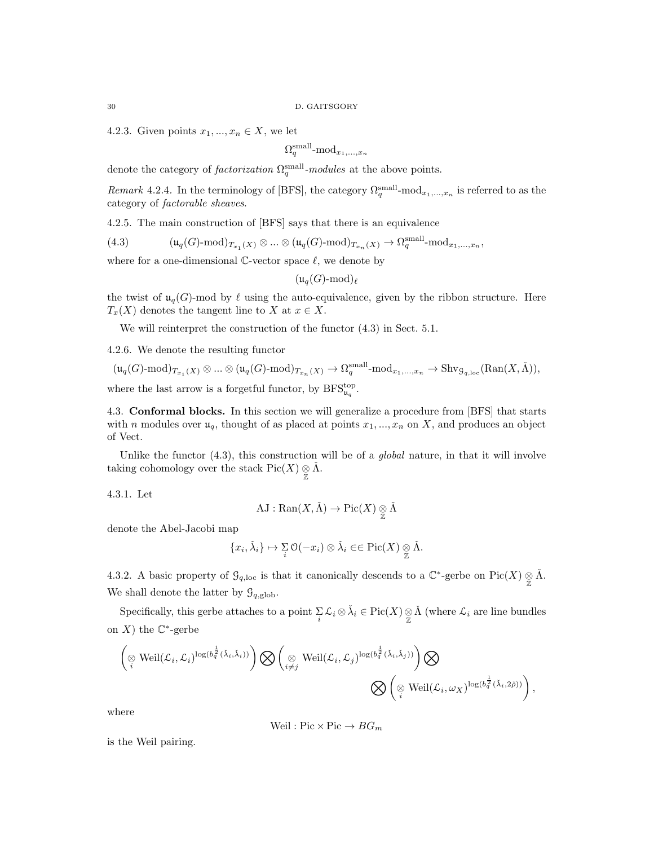4.2.3. Given points  $x_1, ..., x_n \in X$ , we let

$$
\Omega_q^{\text{small}}\text{-}\mathrm{mod}_{x_1,...,x_n}
$$

denote the category of *factorization*  $\Omega_q^{\text{small}}$ -modules at the above points.

Remark 4.2.4. In the terminology of [BFS], the category  $\Omega_q^{\text{small}}$ -mod<sub> $x_1,...,x_n$ </sub> is referred to as the category of factorable sheaves.

4.2.5. The main construction of [BFS] says that there is an equivalence

(4.3)  $(\mathfrak{u}_q(G)\text{-mod})_{T_{x_1}(X)} \otimes \ldots \otimes (\mathfrak{u}_q(G)\text{-mod})_{T_{x_n}(X)} \to \Omega_q^{\text{small}}\text{-mod}_{x_1,\ldots,x_n},$ 

where for a one-dimensional  $\mathbb{C}\text{-vector space }\ell$ , we denote by

$$
(\mathfrak{u}_q(G)\text{-mod})_\ell
$$

the twist of  $\mathfrak{u}_q(G)$ -mod by  $\ell$  using the auto-equivalence, given by the ribbon structure. Here  $T_x(X)$  denotes the tangent line to X at  $x \in X$ .

We will reinterpret the construction of the functor (4.3) in Sect. 5.1.

4.2.6. We denote the resulting functor

$$
(\mathfrak{u}_q(G)\text{-mod})_{T_{x_1}(X)} \otimes \ldots \otimes (\mathfrak{u}_q(G)\text{-mod})_{T_{x_n}(X)} \to \Omega_q^{\text{small}}\text{-mod}_{x_1,\ldots,x_n} \to \text{Shv}_{\mathfrak{g}_{q,\text{loc}}}(\text{Ran}(X,\check{\Lambda})),
$$
  
where the last arrow is a forgetful functor, by  $\text{BFS}_{\mathfrak{u}_q}^{\text{top}}.$ 

4.3. Conformal blocks. In this section we will generalize a procedure from [BFS] that starts with n modules over  $u_q$ , thought of as placed at points  $x_1, ..., x_n$  on X, and produces an object of Vect.

Unlike the functor  $(4.3)$ , this construction will be of a *global* nature, in that it will involve taking cohomology over the stack  $Pic(X) \underset{\mathbb{Z}}{\otimes} \check{\Lambda}$ .

4.3.1. Let

$$
\mathrm{AJ}:\mathrm{Ran}(X,\check{\Lambda})\to \mathrm{Pic}(X)\underset{\mathbb{Z}}{\otimes}\check{\Lambda}
$$

denote the Abel-Jacobi map

$$
\{x_i, \check{\lambda}_i\} \mapsto \sum_i \mathcal{O}(-x_i) \otimes \check{\lambda}_i \in \in \mathrm{Pic}(X) \underset{\mathbb{Z}}{\otimes} \check{\Lambda}.
$$

4.3.2. A basic property of  $\mathcal{G}_{q,loc}$  is that it canonically descends to a  $\mathbb{C}^*$ -gerbe on  $Pic(X) \underset{\mathbb{Z}}{\otimes} \check{\Lambda}$ . We shall denote the latter by  $\mathcal{G}_{q,\text{glob}}$ .

Specifically, this gerbe attaches to a point  $\sum_i \mathcal{L}_i \otimes \check{\lambda}_i \in \text{Pic}(X) \underset{\mathbb{Z}}{\otimes} \check{\Lambda}$  (where  $\mathcal{L}_i$  are line bundles on  $X$ ) the  $\mathbb{C}^*$ -gerbe

$$
\left(\underset{i}{\otimes} \text{ Weil}(\mathcal{L}_i,\mathcal{L}_i)^{\log(b_q^{\frac{1}{2}}(\check{\lambda}_i,\check{\lambda}_i))}\right) \bigotimes \left(\underset{i\neq j}{\otimes} \text{ Weil}(\mathcal{L}_i,\mathcal{L}_j)^{\log(b_q^{\frac{1}{2}}(\check{\lambda}_i,\check{\lambda}_j))}\right) \bigotimes \bigotimes \left(\underset{i}{\otimes} \text{ Weil}(\mathcal{L}_i,\omega_X)^{\log(b_q^{\frac{1}{2}}(\check{\lambda}_i,2\check{\rho}))}\right),
$$

where

Weil: Pic 
$$
\times
$$
 Pic  $\rightarrow BG_m$ 

is the Weil pairing.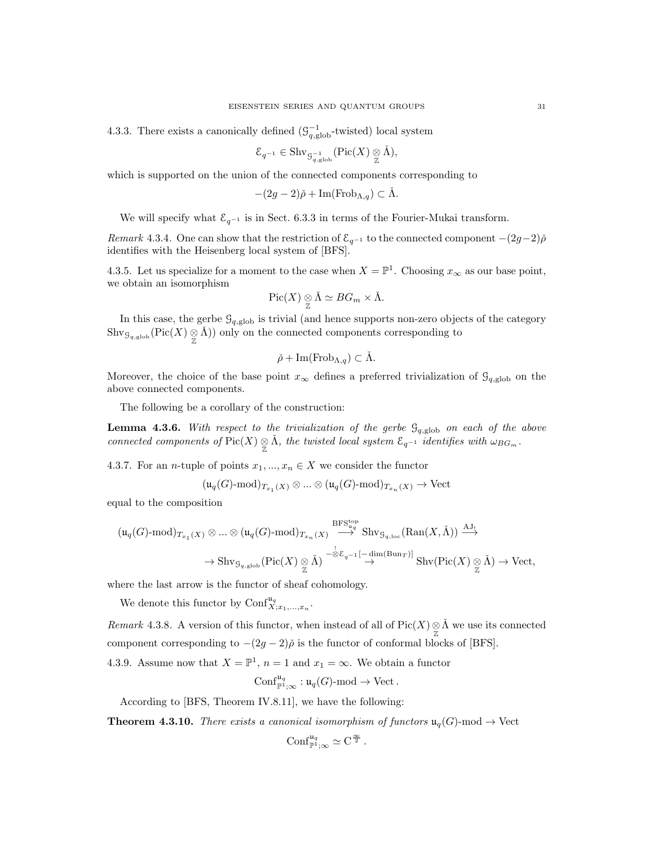4.3.3. There exists a canonically defined  $(\mathcal{G}_{q,\text{glob}}^{-1}$ -twisted) local system

$$
\mathcal{E}_{q^{-1}} \in \mathrm{Shv}_{\mathcal{G}_{q,\mathrm{glob}}^{-1}}(\mathrm{Pic}(X) \underset{\mathbb{Z}}{\otimes} \check{\Lambda}),
$$

which is supported on the union of the connected components corresponding to

$$
-(2g-2)\check{\rho}+\operatorname{Im}(\operatorname{Frob}_{\Lambda,q})\subset \check{\Lambda}.
$$

We will specify what  $\mathcal{E}_{q^{-1}}$  is in Sect. 6.3.3 in terms of the Fourier-Mukai transform.

Remark 4.3.4. One can show that the restriction of  $\mathcal{E}_{q-1}$  to the connected component  $-(2g-2)\tilde{\rho}$ identifies with the Heisenberg local system of [BFS].

4.3.5. Let us specialize for a moment to the case when  $X = \mathbb{P}^1$ . Choosing  $x_{\infty}$  as our base point, we obtain an isomorphism

$$
\mathrm{Pic}(X)\underset{\mathbb{Z}}{\otimes}\check{\Lambda}\simeq BG_m\times\check{\Lambda}.
$$

In this case, the gerbe  $\mathcal{G}_{q,\text{glob}}$  is trivial (and hence supports non-zero objects of the category  $\text{Shv}_{\mathcal{G}_{q,\text{glob}}}(\text{Pic}(X)\underset{\mathbb{Z}}{\otimes}\check{\Lambda}))$  only on the connected components corresponding to

$$
\check{\rho} + \operatorname{Im}(\operatorname{Frob}_{\Lambda,q}) \subset \check{\Lambda}.
$$

Moreover, the choice of the base point  $x_{\infty}$  defines a preferred trivialization of  $\mathcal{G}_{q,\text{glob}}$  on the above connected components.

The following be a corollary of the construction:

**Lemma 4.3.6.** With respect to the trivialization of the gerbe  $\mathcal{G}_{q, \text{glob}}$  on each of the above connected components of  $Pic(X) \underset{\mathbb{Z}}{\otimes} \check{\Lambda}$ , the twisted local system  $\mathcal{E}_{q^{-1}}$  identifies with  $\omega_{BG_m}$ .

4.3.7. For an *n*-tuple of points  $x_1, ..., x_n \in X$  we consider the functor

$$
(\mathfrak{u}_q(G)\text{-mod})_{T_{x_1}(X)} \otimes \dots \otimes (\mathfrak{u}_q(G)\text{-mod})_{T_{x_n}(X)} \to \text{Vect}
$$

equal to the composition

$$
\begin{aligned}\n(\mathfrak{u}_q(G)\text{-mod})_{T_{x_1}(X)} &\otimes \ldots \otimes (\mathfrak{u}_q(G)\text{-mod})_{T_{x_n}(X)} \stackrel{\text{BFS}_{uq}^{\text{top}}}{\longrightarrow} \text{Shv}_{\mathcal{G}_{q,\text{loc}}}(\text{Ran}(X,\check{\Lambda})) \stackrel{\text{AJ}_1}{\longrightarrow} \\
&\to \text{Shv}_{\mathcal{G}_{q,\text{glob}}}(\text{Pic}(X) \underset{\mathbb{Z}}{\otimes} \check{\Lambda}) \stackrel{-\overset{!}{\otimes} \mathcal{E}_{q-1}[-\dim(\text{Bun}_T)]}{\longrightarrow} \text{Shv}(\text{Pic}(X) \underset{\mathbb{Z}}{\otimes} \check{\Lambda}) \to \text{Vect},\n\end{aligned}
$$

where the last arrow is the functor of sheaf cohomology.

We denote this functor by  $\text{Conf}_{X;x_1,...,x_n}^{\mathfrak{u}_q}$ .

Remark 4.3.8. A version of this functor, when instead of all of Pic $(X) \underset{\mathbb{Z}}{\otimes} \check{\Lambda}$  we use its connected component corresponding to  $-(2g-2)\tilde{\rho}$  is the functor of conformal blocks of [BFS].

4.3.9. Assume now that  $X = \mathbb{P}^1$ ,  $n = 1$  and  $x_1 = \infty$ . We obtain a functor

$$
\mathrm{Conf}_{\mathbb{P}^1;\infty}^{\mathfrak{u}_q} : \mathfrak{u}_q(G)\text{-}\mathrm{mod} \to \mathrm{Vect}\,.
$$

According to [BFS, Theorem IV.8.11], we have the following:

**Theorem 4.3.10.** There exists a canonical isomorphism of functors  $\mathfrak{u}_q(G)$ -mod  $\rightarrow$  Vect

$$
\mathrm{Conf}_{\mathbb{P}^1;\infty}^{u_q}\simeq C^{\frac{\infty}{2}}\,.
$$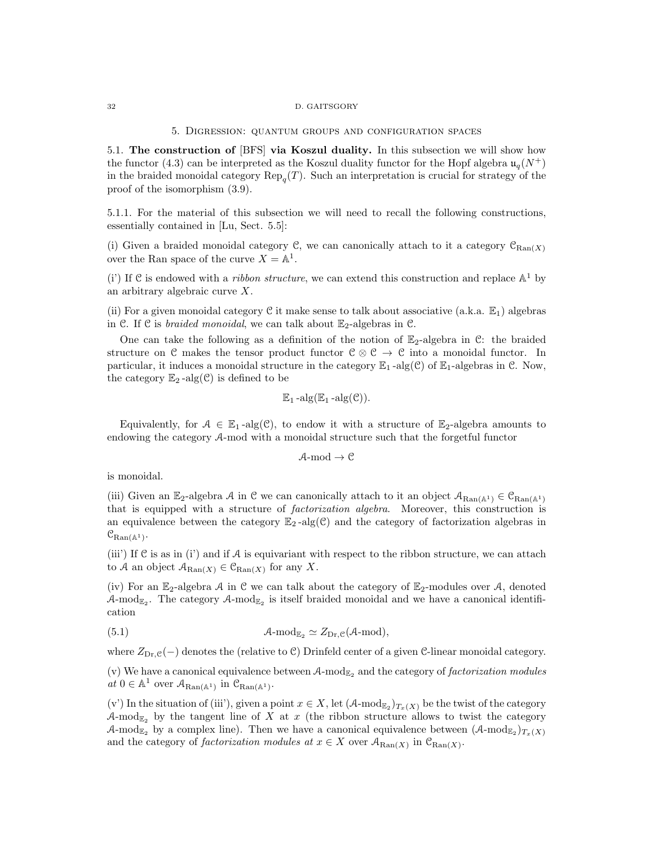#### 32 D. GAITSGORY

#### 5. Digression: quantum groups and configuration spaces

5.1. The construction of [BFS] via Koszul duality. In this subsection we will show how the functor (4.3) can be interpreted as the Koszul duality functor for the Hopf algebra  $u_q(N^+)$ in the braided monoidal category  $\text{Rep}_q(T)$ . Such an interpretation is crucial for strategy of the proof of the isomorphism (3.9).

5.1.1. For the material of this subsection we will need to recall the following constructions, essentially contained in [Lu, Sect. 5.5]:

(i) Given a braided monoidal category C, we can canonically attach to it a category  $\mathcal{C}_{\text{Ran}(X)}$ over the Ran space of the curve  $X = \mathbb{A}^1$ .

(i') If C is endowed with a *ribbon structure*, we can extend this construction and replace  $\mathbb{A}^1$  by an arbitrary algebraic curve X.

(ii) For a given monoidal category C it make sense to talk about associative (a.k.a.  $\mathbb{E}_1$ ) algebras in C. If C is *braided monoidal*, we can talk about  $\mathbb{E}_2$ -algebras in C.

One can take the following as a definition of the notion of  $\mathbb{E}_2$ -algebra in C: the braided structure on C makes the tensor product functor  $C \otimes C \rightarrow C$  into a monoidal functor. In particular, it induces a monoidal structure in the category  $\mathbb{E}_1$ -alg(C) of  $\mathbb{E}_1$ -algebras in C. Now, the category  $\mathbb{E}_2$ -alg $(\mathcal{C})$  is defined to be

$$
\mathbb{E}_1\text{-alg}(\mathbb{E}_1\text{-alg}(\mathcal{C})).
$$

Equivalently, for  $A \in \mathbb{E}_1$ -alg $(\mathcal{C})$ , to endow it with a structure of  $\mathbb{E}_2$ -algebra amounts to endowing the category A-mod with a monoidal structure such that the forgetful functor

$$
\mathcal{A}\text{-}\mathrm{mod} \to \mathcal{C}
$$

is monoidal.

(iii) Given an E<sub>2</sub>-algebra A in C we can canonically attach to it an object  $A_{\text{Ran}(\mathbb{A}^1)} \in \mathcal{C}_{\text{Ran}(\mathbb{A}^1)}$ that is equipped with a structure of factorization algebra. Moreover, this construction is an equivalence between the category  $\mathbb{E}_2$ -alg(C) and the category of factorization algebras in  $\mathcal{C}_{\mathrm{Ran}(\mathbb{A}^1)}$ .

(iii) If  $\mathcal C$  is as in (i) and if  $\mathcal A$  is equivariant with respect to the ribbon structure, we can attach to A an object  $A_{\text{Ran}(X)} \in \mathcal{C}_{\text{Ran}(X)}$  for any X.

(iv) For an  $\mathbb{E}_2$ -algebra A in C we can talk about the category of  $\mathbb{E}_2$ -modules over A, denoted  $\mathcal{A}\text{-mod}_{\mathbb{E}_2}$ . The category  $\mathcal{A}\text{-mod}_{\mathbb{E}_2}$  is itself braided monoidal and we have a canonical identification

(5.1) 
$$
\mathcal{A}\text{-mod}_{\mathbb{E}_2} \simeq Z_{\text{Dr},\mathcal{C}}(\mathcal{A}\text{-mod}),
$$

where  $Z_{Dr,C}(-)$  denotes the (relative to C) Drinfeld center of a given C-linear monoidal category.

(v) We have a canonical equivalence between  $A$ -mod<sub> $\mathbb{E}_2$ </sub> and the category of *factorization modules*  $at\ 0 \in \mathbb{A}^1$  over  $\mathcal{A}_{\text{Ran}(\mathbb{A}^1)}$  in  $\mathcal{C}_{\text{Ran}(\mathbb{A}^1)}$ .

(v') In the situation of (iii'), given a point  $x \in X$ , let  $(A \text{-mod}_{\mathbb{E}_2})_{T_x(X)}$  be the twist of the category A-mod<sub>E<sub>2</sub></sub> by the tangent line of X at x (the ribbon structure allows to twist the category A-mod<sub>E<sub>2</sub></sub> by a complex line). Then we have a canonical equivalence between  $(A\text{-mod}_{\mathbb{E}_2})_{T_x(X)}$ and the category of *factorization modules at*  $x \in X$  over  $\mathcal{A}_{\text{Ran}(X)}$  in  $\mathcal{C}_{\text{Ran}(X)}$ .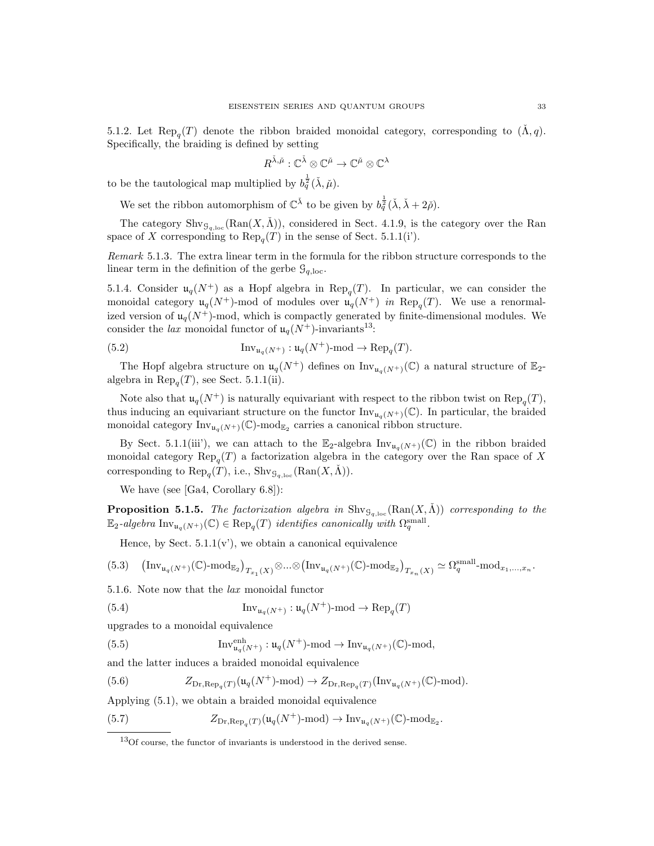5.1.2. Let  $\text{Rep}_q(T)$  denote the ribbon braided monoidal category, corresponding to  $(\check{\Lambda}, q)$ . Specifically, the braiding is defined by setting

$$
R^{\check\lambda,\check\mu}: \mathbb C^{\check\lambda} \otimes \mathbb C^{\check\mu} \to \mathbb C^{\check\mu} \otimes \mathbb C^{\lambda}
$$

to be the tautological map multiplied by  $b_q^{\frac{1}{2}}(\check{\lambda}, \check{\mu})$ .

We set the ribbon automorphism of  $\mathbb{C}^{\check{\lambda}}$  to be given by  $b_q^{\frac{1}{2}}(\check{\lambda}, \check{\lambda} + 2\check{\rho})$ .

The category  $\text{Shv}_{\mathcal{G}_{a,\text{loc}}}(\text{Ran}(X,\check{\Lambda}))$ , considered in Sect. 4.1.9, is the category over the Ran space of X corresponding to  $\text{Rep}_q(T)$  in the sense of Sect. 5.1.1(i').

Remark 5.1.3. The extra linear term in the formula for the ribbon structure corresponds to the linear term in the definition of the gerbe  $\mathcal{G}_{q,\text{loc}}$ .

5.1.4. Consider  $\mathfrak{u}_q(N^+)$  as a Hopf algebra in Rep<sub>q</sub> $(T)$ . In particular, we can consider the monoidal category  $\mathfrak{u}_q(N^+)$ -mod of modules over  $\mathfrak{u}_q(N^+)$  in  $\operatorname{Rep}_q(T)$ . We use a renormalized version of  $\mathfrak{u}_q(N^+)$ -mod, which is compactly generated by finite-dimensional modules. We consider the *lax* monoidal functor of  $\mathfrak{u}_q(N^+)$ -invariants<sup>13</sup>:

(5.2) 
$$
\operatorname{Inv}_{\mathfrak{u}_q(N^+)}: \mathfrak{u}_q(N^+)-\text{mod}\to \operatorname{Rep}_q(T).
$$

The Hopf algebra structure on  $\mathfrak{u}_q(N^+)$  defines on  $\text{Inv}_{\mathfrak{u}_q(N^+)}(\mathbb{C})$  a natural structure of  $\mathbb{E}_2$ algebra in  $\text{Rep}_q(T)$ , see Sect. 5.1.1(ii).

Note also that  $\mathfrak{u}_q(N^+)$  is naturally equivariant with respect to the ribbon twist on  $\text{Rep}_q(T)$ , thus inducing an equivariant structure on the functor  $\text{Inv}_{u_q(N^+)}(\mathbb{C})$ . In particular, the braided monoidal category  $\text{Inv}_{\mathfrak{u}_q(N^+)}(\mathbb{C})$ -mod<sub>E<sub>2</sub></sub> carries a canonical ribbon structure.

By Sect. 5.1.1(iii'), we can attach to the  $\mathbb{E}_2$ -algebra  $\text{Inv}_{\mathfrak{u}_q(N^+)}(\mathbb{C})$  in the ribbon braided monoidal category  $\text{Rep}_q(T)$  a factorization algebra in the category over the Ran space of X corresponding to  $\text{Rep}_q(T)$ , i.e.,  $\text{Shv}_{\mathcal{G}_q,\text{loc}}(\text{Ran}(X,\check{\Lambda})).$ 

We have (see [Ga4, Corollary 6.8]):

**Proposition 5.1.5.** The factorization algebra in  $\text{Shv}_{\mathcal{G}_{q,\text{loc}}}(\text{Ran}(X,\Lambda))$  corresponding to the  $\mathbb{E}_2$ -algebra  $\text{Inv}_{\mathfrak{u}_q(N^+)}(\mathbb{C}) \in \text{Rep}_q(T)$  identifies canonically with  $\Omega_q^{\text{small}}$ .

Hence, by Sect.  $5.1.1(v)$ , we obtain a canonical equivalence

$$
(5.3) \quad (\text{Inv}_{\mathfrak{u}_q(N^+)}(\mathbb{C})\text{-mod}_{\mathbb{E}_2})_{T_{x_1}(X)} \otimes \dots \otimes (\text{Inv}_{\mathfrak{u}_q(N^+)}(\mathbb{C})\text{-mod}_{\mathbb{E}_2})_{T_{x_n}(X)} \simeq \Omega_q^{\text{small}} \text{-mod}_{x_1,\dots,x_n}.
$$

5.1.6. Note now that the lax monoidal functor

(5.4) 
$$
\operatorname{Inv}_{\mathfrak{u}_q(N^+)}: \mathfrak{u}_q(N^+)-\text{mod}\to \operatorname{Rep}_q(T)
$$

upgrades to a monoidal equivalence

(5.5) 
$$
\operatorname{Inv}_{\mathfrak{u}_q(N^+)}^{\text{enh}}: \mathfrak{u}_q(N^+)-\text{mod}\to \operatorname{Inv}_{\mathfrak{u}_q(N^+)}(\mathbb{C})\text{-mod},
$$

and the latter induces a braided monoidal equivalence

(5.6) 
$$
Z_{\text{Dr}, \text{Rep}_q(T)}(\mathfrak{u}_q(N^+) \text{-mod}) \to Z_{\text{Dr}, \text{Rep}_q(T)}(\text{Inv}_{\mathfrak{u}_q(N^+)}(\mathbb{C}) \text{-mod}).
$$

Applying (5.1), we obtain a braided monoidal equivalence

(5.7) 
$$
Z_{\text{Dr}, \text{Rep}_q(T)}(\mathfrak{u}_q(N^+) \text{-mod}) \to \text{Inv}_{\mathfrak{u}_q(N^+)}(\mathbb{C}) \text{-mod}_{\mathbb{E}_2}.
$$

<sup>13</sup>Of course, the functor of invariants is understood in the derived sense.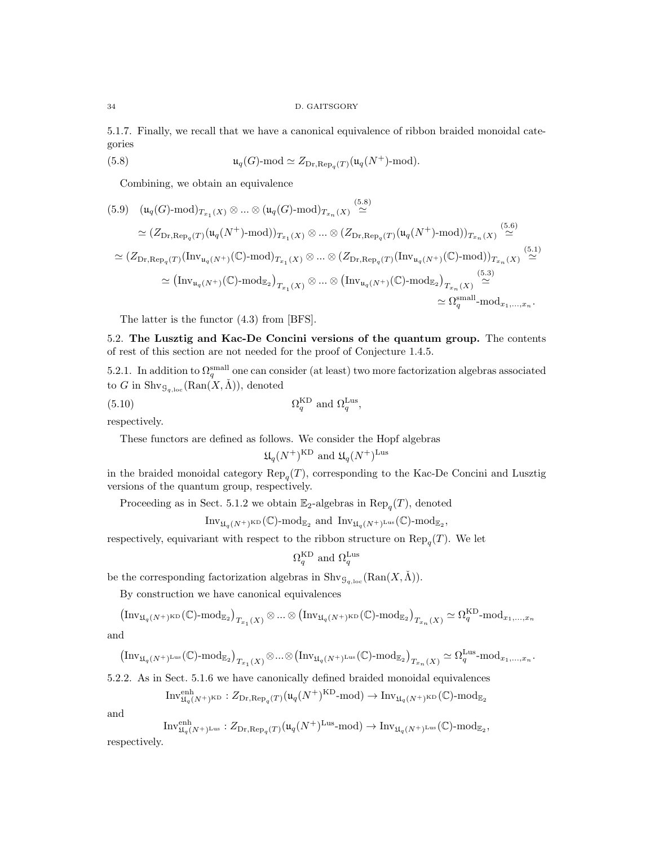5.1.7. Finally, we recall that we have a canonical equivalence of ribbon braided monoidal categories

(5.8) 
$$
\mathfrak{u}_q(G)\text{-mod} \simeq Z_{\text{Dr}, \text{Rep}_q(T)}(\mathfrak{u}_q(N^+)\text{-mod}).
$$

Combining, we obtain an equivalence

$$
(5.9) \quad (u_q(G)\text{-mod})_{T_{x_1}(X)} \otimes \dots \otimes (u_q(G)\text{-mod})_{T_{x_n}(X)} \stackrel{(5.8)}{\simeq}
$$
  

$$
\simeq (Z_{\text{Dr},\text{Rep}_q(T)}(u_q(N^+)\text{-mod}))_{T_{x_1}(X)} \otimes \dots \otimes (Z_{\text{Dr},\text{Rep}_q(T)}(u_q(N^+)\text{-mod}))_{T_{x_n}(X)} \stackrel{(5.6)}{\simeq}
$$
  

$$
\simeq (Z_{\text{Dr},\text{Rep}_q(T)}(\text{Inv}_{u_q(N^+)}(\mathbb{C})\text{-mod})_{T_{x_1}(X)} \otimes \dots \otimes (Z_{\text{Dr},\text{Rep}_q(T)}(\text{Inv}_{u_q(N^+)}(\mathbb{C})\text{-mod}))_{T_{x_n}(X)} \stackrel{(5.1)}{\simeq}
$$
  

$$
\simeq (\text{Inv}_{u_q(N^+)}(\mathbb{C})\text{-mod}_{\mathbb{E}_2})_{T_{x_1}(X)} \otimes \dots \otimes (\text{Inv}_{u_q(N^+)}(\mathbb{C})\text{-mod}_{\mathbb{E}_2})_{T_{x_n}(X)} \stackrel{(5.3)}{\simeq}
$$
  

$$
\simeq \Omega_q^{\text{small}}\text{-mod}_{x_1,\dots,x_n}.
$$

The latter is the functor (4.3) from [BFS].

5.2. The Lusztig and Kac-De Concini versions of the quantum group. The contents of rest of this section are not needed for the proof of Conjecture 1.4.5.

5.2.1. In addition to  $\Omega_q^{\text{small}}$  one can consider (at least) two more factorization algebras associated to G in  $\text{Shvg}_{q,\text{loc}}(\text{Ran}(X,\check{\Lambda})),$  denoted

(5.10) 
$$
\Omega_q^{\text{KD}} \text{ and } \Omega_q^{\text{Lus}},
$$

respectively.

These functors are defined as follows. We consider the Hopf algebras

$$
\mathfrak{U}_q(N^+)^{\text{KD}}
$$
 and  $\mathfrak{U}_q(N^+)^{\text{Lus}}$ 

in the braided monoidal category  $\text{Rep}_q(T)$ , corresponding to the Kac-De Concini and Lusztig versions of the quantum group, respectively.

Proceeding as in Sect. 5.1.2 we obtain  $\mathbb{E}_2$ -algebras in  $\text{Rep}_q(T)$ , denoted

 $\text{Inv}_{\mathfrak{U}_q(N^+)\text{KD}}(\mathbb{C})\text{-mod}_{\mathbb{E}_2} \text{ and } \text{Inv}_{\mathfrak{U}_q(N^+)\text{Lus}}(\mathbb{C})\text{-mod}_{\mathbb{E}_2},$ 

respectively, equivariant with respect to the ribbon structure on  $\text{Rep}_q(T)$ . We let

$$
\Omega_q^{\text{KD}}
$$
 and  $\Omega_q^{\text{Lus}}$ 

be the corresponding factorization algebras in  $\text{Shv}_{\mathcal{G}_{a,\text{loc}}}(\text{Ran}(X,\Lambda)).$ 

By construction we have canonical equivalences

$$
\left(\mathrm{Inv}_{\mathfrak{U}_q(N^+)^{\mathrm{KD}}}(\mathbb{C})\text{-}\mathrm{mod}_{\mathbb{E}_2}\right)_{T_{x_1}(X)}\otimes\ldots\otimes\left(\mathrm{Inv}_{\mathfrak{U}_q(N^+)^{\mathrm{KD}}}(\mathbb{C})\text{-}\mathrm{mod}_{\mathbb{E}_2}\right)_{T_{x_n}(X)}\simeq \Omega_q^{\mathrm{KD}}\text{-}\mathrm{mod}_{x_1,\ldots,x_n}
$$

and

$$
\big(\mathrm{Inv}_{\mathfrak{U}_q(N^+)^{\mathrm{Lus}}}(\mathbb{C})\text{-}\mathrm{mod}_{\mathbb{E}_2}\big)_{T_{x_1}(X)}\otimes...\otimes \big(\mathrm{Inv}_{\mathfrak{U}_q(N^+)^{\mathrm{Lus}}}(\mathbb{C})\text{-}\mathrm{mod}_{\mathbb{E}_2}\big)_{T_{x_n}(X)}\simeq \Omega_q^{\mathrm{Lus}}\text{-}\mathrm{mod}_{x_1,...,x_n}.
$$

5.2.2. As in Sect. 5.1.6 we have canonically defined braided monoidal equivalences

$$
\mathrm{Inv}^{\mathrm{enh}}_{\mathfrak{U}_q(N^+)^{\mathrm{KD}}} : Z_{\mathrm{Dr}, \mathrm{Rep}_q(T)}(\mathfrak{u}_q(N^+)^{\mathrm{KD}} \text{-}\mathrm{mod}) \to \mathrm{Inv}_{\mathfrak{U}_q(N^+)^{\mathrm{KD}}}(\mathbb{C})\text{-}\mathrm{mod}_{\mathbb{E}_2}
$$

and

respectively.

$$
\mathrm{Inv}^{\mathrm{enh}}_{\mathfrak{U}_q(N^+)^{\mathrm{Lus}}} : Z_{\mathrm{Dr}, \mathrm{Rep}_q(T)}(\mathfrak{u}_q(N^+)^{\mathrm{Lus}} \text{-}\mathrm{mod}) \to \mathrm{Inv}_{\mathfrak{U}_q(N^+)^{\mathrm{Lus}}}(\mathbb{C})\text{-}\mathrm{mod}_{\mathbb{E}_2},
$$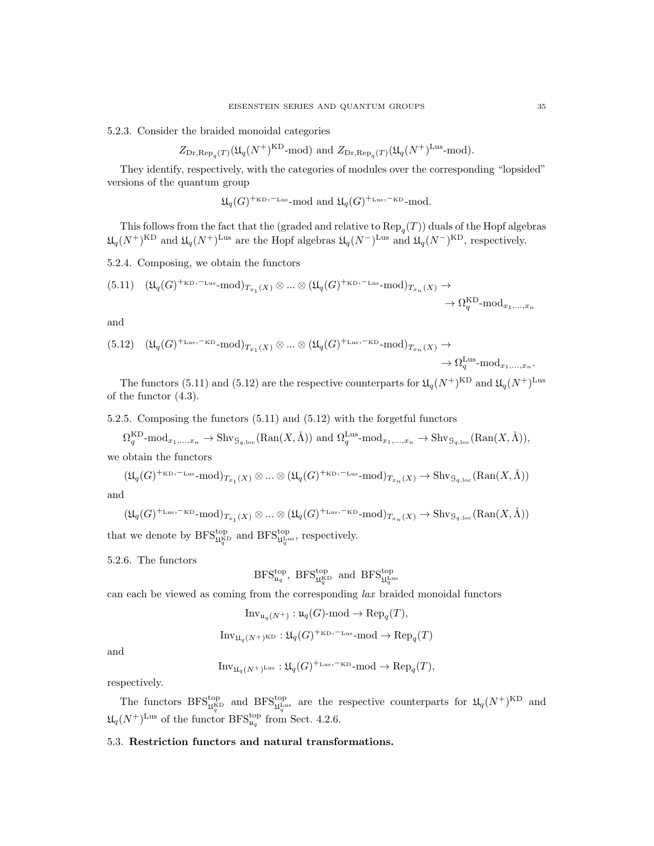5.2.3. Consider the braided monoidal categories

$$
Z_{\text{Dr}, \text{Rep}_q(T)}(\mathfrak{U}_q(N^+)^{\text{KD}}
$$
-mod) and  $Z_{\text{Dr}, \text{Rep}_q(T)}(\mathfrak{U}_q(N^+)^{\text{Lus}}$ -mod).

They identify, respectively, with the categories of modules over the corresponding "lopsided" versions of the quantum group

$$
\mathfrak{U}_q(G)^{+\text{\tiny KD},-\text{\tiny Lus}}\text{-mod and }\mathfrak{U}_q(G)^{+\text{\tiny Lus},-\text{\tiny KD}}\text{-mod}.
$$

This follows from the fact that the (graded and relative to  $\text{Rep}_{q}(T)$ ) duals of the Hopf algebras  $\mathfrak{U}_q(N^+)^{\text{KD}}$  and  $\mathfrak{U}_q(N^+)^{\text{Lus}}$  are the Hopf algebras  $\mathfrak{U}_q(N^-)^{\text{Lus}}$  and  $\mathfrak{U}_q(N^-)^{\text{KD}}$ , respectively.

5.2.4. Composing, we obtain the functors

$$
(5.11) \quad (\mathfrak{U}_q(G)^{+\text{\tiny KD},-\text{\tiny Lus}-\text{\tiny mod}})_{T_{x_1}(X)}\otimes\ldots\otimes (\mathfrak{U}_q(G)^{+\text{\tiny KD},-\text{\tiny Lus}-\text{\tiny mod}})_{T_{x_n}(X)}\to \longrightarrow \Omega_q^{\text{\tiny KD}}\text{-mod}_{x_1,\ldots,x_n}
$$

and

$$
(5.12) \quad (\mathfrak{U}_q(G)^{+\text{Lus},-\text{KD-mod}})_{T_{x_1}(X)} \otimes \dots \otimes (\mathfrak{U}_q(G)^{+\text{Lus},-\text{KD-mod}})_{T_{x_n}(X)} \to \longrightarrow \Omega_q^{\text{Lus}} \text{-mod}_{x_1,\dots,x_n}.
$$

The functors (5.11) and (5.12) are the respective counterparts for  $\mathfrak{U}_q(N^+)^{\text{KD}}$  and  $\mathfrak{U}_q(N^+)^{\text{Lus}}$ of the functor (4.3).

5.2.5. Composing the functors (5.11) and (5.12) with the forgetful functors

 $\Omega_q^{\text{KD}}\text{-mod}_{x_1,\dots,x_n} \to \text{Shv}_{\mathcal{G}_{q,\text{loc}}}(\text{Ran}(X,\check{\Lambda}))$  and  $\Omega_q^{\text{Lus}}\text{-mod}_{x_1,\dots,x_n} \to \text{Shv}_{\mathcal{G}_{q,\text{loc}}}(\text{Ran}(X,\check{\Lambda})),$ we obtain the functors

$$
(\mathfrak{U}_q(G)^{+\text{\tiny KD},-\text{\tiny Lus}-\text{\tiny mod}})_{T_{x_1}(X)}\otimes\ldots\otimes (\mathfrak{U}_q(G)^{+\text{\tiny KD},-\text{\tiny Lus}-\text{\tiny mod}})_{T_{x_n}(X)}\rightarrow \text{\tiny Shv}_{\mathcal{G}_{q,\text{\tiny loc}}}(\text{\tiny Ran}(X,\check{\Lambda}))
$$

and

$$
(\mathfrak{U}_q(G)^{+\text{Lus},-\text{KD-mod}})_{T_{x_1}(X)} \otimes \dots \otimes (\mathfrak{U}_q(G)^{+\text{Lus},-\text{KD-mod}})_{T_{x_n}(X)} \to \text{Shv}_{\mathcal{G}_{q,\text{loc}}}(\text{Ran}(X,\check{\Lambda}))
$$

that we denote by  $\text{BFS}_{\mathfrak{U}_q^{\text{Lup}}}^{\text{top}}$  and  $\text{BFS}_{\mathfrak{U}_q^{\text{Lus}}}^{\text{top}}$ , respectively.

5.2.6. The functors

$$
\mathrm{BFS}_{\mathfrak{u}_q}^{\mathrm{top}}, \ \mathrm{BFS}_{\mathfrak{U}_q^{\mathrm{KD}}}^{\mathrm{top}} \ \ \mathrm{and} \ \ \mathrm{BFS}_{\mathfrak{U}_q^{\mathrm{Lus}}}
$$

can each be viewed as coming from the corresponding lax braided monoidal functors

$$
\text{Inv}_{\mathfrak{u}_q(N^+)}: \mathfrak{u}_q(G)\text{-mod} \to \text{Rep}_q(T),
$$
  

$$
\text{Inv}_{\mathfrak{U}_q(N^+)^{\text{KD}}}:\mathfrak{U}_q(G)^{+\text{KD},-\text{Lus}}\text{-mod} \to \text{Rep}_q(T)
$$

and

$$
\text{Inv}_{\mathfrak{U}_q(N^+)^{\text{Lus}}} : \mathfrak{U}_q(G)^{+\text{Lus}, -\text{KD}} \text{-mod} \to \text{Rep}_q(T),
$$

respectively.

The functors  $BFS_{\mathfrak{U}_q^{\text{top}}}^{\text{top}}$  and  $BFS_{\mathfrak{U}_q^{\text{bus}}}^{\text{top}}$  are the respective counterparts for  $\mathfrak{U}_q(N^+)^{\text{KD}}$  and  $\mathfrak{U}_q(N^+)$ <sup>Lus</sup> of the functor BFS<sup>top</sup> from Sect. 4.2.6.

### 5.3. Restriction functors and natural transformations.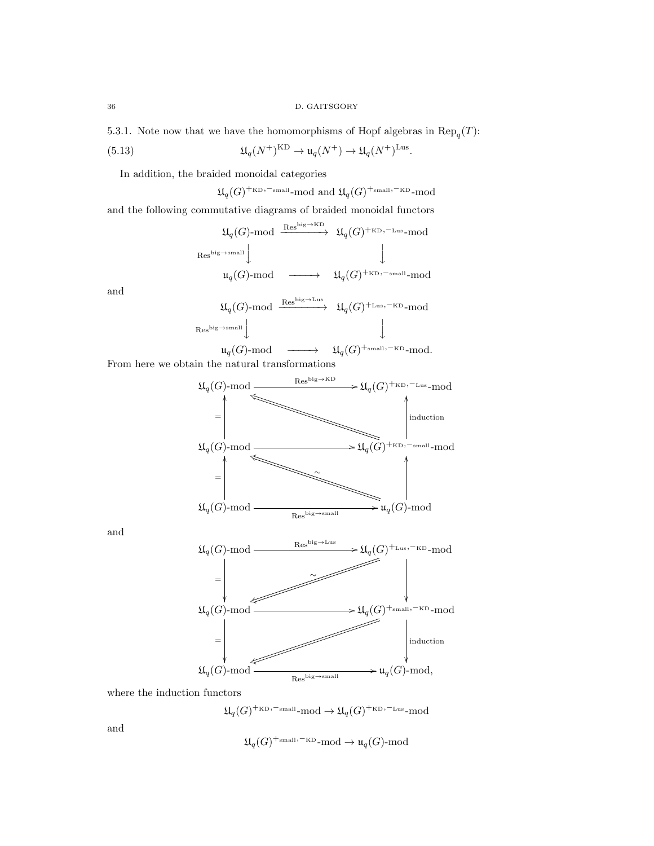5.3.1. Note now that we have the homomorphisms of Hopf algebras in  $\text{Rep}_q(T)$ :

(5.13) 
$$
\mathfrak{U}_q(N^+)^{KD} \to \mathfrak{u}_q(N^+) \to \mathfrak{U}_q(N^+)^{Lus}.
$$

In addition, the braided monoidal categories

 $\mathfrak{U}_q(G)^{+\text{\tiny K-D}},^{-\text{\tiny small}}$ -mod and  $\mathfrak{U}_q(G)^{+\text{\tiny small}},^{-\text{\tiny KD}}$ -mod

and the following commutative diagrams of braided monoidal functors

 $\mathfrak{U}_q(G)\text{-mod}\ \xrightarrow{\text{Res}^{\text{big}\to \text{KD}}}\ \mathfrak{U}_q(G)^{+\text{\text{\tiny KD}},-\text{\text{\tiny Lus}}}\text{-mod}$  $\text{Res}^{\text{big}\rightarrow\text{small}}\downarrow$  $\begin{array}{c} \hline \end{array}$  $\downarrow$  $\mathfrak{u}_q(G)\text{-mod}\quad \longrightarrow\quad \mathfrak{U}_q(G)$  $\mathfrak{U}_q(G)^{+\text{\tiny K\scriptsize D},-\text{\tiny small}}$ 

and

$$
\begin{array}{ccc}\mathfrak{U}_q(G)\text{-mod} & \xrightarrow{\mathrm{Res}^{\mathrm{big}\to\mathrm{Lus}}} & \mathfrak{U}_q(G)^{+\mathrm{Lus},-\mathrm{KD-mod}}\\ & & \\ \mathfrak{Res}^{\mathrm{big}\to\mathrm{small}} {\bigcup_{\mathrm{u}_q(G)\text{-mod}} } & {\bigcup_{\mathrm{u}_q(G)^{+\mathrm{small},\mathrm{-KD-mod}}}}.\\ \end{array}
$$

From here we obtain the natural transformations



and



where the induction functors

 $\mathfrak{U}_q(G)^{+\text{\tiny KD},-\text{\tiny small}}\text{-}\text{\tiny mod}\to \mathfrak{U}_q(G)^{+\text{\tiny KD},-\text{\tiny Lus}}\text{-}\text{\tiny mod}$ 

and

 $\mathfrak{U}_q(G)^{+_{\text{\rm small}},-\text{\rm KD}}\text{-}\mathrm{mod}\to \mathfrak{u}_q(G)\text{-}\mathrm{mod}$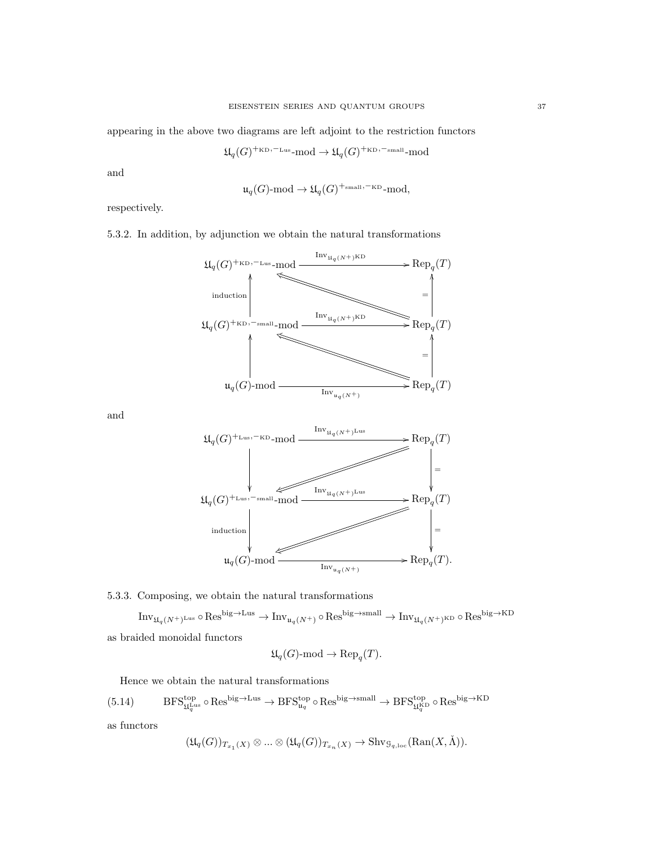appearing in the above two diagrams are left adjoint to the restriction functors

$$
\mathfrak{U}_q(G)^{+\text{\tiny KD},-\text{\tiny Lus}-\text{\tiny mol}}\to \mathfrak{U}_q(G)^{+\text{\tiny KD},-\text{\tiny small}-\text{\tiny mod}}
$$

and

$$
\mathfrak{u}_q(G)\text{-mod} \to \mathfrak{U}_q(G)^{+_{\text{small}},-\text{KD}}\text{-mod},
$$

respectively.

5.3.2. In addition, by adjunction we obtain the natural transformations



and



5.3.3. Composing, we obtain the natural transformations

 $\text{Inv}_{\mathfrak{U}_q(N^+)^{\text{Lus}}}\circ \text{Res}^{\text{big}\to \text{Lus}}\to \text{Inv}_{\mathfrak{U}_q(N^+)}\circ \text{Res}^{\text{big}\to \text{small}}\to \text{Inv}_{\mathfrak{U}_q(N^+)^{\text{KD}}}\circ \text{Res}^{\text{big}\to \text{KD}}$ 

as braided monoidal functors

$$
\mathfrak{U}_q(G)\text{-mod}\to \text{Rep}_q(T).
$$

Hence we obtain the natural transformations

$$
(5.14)\qquad \quad \mathrm{BFS}^{\mathrm{top}}_{\mathfrak{U}^{\mathrm{Lus}}_q}\circ \mathrm{Res}^{\mathrm{big}\rightarrow \mathrm{Lus}}\rightarrow \mathrm{BFS}^{\mathrm{top}}_{\mathfrak{u}_q}\circ \mathrm{Res}^{\mathrm{big}\rightarrow \mathrm{small}}\rightarrow \mathrm{BFS}^{\mathrm{top}}_{\mathfrak{U}^{\mathrm{KD}}_q}\circ \mathrm{Res}^{\mathrm{big}\rightarrow \mathrm{KD}}
$$

as functors

$$
(\mathfrak{U}_q(G))_{T_{x_1}(X)} \otimes \ldots \otimes (\mathfrak{U}_q(G))_{T_{x_n}(X)} \rightarrow \mathrm{Shv}_{\mathcal{G}_{q,\mathrm{loc}}}(\mathrm{Ran}(X,\check{\Lambda})).
$$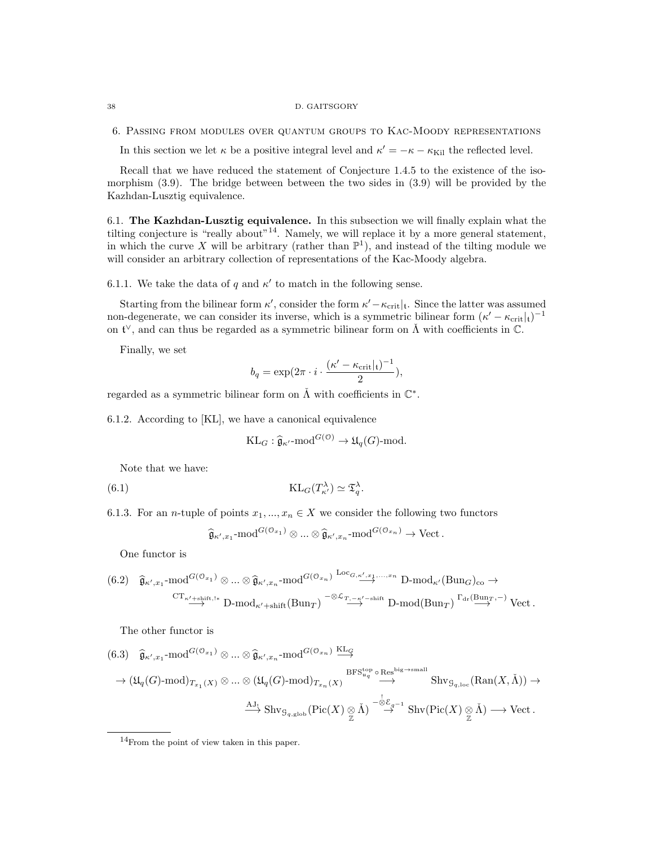#### 38 D. GAITSGORY

6. Passing from modules over quantum groups to Kac-Moody representations

In this section we let  $\kappa$  be a positive integral level and  $\kappa' = -\kappa - \kappa_{\text{Kil}}$  the reflected level.

Recall that we have reduced the statement of Conjecture 1.4.5 to the existence of the isomorphism (3.9). The bridge between between the two sides in (3.9) will be provided by the Kazhdan-Lusztig equivalence.

6.1. The Kazhdan-Lusztig equivalence. In this subsection we will finally explain what the tilting conjecture is "really about"<sup>14</sup>. Namely, we will replace it by a more general statement, in which the curve X will be arbitrary (rather than  $\mathbb{P}^1$ ), and instead of the tilting module we will consider an arbitrary collection of representations of the Kac-Moody algebra.

6.1.1. We take the data of q and  $\kappa'$  to match in the following sense.

Starting from the bilinear form  $\kappa'$ , consider the form  $\kappa' - \kappa_{\rm crit}|_{t}$ . Since the latter was assumed non-degenerate, we can consider its inverse, which is a symmetric bilinear form  $(\kappa' - \kappa_{\rm crit}|_{\rm t})^{-1}$ on  $\mathfrak{t}^{\vee}$ , and can thus be regarded as a symmetric bilinear form on  $\check{\Lambda}$  with coefficients in  $\mathbb{C}$ .

Finally, we set

$$
b_q = \exp(2\pi \cdot i \cdot \frac{(\kappa' - \kappa_{\rm crit}|_{\mathfrak{t}})^{-1}}{2}),
$$

regarded as a symmetric bilinear form on  $\check{\Lambda}$  with coefficients in  $\mathbb{C}^*$ .

6.1.2. According to [KL], we have a canonical equivalence

$$
\mathrm{KL}_G : \widehat{\mathfrak{g}}_{\kappa'}\text{-}\mathrm{mod}^{G(\mathfrak{O})} \to \mathfrak{U}_q(G)\text{-}\mathrm{mod}.
$$

Note that we have:

(6.1)  $KL_G(T_{\kappa'}^{\lambda}) \simeq \mathfrak{T}_q^{\lambda}.$ 

6.1.3. For an *n*-tuple of points  $x_1, ..., x_n \in X$  we consider the following two functors

$$
\widehat{\mathfrak{g}}_{\kappa',x_1}\text{-mod}^{G(\mathcal{O}_{x_1})}\otimes\ldots\otimes\widehat{\mathfrak{g}}_{\kappa',x_n}\text{-mod}^{G(\mathcal{O}_{x_n})}\to\text{Vect}.
$$

One functor is

$$
(6.2) \quad \widehat{\mathfrak{g}}_{\kappa',x_1} \text{-mod}^{G(\mathcal{O}_{x_1})} \otimes \dots \otimes \widehat{\mathfrak{g}}_{\kappa',x_n} \text{-mod}^{G(\mathcal{O}_{x_n})} \xrightarrow{\text{Loc}_{G,\kappa',x_1,\dots,x_n}} D\text{-mod}_{\kappa'}(\text{Bun}_G)_{\text{co}} \to
$$
  

$$
\xrightarrow{\text{CT}_{\kappa' + \text{shift},1*}} D\text{-mod}_{\kappa' + \text{shift}}(\text{Bun}_T) \xrightarrow{-\otimes \mathcal{L}_{T,-\kappa' - \text{shift}}} D\text{-mod}(\text{Bun}_T) \xrightarrow{\text{T}_{\text{dr}}(\text{Bun}_T,-)} \text{Vect}.
$$

The other functor is

$$
(6.3) \quad \widehat{\mathfrak{g}}_{\kappa',x_1}\text{-mod}^{G(\mathcal{O}_{x_1})}\otimes\ldots\otimes\widehat{\mathfrak{g}}_{\kappa',x_n}\text{-mod}^{G(\mathcal{O}_{x_n})}\overset{\mathrm{KL}_{G}}{\longrightarrow} \text{BFS}^{\mathrm{top}}_{u_q}\circ\underset{\longrightarrow}{\mathrm{Res}^{\mathrm{big}}}\text{-small}\text{Shv}_{\mathcal{G}_{q,loc}}(\mathrm{Ran}(X,\check{\Lambda}))\rightarrow
$$

$$
\rightarrow (\mathfrak{U}_q(G)\text{-mod})_{T_{x_1}(X)}\otimes\ldots\otimes(\mathfrak{U}_q(G)\text{-mod})_{T_{x_n}(X)}\overset{\mathrm{BFS}^{\mathrm{top}}_{u_q}\circ\underset{\longrightarrow}{\mathrm{Res}^{\mathrm{big}}}\text{-small}}{\longrightarrow}\mathrm{Shv}_{\mathcal{G}_{q,\mathrm{loc}}}(\mathrm{Ran}(X,\check{\Lambda}))\rightarrow
$$

$$
\xrightarrow{\mathrm{AJ}_{1}} \mathrm{Shv}_{\mathcal{G}_{q,\mathrm{glob}}}(\mathrm{Pic}(X)\underset{\mathbb{Z}}{\otimes}\check{\Lambda})\overset{\underset{\longrightarrow}{\to}}{\longrightarrow}\mathrm{Shv}(\mathrm{Pic}(X)\underset{\mathbb{Z}}{\otimes}\check{\Lambda})\longrightarrow\mathrm{Vect}\,.
$$

<sup>14</sup>From the point of view taken in this paper.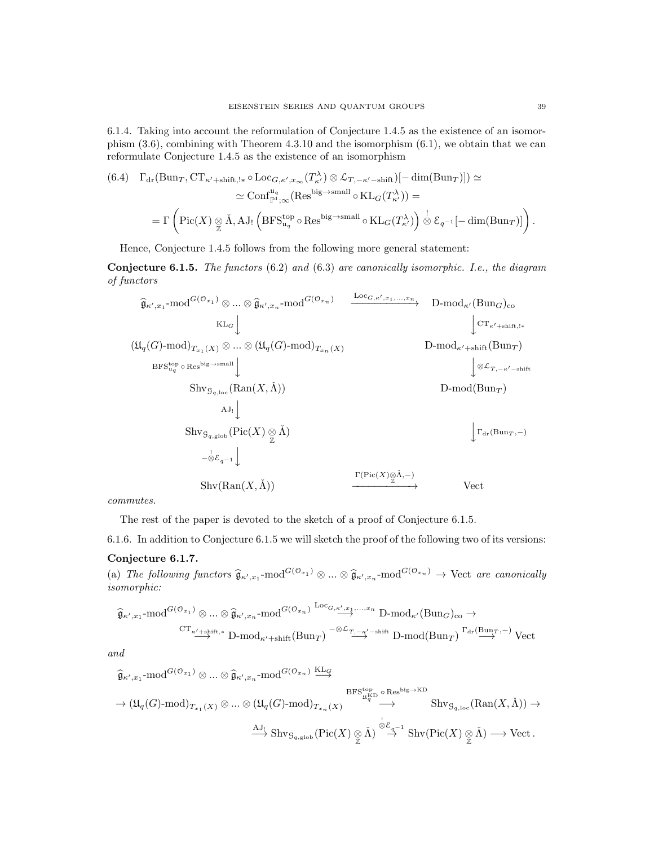6.1.4. Taking into account the reformulation of Conjecture 1.4.5 as the existence of an isomorphism (3.6), combining with Theorem 4.3.10 and the isomorphism (6.1), we obtain that we can reformulate Conjecture 1.4.5 as the existence of an isomorphism

(6.4) 
$$
\Gamma_{dr}(\text{Bun}_T, \text{CT}_{\kappa' + \text{shift}, !*} \circ \text{Loc}_{G, \kappa', x_{\infty}}(T_{\kappa'}^{\lambda}) \otimes \mathcal{L}_{T, -\kappa' - \text{shift}})[- \dim(\text{Bun}_T)]) \simeq
$$
  
\n $\simeq \text{Conf}_{\mathbb{P}^1; \infty}^{\mathfrak{u}_q}(\text{Res}^{\text{big}\to \text{small}} \circ \text{KL}_G(T_{\kappa'}^{\lambda})) =$   
\n $= \Gamma\left(\text{Pic}(X) \underset{\mathbb{Z}}{\otimes} \check{\Lambda}, \text{AJ}_! \left(\text{BFS}_{\mathfrak{u}_q}^{\text{top}} \circ \text{Res}^{\text{big}\to \text{small}} \circ \text{KL}_G(T_{\kappa'}^{\lambda})\right) \overset{!}{\otimes} \mathcal{E}_{q^{-1}}[-\dim(\text{Bun}_T)]\right).$ 

Hence, Conjecture 1.4.5 follows from the following more general statement:

Conjecture 6.1.5. The functors (6.2) and (6.3) are canonically isomorphic. I.e., the diagram of functors

$$
\begin{array}{ccc}\n\widehat{\mathfrak{g}}_{\kappa',x_{1}}\text{-mod}^{G(\mathbb{O}_{x_{1}})}\otimes\ldots\otimes\widehat{\mathfrak{g}}_{\kappa',x_{n}}\text{-mod}^{G(\mathbb{O}_{x_{n}})} & \xrightarrow{\text{Loc}_{G,\kappa',x_{1},\ldots,x_{n}}} \text{D-mod}_{\kappa'}(\text{Bun}_{G})_{\text{co}} \\
& \text{KL}_{G} \downarrow & \downarrow \text{Cr}_{\kappa'+\text{shift},!*} \\
(\mathfrak{U}_{q}(G)\text{-mod})_{T_{x_{1}}(X)}\otimes\ldots\otimes(\mathfrak{U}_{q}(G)\text{-mod})_{T_{x_{n}}(X)} & \text{D-mod}_{\kappa'+\text{shift}}(\text{Bun}_{T}) \\
& \text{BFS}_{u_{q}}^{\text{top}}\circ\text{Res}^{\text{big}\rightarrow\text{small}} & \downarrow & \downarrow \otimes\mathcal{L}_{T,-\kappa'-\text{shift}} \\
& \text{Shv}_{\mathcal{G}_{q},\text{loc}}(\text{Ran}(X,\check{\Lambda})) & & \text{D-mod}(\text{Bun}_{T}) \\
& \text{Shv}_{\mathcal{G}_{q},\text{glob}}(\text{Pic}(X)\underset{\mathbb{Z}}{\otimes}\check{\Lambda}) & \downarrow_{\Gamma_{dr}(\text{Bun}_{T},-)} \\
& \xrightarrow{\downarrow} \mathcal{E}_{q-1} \downarrow & & \text{F}(\text{Pic}(X)\underset{\mathbb{Z}}{\otimes}\check{\Lambda},-)} & \text{Vect}\n\end{array}
$$

commutes.

The rest of the paper is devoted to the sketch of a proof of Conjecture 6.1.5.

6.1.6. In addition to Conjecture 6.1.5 we will sketch the proof of the following two of its versions:

# Conjecture 6.1.7.

(a) The following functors  $\hat{\mathfrak{g}}_{\kappa',x_1}$ -mod ${}^{G(\mathcal{O}_{x_1})} \otimes ... \otimes \hat{\mathfrak{g}}_{\kappa',x_n}$ -mod ${}^{G(\mathcal{O}_{x_n})} \to \text{Vect}$  are canonically isomorphic:

$$
\begin{array}{c}\widehat{\mathfrak{g}}_{\kappa',x_{1}}\text{-mod}^{G(\mathcal{O}_{x_{1}})}\otimes\ldots\otimes\widehat{\mathfrak{g}}_{\kappa',x_{n}}\text{-mod}^{G(\mathcal{O}_{x_{n}})}\xrightarrow{\text{Loc}_{G,\kappa',x_{1},\ldots,x_{n}}} \text{D-mod}_{\kappa'}(\text{Bun}_{G})_{\text{co}}\to\\\stackrel{\text{CT}_{\kappa'+\text{shift},*}}{\longrightarrow}\text{D-mod}_{\kappa'+\text{shift}}(\text{Bun}_{T})\xrightarrow{-\otimes\mathcal{L}_{T,-\kappa'-\text{shift}}}\text{D-mod}(\text{Bun}_{T})\xrightarrow{\Gamma_{\text{dr}}(\text{Bun}_{T},-)}\text{Vect}\end{array}
$$

and

$$
\begin{array}{cccc}\widehat{\mathfrak{g}}_{\kappa',x_{1}}\text{-mod}^{G(\mathbb{O}_{x_{1}})}\otimes\ldots\otimes\widehat{\mathfrak{g}}_{\kappa',x_{n}}\text{-mod}^{G(\mathbb{O}_{x_{n}})} &\stackrel{\text{KLG}_{\mathbb{G}}}{\longrightarrow} &\\ &\to (\mathfrak{U}_{q}(G)\text{-mod})_{T_{x_{1}}(X)}\otimes\ldots\otimes(\mathfrak{U}_{q}(G)\text{-mod})_{T_{x_{n}}(X)} &\stackrel{\text{BFS}_{\mathfrak{u}_{\kappa}^{\text{top}}}\circ\text{Res}^{\text{big}\to\text{KD}}}{\longrightarrow} &\text{Shv}_{\mathfrak{g}_{q,\text{loc}}}(\text{Ran}(X,\check{\Lambda}))\to\\ &\stackrel{\text{AJ}_{1}}{\longrightarrow}\text{Shv}_{\mathfrak{g}_{q,\text{glob}}}(\text{Pic}(X)\underset{\mathbb{Z}}{\otimes}\check{\Lambda}) &\stackrel{\overset{\text{J}_{\mathbb{G}}}{\rightarrow}}{\longrightarrow} &\text{Shv}(\text{Pic}(X)\underset{\mathbb{Z}}{\otimes}\check{\Lambda})\longrightarrow \text{Vect}\,. \end{array}
$$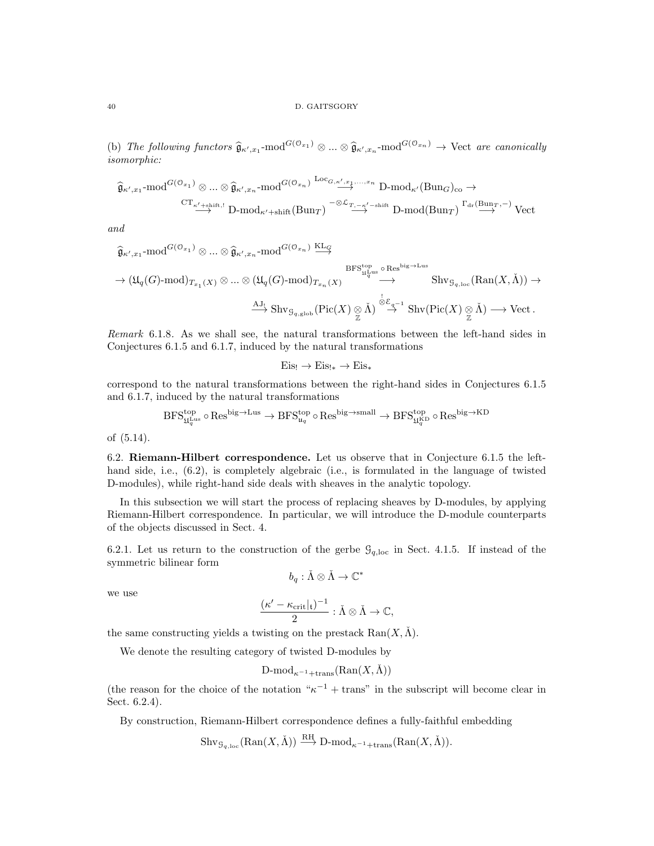(b) The following functors  $\widehat{\mathfrak{g}}_{\kappa',x_1}$ -mod $G^{(\mathcal{O}_{x_1})} \otimes ... \otimes \widehat{\mathfrak{g}}_{\kappa',x_n}$ -mod $G^{(\mathcal{O}_{x_n})} \to \text{Vect}$  are canonically isomorphic:

$$
\begin{aligned}\n\widehat{\mathfrak{g}}_{\kappa',x_1}\text{-mod}^{G(\mathcal{O}_{x_1})}\otimes\ldots\otimes\widehat{\mathfrak{g}}_{\kappa',x_n}\text{-mod}^{G(\mathcal{O}_{x_n})}\xrightarrow{\text{Loc}_{G,\kappa',x_1,\ldots,x_n}}\text{D-mod}_{\kappa'}(\text{Bun}_G)_{\text{co}} \to \\
&\xrightarrow{\text{CT}_{\kappa'+\text{shift}},!}\text{D-mod}_{\kappa'+\text{shift}}(\text{Bun}_T)\xrightarrow{\neg\otimes\mathcal{L}_{T,\mathbf{-K}'-\text{shift}}}\text{D-mod}(\text{Bun}_T)\xrightarrow{\text{Tor}(\text{Bun}_T,\mathbf{-})}\text{Vect}\n\end{aligned}
$$

and

$$
\begin{array}{cccc}\widehat{\mathfrak{g}}_{\kappa',x_1}\text{-mod}^{G(\mathbb{O}_{x_1})}\otimes\ldots\otimes\widehat{\mathfrak{g}}_{\kappa',x_n}\text{-mod}^{G(\mathbb{O}_{x_n})}\stackrel{\mathrm{KL}_{G}}{\longrightarrow} &\\ &\longrightarrow& \mathrm{BFS}_{\mathfrak{U}^{\mathrm{top}}_{q}}^{\mathrm{top}}\circ\operatorname{Res}^{\mathrm{big}\to\mathrm{Lus}}\\ \to& (\mathfrak{U}_q(G)\text{-mod})_{T_{x_1}(X)}\otimes\ldots\otimes(\mathfrak{U}_q(G)\text{-mod})_{T_{x_n}(X)}\stackrel{\mathrm{BFS}_{\mathfrak{U}^{\mathrm{top}}_{q}}^{\mathrm{top}}\circ\operatorname{Res}^{\mathrm{big}\to\mathrm{Lus}}}{\longrightarrow} & \mathrm{Shv}_{\mathfrak{g}_{q,\mathrm{loc}}}(\mathrm{Ran}(X,\check{\Lambda}))\to\\ &\stackrel{\mathrm{AJ}_!}{\longrightarrow}\mathrm{Shv}_{\mathfrak{g}_{q,\mathrm{glob}}}(\mathrm{Pic}(X)\underset{\mathbb{Z}}{\otimes}\check{\Lambda})\stackrel{\overset{!}{\diamond}\mathcal{E}_{q^{-1}}}{\longrightarrow} \mathrm{Shv}(\mathrm{Pic}(X)\underset{\mathbb{Z}}{\otimes}\check{\Lambda})\longrightarrow \mathrm{Vect}\,. \end{array}
$$

Remark 6.1.8. As we shall see, the natural transformations between the left-hand sides in Conjectures 6.1.5 and 6.1.7, induced by the natural transformations

$$
\mathrm{Eis}_! \rightarrow \mathrm{Eis}_{!*} \rightarrow \mathrm{Eis}_*
$$

correspond to the natural transformations between the right-hand sides in Conjectures 6.1.5 and 6.1.7, induced by the natural transformations

$$
\mathrm{BFS}_{\mathfrak{U}^{\mathrm{Lus}}_q}^{\mathrm{top}}\circ\mathrm{Res}^{\mathrm{big}\rightarrow\mathrm{Lus}}\rightarrow\mathrm{BFS}_{\mathfrak{u}_q}^{\mathrm{top}}\circ\mathrm{Res}^{\mathrm{big}\rightarrow\mathrm{small}}\rightarrow\mathrm{BFS}_{\mathfrak{U}^{\mathrm{K}}_q}^{\mathrm{top}}\circ\mathrm{Res}^{\mathrm{big}\rightarrow\mathrm{KD}}
$$

of (5.14).

6.2. Riemann-Hilbert correspondence. Let us observe that in Conjecture 6.1.5 the lefthand side, i.e.,  $(6.2)$ , is completely algebraic (i.e., is formulated in the language of twisted D-modules), while right-hand side deals with sheaves in the analytic topology.

In this subsection we will start the process of replacing sheaves by D-modules, by applying Riemann-Hilbert correspondence. In particular, we will introduce the D-module counterparts of the objects discussed in Sect. 4.

6.2.1. Let us return to the construction of the gerbe  $\mathcal{G}_{q,loc}$  in Sect. 4.1.5. If instead of the symmetric bilinear form

$$
b_q : \check{\Lambda} \otimes \check{\Lambda} \to \mathbb{C}^*
$$

we use

$$
\frac{(\kappa'-\kappa_{\operatorname{crit}}|_{\mathfrak t})^{-1}}{2}:\check\Lambda\otimes\check\Lambda\to\mathbb C,
$$

the same constructing yields a twisting on the prestack  $\text{Ran}(X, \Lambda)$ .

We denote the resulting category of twisted D-modules by

$$
\text{D-mod}_{\kappa^{-1}+\text{trans}}(\text{Ran}(X,\check{\Lambda}))
$$

(the reason for the choice of the notation " $\kappa^{-1}$  + trans" in the subscript will become clear in Sect. 6.2.4).

By construction, Riemann-Hilbert correspondence defines a fully-faithful embedding

 $\text{Shv}_{\mathcal{G}_{q,\text{loc}}}(\text{Ran}(X,\check{\Lambda})) \stackrel{\text{RH}}{\longrightarrow} \text{D-mod}_{\kappa^{-1}+\text{trans}}(\text{Ran}(X,\check{\Lambda})).$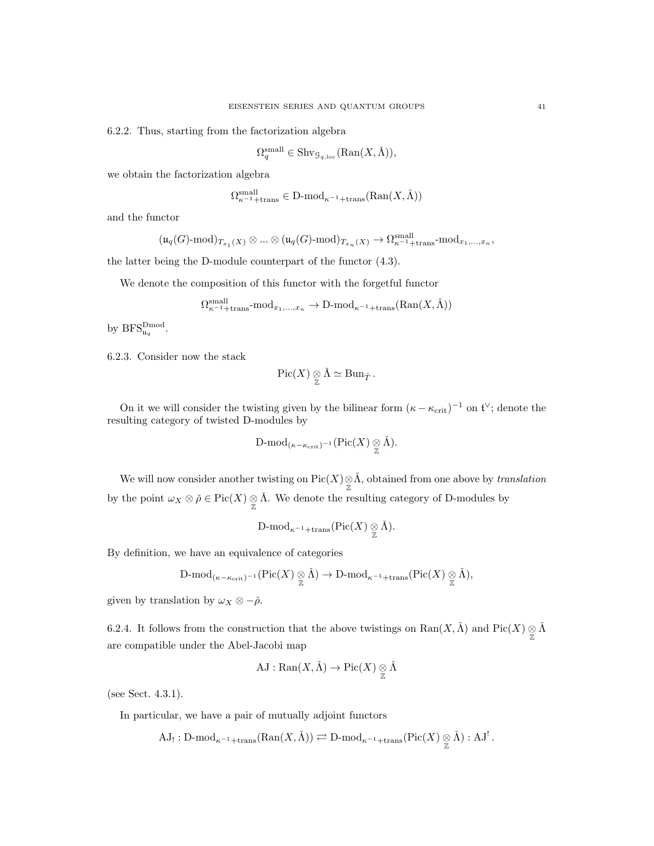6.2.2. Thus, starting from the factorization algebra

$$
\Omega_q^{\text{small}} \in \text{Shv}_{\mathcal{G}_{q,\text{loc}}}(\text{Ran}(X,\check{\Lambda})),
$$

we obtain the factorization algebra

$$
\Omega_{\kappa^{-1}+\text{trans}}^{\text{small}} \in \text{D-mod}_{\kappa^{-1}+\text{trans}}(\text{Ran}(X,\check{\Lambda}))
$$

and the functor

$$
(\mathfrak{u}_q(G)\text{-mod})_{T_{x_1}(X)} \otimes ... \otimes (\mathfrak{u}_q(G)\text{-mod})_{T_{x_n}(X)} \to \Omega_{\kappa^{-1}+\text{trans}}^{\text{small}}\text{-mod}_{x_1,...,x_n},
$$

the latter being the D-module counterpart of the functor (4.3).

We denote the composition of this functor with the forgetful functor

$$
\Omega_{\kappa^{-1}+\mathrm{trans}}^{\mathrm{small}}\text{-}\mathrm{mod}_{x_1,\ldots,x_n}\rightarrow\mathrm{D}\text{-}\mathrm{mod}_{\kappa^{-1}+\mathrm{trans}}(\mathrm{Ran}(X,\check{\Lambda}))
$$

by  $BFS_{\mathfrak{u}_q}^{\mathrm{Dmod}}$ .

6.2.3. Consider now the stack

$$
\mathrm{Pic}(X)\underset{\mathbb{Z}}{\otimes}\check{\Lambda}\simeq \mathrm{Bun}_{\check{T}}\,.
$$

On it we will consider the twisting given by the bilinear form  $(\kappa - \kappa_{\rm crit})^{-1}$  on  $\mathfrak{t}^{\vee}$ ; denote the resulting category of twisted D-modules by

$$
\text{D-mod}_{(\kappa-\kappa_{\operatorname{crit}})^{-1}}(\text{Pic}(X)\underset{\mathbb{Z}}{\otimes}\check{\Lambda}).
$$

We will now consider another twisting on  $Pic(X) \underset{\mathbb{Z}}{\otimes} \check{\Lambda}$ , obtained from one above by *translation* by the point  $\omega_X \otimes \check{\rho} \in \text{Pic}(X) \underset{\mathbb{Z}}{\otimes} \check{\Lambda}$ . We denote the resulting category of D-modules by

$$
\mathrm{D\text{-}mod}_{\kappa^{-1}+\mathrm{trans}}(\mathrm{Pic}(X)\underset{\mathbb{Z}}{\otimes}\check{\Lambda}).
$$

By definition, we have an equivalence of categories

$$
\text{D-mod}_{(\kappa - \kappa_{\operatorname{crit}})^{-1}}(\text{Pic}(X) \underset{\mathbb{Z}}{\otimes} \check{\Lambda}) \to \text{D-mod}_{\kappa^{-1} + \operatorname{trans}}(\text{Pic}(X) \underset{\mathbb{Z}}{\otimes} \check{\Lambda}),
$$

given by translation by  $\omega_X \otimes -\tilde{\rho}$ .

6.2.4. It follows from the construction that the above twistings on  $\text{Ran}(X, \check{\Lambda})$  and  $\text{Pic}(X) \underset{\mathbb{Z}}{\otimes} \check{\Lambda}$ are compatible under the Abel-Jacobi map

$$
\mathrm{AJ}:\mathrm{Ran}(X,\check{\Lambda})\to \mathrm{Pic}(X)\underset{\mathbb{Z}}{\otimes}\check{\Lambda}
$$

(see Sect. 4.3.1).

In particular, we have a pair of mutually adjoint functors

 $\mathrm{AJ}_{!}: \mathrm{D\text{-}mod}_{\kappa^{-1}+\mathrm{trans}}(\mathrm{Ran}(X,\check{\Lambda})) \rightleftarrows \mathrm{D\text{-}mod}_{\kappa^{-1}+\mathrm{trans}}(\mathrm{Pic}(X) \underset{\mathbb{Z}}{\otimes} \check{\Lambda}): \mathrm{AJ}^{!}\,.$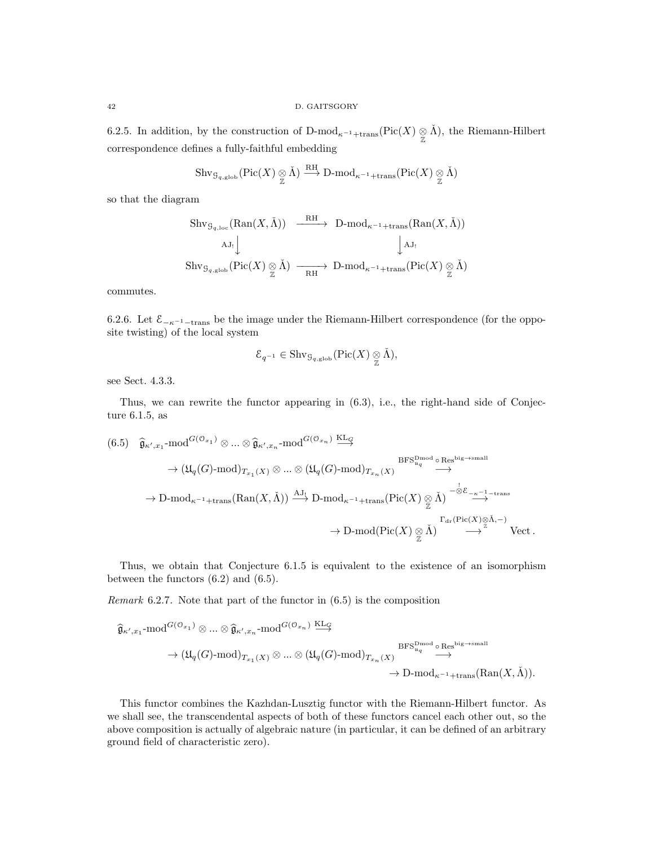6.2.5. In addition, by the construction of D-mod<sub>k<sup>-1</sup>+trans</sub>(Pic(X)  $\underset{\mathbb{Z}}{\otimes} \check{\Lambda}$ ), the Riemann-Hilbert correspondence defines a fully-faithful embedding

$$
\mathrm{Shv}_{\mathcal{G}_{q,\mathrm{glob}}}( \mathrm{Pic}(X) \underset{\mathbb{Z}}{\otimes} \check{\Lambda}) \overset{\mathrm{RH}}{\longrightarrow} \mathrm{D}\text{-}\mathrm{mod}_{\kappa^{-1} + \mathrm{trans}}(\mathrm{Pic}(X) \underset{\mathbb{Z}}{\otimes} \check{\Lambda})
$$

so that the diagram

$$
\begin{array}{ccc}\n\operatorname{Shv}_{\mathcal{G}_{q,\text{loc}}}( \operatorname{Ran}(X,\check{\Lambda})) & \xrightarrow{\quad \text{RH} \quad} \operatorname{D-mod}_{\kappa^{-1}+\text{trans}}(\operatorname{Ran}(X,\check{\Lambda})) \\
& \xrightarrow{\quad \text{AJ}_! \quad} & \downarrow \text{AJ}_! \\
\operatorname{Shv}_{\mathcal{G}_{q,\text{glob}}}(\operatorname{Pic}(X)\underset{\mathbb{Z}}{\otimes}\check{\Lambda}) & \xrightarrow{\quad \text{RH} \quad} \operatorname{D-mod}_{\kappa^{-1}+\text{trans}}(\operatorname{Pic}(X)\underset{\mathbb{Z}}{\otimes}\check{\Lambda})\n\end{array}
$$

commutes.

6.2.6. Let  $\mathcal{E}_{-\kappa^{-1}-\text{trans}}$  be the image under the Riemann-Hilbert correspondence (for the opposite twisting) of the local system

$$
\mathcal{E}_{q^{-1}}\in \mathrm{Shv}_{\mathcal{G}_{q,\mathrm{glob}}}(\mathrm{Pic}(X)\underset{\mathbb{Z}}{\otimes}\check{\Lambda}),
$$

see Sect. 4.3.3.

Thus, we can rewrite the functor appearing in (6.3), i.e., the right-hand side of Conjecture 6.1.5, as

$$
\begin{aligned}\n & \text{(6.5)} \quad \widehat{\mathfrak{g}}_{\kappa',x_1}\text{-mod}^{G(\mathcal{O}_{x_1})}\otimes\ldots\otimes\widehat{\mathfrak{g}}_{\kappa',x_n}\text{-mod}^{G(\mathcal{O}_{x_n})}\stackrel{\text{KL}_{G}}{\longrightarrow} \\
 &\to (\mathfrak{U}_{q}(G)\text{-mod})_{T_{x_1}(X)}\otimes\ldots\otimes(\mathfrak{U}_{q}(G)\text{-mod})_{T_{x_n}(X)}\stackrel{\text{BFS^{Dmod}}\circ\text{Res}^{\text{big}\to\text{small}}}{\longrightarrow} \\
 &\to \text{D-mod}_{\kappa^{-1}+\text{trans}}(\text{Ran}(X,\check{\Lambda}))\stackrel{\text{AJ}}{\longrightarrow}\text{D-mod}_{\kappa^{-1}+\text{trans}}(\text{Pic}(X)\underset{\mathbb{Z}}{\otimes}\check{\Lambda})\stackrel{\overset{!}{\longrightarrow}\in}_{\longrightarrow}\text{Trans} \\
 &\to \text{D-mod}(\text{Pic}(X)\underset{\mathbb{Z}}{\otimes}\check{\Lambda})\stackrel{\Gamma_{\text{dr}}(\text{Pic}(X)\underset{\mathbb{Z}}{\otimes}\check{\Lambda},-)}{\longrightarrow}\text{Vect}\,. \end{aligned}
$$

Thus, we obtain that Conjecture 6.1.5 is equivalent to the existence of an isomorphism between the functors (6.2) and (6.5).

*Remark* 6.2.7. Note that part of the functor in  $(6.5)$  is the composition

$$
\begin{aligned}\n\widehat{\mathfrak{g}}_{\kappa',x_1}\text{-mod}^{G(\mathcal{O}_{x_1})}\otimes\ldots\otimes\widehat{\mathfrak{g}}_{\kappa',x_n}\text{-mod}^{G(\mathcal{O}_{x_n})}\stackrel{\text{KL}_G}{\longrightarrow} \\
&\to (\mathfrak{U}_q(G)\text{-mod})_{T_{x_1}(X)}\otimes\ldots\otimes(\mathfrak{U}_q(G)\text{-mod})_{T_{x_n}(X)}\stackrel{\text{BFS}_{u_q}^{\text{Dmod}}\circ\text{Res}^{\text{big}\to\text{small}}}{\to} \\
&\to \text{D-mod}_{\kappa^{-1}+\text{trans}}(\text{Ran}(X,\check{\Lambda})).\n\end{aligned}
$$

This functor combines the Kazhdan-Lusztig functor with the Riemann-Hilbert functor. As we shall see, the transcendental aspects of both of these functors cancel each other out, so the above composition is actually of algebraic nature (in particular, it can be defined of an arbitrary ground field of characteristic zero).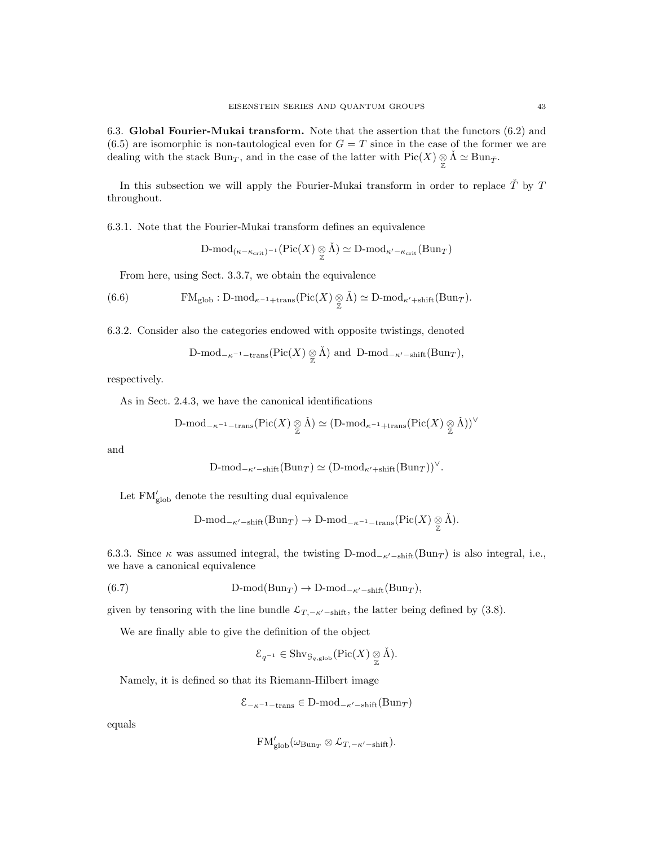6.3. Global Fourier-Mukai transform. Note that the assertion that the functors (6.2) and  $(6.5)$  are isomorphic is non-tautological even for  $G = T$  since in the case of the former we are dealing with the stack  $\text{Bun}_T$ , and in the case of the latter with  $\text{Pic}(X) \underset{\mathbb{Z}}{\otimes} \check{\Lambda} \simeq \text{Bun}_{\check{T}}$ .

In this subsection we will apply the Fourier-Mukai transform in order to replace  $\dot{T}$  by  $T$ throughout.

6.3.1. Note that the Fourier-Mukai transform defines an equivalence

 $\mathrm{D\text{-}mod}_{(\kappa-\kappa_{\mathrm{crit}})^{-1}}(\mathrm{Pic}(X)\underset{\mathbb{Z}}{\otimes}\check{\Lambda})\simeq \mathrm{D\text{-}mod}_{\kappa'-\kappa_{\mathrm{crit}}}(\mathrm{Bun}_T)$ 

From here, using Sect. 3.3.7, we obtain the equivalence

(6.6)  $\text{FM}_{\text{glob}}: \text{D-mod}_{\kappa^{-1}+\text{trans}}(\text{Pic}(X) \underset{\mathbb{Z}}{\otimes} \check{\Lambda}) \simeq \text{D-mod}_{\kappa'+\text{shift}}(\text{Bun}_T).$ 

6.3.2. Consider also the categories endowed with opposite twistings, denoted

$$
\text{$D$-mod}_{-\kappa^{-1}-\text{trans}}(\text{Pic}(X)\underset{\mathbb{Z}}{\otimes}\check{\Lambda})\text{ and $D$-mod}_{-\kappa'-\text{shift}}(\text{Bun}_T),
$$

respectively.

As in Sect. 2.4.3, we have the canonical identifications

$$
\text{D-mod}_{-\kappa^{-1}-\text{trans}}(\text{Pic}(X)\underset{\mathbb{Z}}{\otimes}\check{\Lambda})\simeq (\text{D-mod}_{\kappa^{-1}+\text{trans}}(\text{Pic}(X)\underset{\mathbb{Z}}{\otimes}\check{\Lambda}))^{\vee}
$$

and

$$
\text{D-mod}_{-\kappa'-\text{shift}}(\text{Bun}_T) \simeq (\text{D-mod}_{\kappa'+\text{shift}}(\text{Bun}_T))^{\vee}.
$$

Let  $FM'_{glob}$  denote the resulting dual equivalence

$$
\text{$D$-mod}_{-\kappa' - \text{shift}}(\text{Bun}_T) \to \text{D$-mod}_{-\kappa^{-1} - \text{trans}}(\text{Pic}(X) \underset{\mathbb{Z}}{\otimes} \check{\Lambda}).
$$

6.3.3. Since  $\kappa$  was assumed integral, the twisting D-mod<sub> $-\kappa'$ -shift</sub>(Bun<sub>T</sub>) is also integral, i.e., we have a canonical equivalence

(6.7) 
$$
D\text{-mod}(Bun_T) \to D\text{-mod}_{-\kappa'-\text{shift}}(Bun_T),
$$

given by tensoring with the line bundle  $\mathcal{L}_{T, -\kappa'-\text{shift}}$ , the latter being defined by (3.8).

We are finally able to give the definition of the object

$$
\mathcal{E}_{q^{-1}} \in \mathrm{Shv}_{\mathcal{G}_{q,\mathrm{glob}}}(\mathrm{Pic}(X) \underset{\mathbb{Z}}{\otimes} \check{\Lambda}).
$$

Namely, it is defined so that its Riemann-Hilbert image

$$
\mathcal{E}_{-\kappa^{-1}-trans} \in D\text{-mod}_{-\kappa'-shift}(Bun_T)
$$

equals

$$
\mathrm{FM}_{\mathrm{glob}}'(\omega_{\mathrm{Bun}_T}\otimes \mathcal{L}_{T,-\kappa'-\mathrm{shift}}).
$$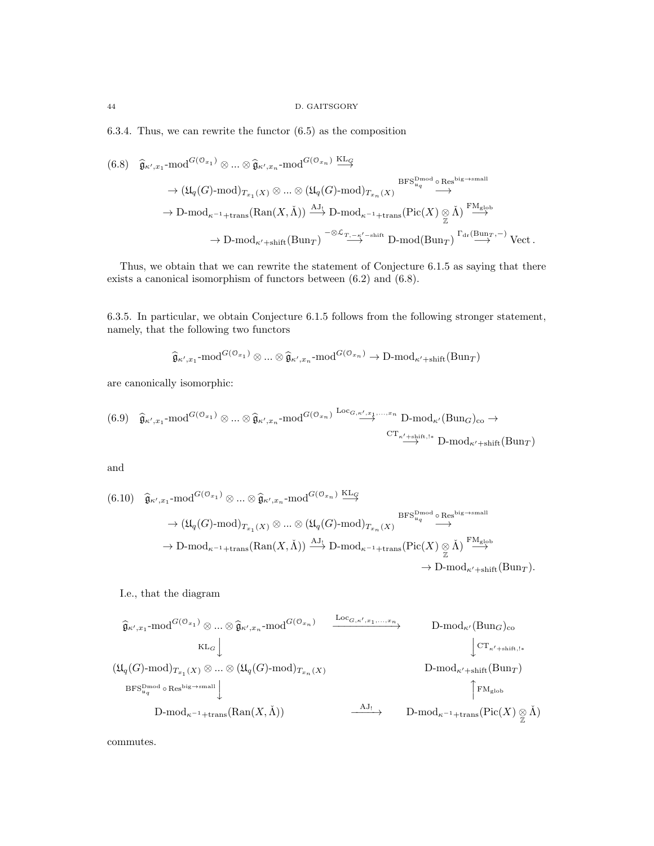6.3.4. Thus, we can rewrite the functor (6.5) as the composition

$$
(6.8) \quad \widehat{\mathfrak{g}}_{\kappa',x_1}\text{-mod}^{G(\mathcal{O}_{x_1})}\otimes\ldots\otimes\widehat{\mathfrak{g}}_{\kappa',x_n}\text{-mod}^{G(\mathcal{O}_{x_n})}\overset{\text{KL}_{G}}{\longrightarrow} \text{BFS}_{u_q}^{\text{Dmod}}\circ\text{Res}^{\text{big}\to\text{small}} \rightarrow \left(\mathfrak{U}_q(G)\text{-mod}\right)_{T_{x_1}(X)}\otimes\ldots\otimes\left(\mathfrak{U}_q(G)\text{-mod}\right)_{T_{x_n}(X)}\overset{\text{BFS}_{u_q}^{\text{Dmod}}\circ\text{Res}^{\text{big}\to\text{small}}}{\longrightarrow} \rightarrow D\text{-mod}_{\kappa^{-1}+\text{trans}}(\text{Ran}(X,\check{\Lambda}))\overset{\text{ALJ}}{\longrightarrow} D\text{-mod}_{\kappa^{-1}+\text{trans}}(\text{Pic}(X)\underset{\mathbb{Z}}{\otimes}\check{\Lambda})\overset{\text{FM}_{g\mid\text{ob}}}{\longrightarrow} \rightarrow D\text{-mod}_{\kappa'+\text{shift}}(\text{Bun}_{T})\overset{\neg\otimes\mathcal{L}_{T,-\kappa'-\text{shift}}}{\longrightarrow} D\text{-mod}(\text{Bun}_{T})\overset{\Gamma_{\text{dr}}(\text{Bun}_{T},-)}{\longrightarrow}\text{Vect}.
$$

Thus, we obtain that we can rewrite the statement of Conjecture 6.1.5 as saying that there exists a canonical isomorphism of functors between (6.2) and (6.8).

6.3.5. In particular, we obtain Conjecture 6.1.5 follows from the following stronger statement, namely, that the following two functors

$$
\widehat{\mathfrak{g}}_{\kappa',x_1}\text{-mod}^{G(\mathcal{O}_{x_1})}\otimes\ldots\otimes\widehat{\mathfrak{g}}_{\kappa',x_n}\text{-mod}^{G(\mathcal{O}_{x_n})}\to\text{D-mod}_{\kappa'+\text{shift}}(\text{Bun}_T)
$$

are canonically isomorphic:

$$
(6.9) \quad \widehat{\mathfrak{g}}_{\kappa',x_1}\text{-mod}^{G(\mathcal{O}_{x_1})}\otimes\ldots\otimes\widehat{\mathfrak{g}}_{\kappa',x_n}\text{-mod}^{G(\mathcal{O}_{x_n})}\overset{\text{Loc}_{G,\kappa',x_1,\ldots,x_n}}{\longrightarrow} \text{D-mod}_{\kappa'}(\text{Bun}_G)_{\text{co}}\to
$$

$$
\overset{\text{CT}_{\kappa'\text{-shift},!*}}{\longrightarrow}\text{D-mod}_{\kappa'\text{-shift}}(\text{Bun}_T)
$$

and

$$
(6.10) \quad \widehat{\mathfrak{g}}_{\kappa',x_1}\text{-mod}^{G(\mathcal{O}_{x_1})}\otimes\ldots\otimes\widehat{\mathfrak{g}}_{\kappa',x_n}\text{-mod}^{G(\mathcal{O}_{x_n})}\overset{\mathrm{KL}_{G}}{\longrightarrow} \text{BFS}_{u_q}^{\mathrm{Dmod}}\circ\text{Res}^{\mathrm{big}\to\mathrm{small}} \\ \rightarrow (\mathfrak{U}_q(G)\text{-mod})_{T_{x_1}(X)}\otimes\ldots\otimes(\mathfrak{U}_q(G)\text{-mod})_{T_{x_n}(X)}\overset{\mathrm{BFS}_{u_q}^{\mathrm{Dmod}}}\longrightarrow \text{BFS}_{u_q}^{\mathrm{Dmod}}\circ\text{Res}^{\mathrm{big}\to\mathrm{small}} \\ \rightarrow \mathrm{D\text{-}mod}_{\kappa^{-1}+\mathrm{trans}}(\mathrm{Ran}(X,\check{\Lambda}))\overset{\mathrm{AJ}_1}\longrightarrow \mathrm{D\text{-}mod}_{\kappa^{-1}+\mathrm{trans}}(\mathrm{Pic}(X)\underset{\mathbb{Z}}{\otimes}\check{\Lambda})\overset{\mathrm{FM}_{\mathrm{glob}}}\longrightarrow \\ \rightarrow \mathrm{D\text{-}mod}_{\kappa'+\mathrm{shift}}(\mathrm{Bun}_{T}).
$$

I.e., that the diagram

$$
\begin{array}{ll}\n\widehat{\mathfrak{g}}_{\kappa',x_1}\text{-mod}^{G(\mathbb{O}_{x_1})}\otimes\ldots\otimes\widehat{\mathfrak{g}}_{\kappa',x_n}\text{-mod}^{G(\mathbb{O}_{x_n})}&\xrightarrow{\text{Loc}_{G,\kappa',x_1,\ldots,x_n}}&\text{D-mod}_{\kappa'}(\text{Bun}_G)_{\text{co}}\\
\downarrow &\downarrow &\downarrow &\downarrow &\downarrow &\downarrow\\
(\mathfrak{U}_q(G)\text{-mod})_{T_{x_1}(X)}\otimes\ldots\otimes(\mathfrak{U}_q(G)\text{-mod})_{T_{x_n}(X)}&\text{D-mod}_{\kappa'+\text{shift}}(\text{Bun}_T)\\
\text{BFS}_{u_q}^{\text{Dmod}}\circ\text{Res}^{\text{big}\to\text{small}}&\downarrow&&\downarrow\\
D\text{-mod}_{\kappa^{-1}+\text{trans}}(\text{Ran}(X,\check{\Lambda}))&\xrightarrow{AJ_!}&\text{D-mod}_{\kappa^{-1}+\text{trans}}(\text{Pic}(X)\underset{\mathbb{Z}}{\otimes}\check{\Lambda})\n\end{array}
$$

commutes.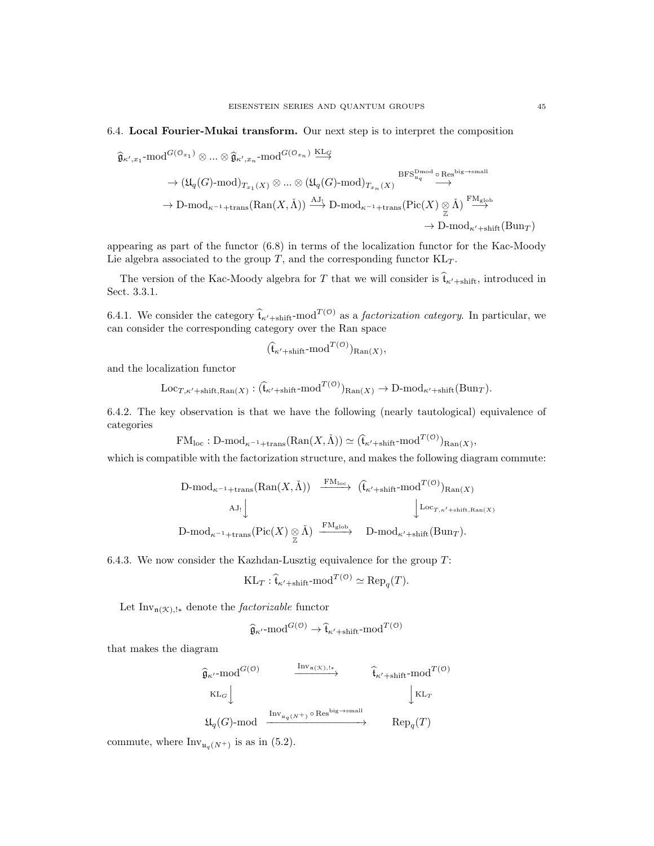### 6.4. Local Fourier-Mukai transform. Our next step is to interpret the composition

$$
\begin{aligned}\n\widehat{\mathfrak{g}}_{\kappa',x_1}\text{-mod}^{G(\mathcal{O}_{x_1})}\otimes\ldots\otimes\widehat{\mathfrak{g}}_{\kappa',x_n}\text{-mod}^{G(\mathcal{O}_{x_n})}\stackrel{\text{KL}_{G}}{\longrightarrow} & \text{BFS}_{u_q}^{\text{Dmod}}\circ\text{Res}^{\text{big}\to\text{small}} \\
&\to (\mathfrak{U}_q(G)\text{-mod})_{T_{x_1}(X)}\otimes\ldots\otimes(\mathfrak{U}_q(G)\text{-mod})_{T_{x_n}(X)}\stackrel{\text{BFS}_{u_q}^{\text{Dmod}}\circ\text{Res}^{\text{big}\to\text{small}}}{\longrightarrow} & \\\rightarrow D\text{-mod}_{\kappa^{-1}+\text{trans}}(\text{Ran}(X,\check{\Lambda}))\stackrel{\text{AJ}_1}{\longrightarrow} D\text{-mod}_{\kappa^{-1}+\text{trans}}(\text{Pic}(X)\underset{\mathbb{Z}}{\otimes}\check{\Lambda})\stackrel{\text{FM}_{\text{glob}}}{\longrightarrow} & \\\rightarrow D\text{-mod}_{\kappa'+\text{shift}}(\text{Bun}_T)\n\end{aligned}
$$

appearing as part of the functor (6.8) in terms of the localization functor for the Kac-Moody Lie algebra associated to the group  $T$ , and the corresponding functor  $KL_T$ .

The version of the Kac-Moody algebra for T that we will consider is  $\hat{\mathfrak{t}}_{\kappa'+\text{shift}}$ , introduced in Sect. 3.3.1.

6.4.1. We consider the category  $\hat{\mathbf{t}}_{\kappa' + \text{shift}}$ -mod<sup>T(O)</sup> as a *factorization category*. In particular, we can consider the corresponding category over the Ran space

$$
(\widehat{\mathfrak{t}}_{\kappa'+\text{shift}}\text{-mod}^{T(\mathfrak{O})})_{\text{Ran}(X)},
$$

and the localization functor

$$
\text{Loc}_{T,\kappa'+\text{shift},\text{Ran}(X)}: (\hat{\mathfrak{t}}_{\kappa'+\text{shift}}\text{-}\text{mod}^{T(\mathcal{O})})_{\text{Ran}(X)} \to \text{D-mod}_{\kappa'+\text{shift}}(\text{Bun}_T).
$$

6.4.2. The key observation is that we have the following (nearly tautological) equivalence of categories

$$
\mathrm{FM}_{\mathrm{loc}} : \mathrm{D}\text{-mod}_{\kappa^{-1}+\mathrm{trans}}(\mathrm{Ran}(X,\check{\Lambda})) \simeq (\widehat{\mathfrak{t}}_{\kappa'+\mathrm{shift}}\text{-mod}^{T(\mathfrak{O})})_{\mathrm{Ran}(X)},
$$

which is compatible with the factorization structure, and makes the following diagram commute:

$$
\begin{array}{ccc}\n\text{D-mod}_{\kappa^{-1}+\text{trans}}(\text{Ran}(X,\check{\Lambda})) & \xrightarrow{\text{FM}_{\text{loc}}} & (\hat{\mathfrak{t}}_{\kappa'+\text{shift}}\text{-mod}^{T(\mathcal{O})})_{\text{Ran}(X)}\\ \downarrow^{~~\text{AJ}_{!}\downarrow^{~~\text{Loc}_{T,\kappa'+\text{shift},\text{Ran}(X)}}\\ \text{D-mod}_{\kappa^{-1}+\text{trans}}(\text{Pic}(X)\underset{\mathbb{Z}}{\otimes}\check{\Lambda}) & \xrightarrow{\text{FM}_{\text{glob}}} & \text{D-mod}_{\kappa'+\text{shift}}(\text{Bun}_T).\n\end{array}
$$

6.4.3. We now consider the Kazhdan-Lusztig equivalence for the group  $T$ :

$$
KL_T : \hat{\mathfrak{t}}_{\kappa' + \text{shift}} \text{-mod}^{T(\mathcal{O})} \simeq \text{Rep}_q(T).
$$

Let  $Inv_{\mathfrak{n}(\mathcal{K}),!*}$  denote the *factorizable* functor

$$
\widehat{\mathfrak{g}}_{\kappa'}\text{-mod}^{G(\mathcal{O})}\to \widehat{\mathfrak{t}}_{\kappa'+\text{shift}}\text{-mod}^{T(\mathcal{O})}
$$

that makes the diagram

$$
\begin{array}{ccc}\widehat{\mathfrak{g}}_{\kappa'^{-}}\mathrm{mod}^{G(\mathbb{O})}&\xrightarrow{\mathrm{Inv}_{\mathfrak{n}(\mathcal{K}),!*}}&\widehat{\mathfrak{t}}_{\kappa'+\mathrm{shift}}\text{-mod}^{T(\mathbb{O})}\\&\text{KL}_{G}\Big\downarrow&&\Big\downarrow\text{KL}_{T}\\&\\ \mathfrak{U}_{q}(G)\text{-mod} &\xrightarrow{\mathrm{Inv}_{\mathfrak{u}_{q}(N^{+})}\circ\mathrm{Res}^{\mathrm{big}\rightarrow\mathrm{small}}}&\mathrm{Rep}_{q}(T)\\ \end{array}
$$

commute, where  $Inv_{u_q(N^+)}$  is as in (5.2).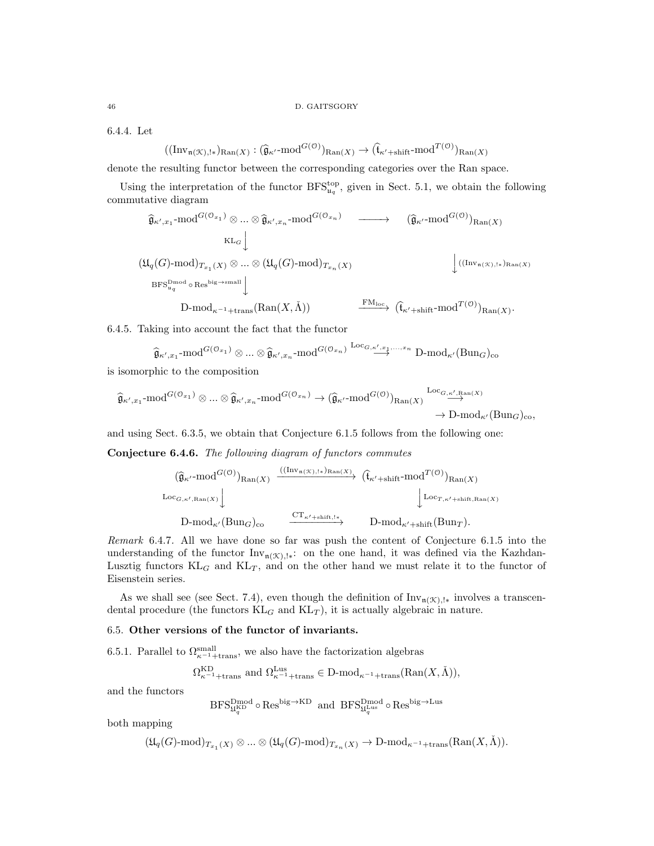6.4.4. Let

$$
((Inv_{\mathfrak{n}(\mathcal{K}),!*})_{\operatorname{Ran}(X)}: (\widehat{\mathfrak{g}}_{\kappa'}\text{-}\mathrm{mod}^{G(\mathcal{O})})_{\operatorname{Ran}(X)}\rightarrow (\widehat{\mathfrak{t}}_{\kappa'+\mathrm{shift}}\text{-}\mathrm{mod}^{T(\mathcal{O})})_{\operatorname{Ran}(X)}
$$

denote the resulting functor between the corresponding categories over the Ran space.

Using the interpretation of the functor  $BFS_{u_q}^{top}$ , given in Sect. 5.1, we obtain the following commutative diagram

$$
\hat{\mathfrak{g}}_{\kappa',x_1}\text{-mod}^{G(\mathbb{O}_{x_1})}\otimes\ldots\otimes\hat{\mathfrak{g}}_{\kappa',x_n}\text{-mod}^{G(\mathbb{O}_{x_n})}\longrightarrow (\hat{\mathfrak{g}}_{\kappa'}\text{-mod}^{G(\mathbb{O})})_{\text{Ran}(X)}
$$
\n
$$
\text{KL}_{G}\downarrow
$$
\n
$$
(\mathfrak{U}_{q}(G)\text{-mod})_{T_{x_1}(X)}\otimes\ldots\otimes(\mathfrak{U}_{q}(G)\text{-mod})_{T_{x_n}(X)}\downarrow((\text{Inv}_{\mathfrak{n}(\mathcal{K}),!*})_{\text{Ran}(X)}
$$
\n
$$
\text{BFS}_{u_q}^{\text{Dmod}}\circ\text{Res}^{\text{big}\to\text{small}}\downarrow
$$
\n
$$
D\text{-mod}_{\kappa^{-1}+\text{trans}}(\text{Ran}(X,\check{\Lambda}))\longrightarrow \frac{\text{FM}_{\text{loc}}}{(\hat{\mathfrak{t}}_{\kappa'+\text{shift}}\text{-mod}^{T(\mathbb{O})})_{\text{Ran}(X)}}.
$$

6.4.5. Taking into account the fact that the functor

$$
\widehat{\mathfrak{g}}_{\kappa',x_1}\text{-mod}^{G(\mathcal{O}_{x_1})}\otimes\ldots\otimes\widehat{\mathfrak{g}}_{\kappa',x_n}\text{-mod}^{G(\mathcal{O}_{x_n})}\stackrel{\text{Loc}_{G,\kappa',x_1,\ldots,x_n}}{\longrightarrow} \text{D-mod}_{\kappa'}(\text{Bun}_G)_{\text{co}}
$$

is isomorphic to the composition

$$
\begin{aligned}\n\widehat{\mathfrak{g}}_{\kappa',x_1}\text{-mod}^{G(\mathcal{O}_{x_1})}\otimes\ldots\otimes\widehat{\mathfrak{g}}_{\kappa',x_n}\text{-mod}^{G(\mathcal{O}_{x_n})}&\to(\widehat{\mathfrak{g}}_{\kappa'}\text{-mod}^{G(\mathcal{O})})_{\text{Ran}(X)}\stackrel{\text{Loc}_{G,\kappa',\text{Ran}(X)}}{\to} &\to \text{D-mod}_{\kappa'}(\text{Bun}_G)_{\text{co}},\n\end{aligned}
$$

and using Sect. 6.3.5, we obtain that Conjecture 6.1.5 follows from the following one:

Conjecture 6.4.6. The following diagram of functors commutes

$$
\begin{array}{ccc}\n(\widehat{\mathfrak{g}}_{\kappa'}\text{-mod}^{G(\mathcal{O})})_{\text{Ran}(X)} & \xrightarrow{((\text{Inv}_{\mathfrak{n}}(\mathfrak{X}),\text{I*})_{\text{Ran}(X)})} (\widehat{\mathfrak{t}}_{\kappa'+\text{shift}}\text{-mod}^{T(\mathcal{O})})_{\text{Ran}(X)}\\
 & \downarrow^{\text{Loc}_{G,\kappa',\text{Ran}(X)}}\n\end{array}
$$
\n
$$
\begin{array}{ccc}\n\text{Loc}_{G,\kappa',\text{Ran}(X)} & \xrightarrow{\text{CT}_{\kappa'+\text{shift},\text{I*}}} & \text{D-mod}_{\kappa'+\text{shift}}(\text{Bun}_T).\n\end{array}
$$

Remark 6.4.7. All we have done so far was push the content of Conjecture 6.1.5 into the understanding of the functor  $Inv_{n(x),!*}:$  on the one hand, it was defined via the Kazhdan-Lusztig functors  $KL_G$  and  $KL_T$ , and on the other hand we must relate it to the functor of Eisenstein series.

As we shall see (see Sect. 7.4), even though the definition of  $Inv_{\mathfrak{n}(\mathcal{K}),!*}$  involves a transcendental procedure (the functors  $KL_G$  and  $KL_T$ ), it is actually algebraic in nature.

### 6.5. Other versions of the functor of invariants.

6.5.1. Parallel to  $\Omega_{\kappa^{-1}+\text{trans}}^{\text{small}}$ , we also have the factorization algebras

$$
\Omega_{\kappa^{-1}+\text{trans}}^{\text{KD}}
$$
 and  $\Omega_{\kappa^{-1}+\text{trans}}^{\text{Lus}} \in \text{D-mod}_{\kappa^{-1}+\text{trans}}(\text{Ran}(X,\check{\Lambda})),$ 

and the functors

$$
\rm BFS_{4f_q}^{Dmod} \circ \rm Res^{big \rightarrow KD} \ \ and \ \ BFS_{4f_q}^{Dmod} \circ \rm Res^{big \rightarrow Lus}
$$

both mapping

$$
(\mathfrak{U}_q(G)\text{-mod})_{T_{x_1}(X)}\otimes\ldots\otimes (\mathfrak{U}_q(G)\text{-mod})_{T_{x_n}(X)}\rightarrow \text{D-mod}_{\kappa^{-1}+\text{trans}}(\text{Ran}(X,\check{\Lambda})).
$$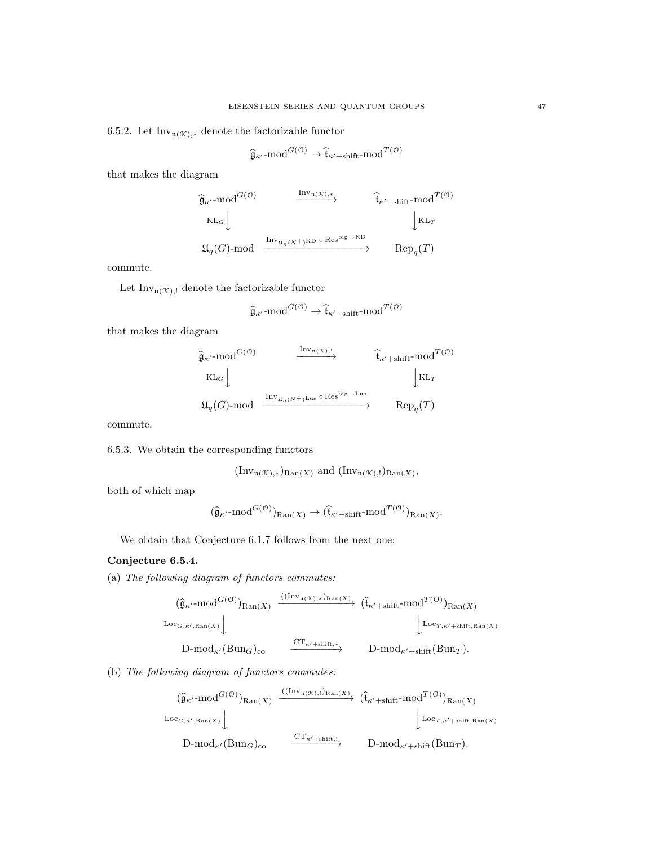6.5.2. Let  $Inv_{\mathfrak{n}(\mathcal{K}),*}$  denote the factorizable functor

$$
\widehat{\mathfrak{g}}_{\kappa'}\text{-mod}^{G(\mathcal{O})}\to \widehat{\mathfrak{t}}_{\kappa'+\text{shift}}\text{-mod}^{T(\mathcal{O})}
$$

that makes the diagram

$$
\begin{array}{ccc}\n\widehat{\mathfrak{g}}_{\kappa'^{-}}\mathrm{mod}^{G(\mathbb{O})}&\xrightarrow{\mathrm{Inv}_{\mathfrak{n}(\mathcal{K}),*}}&\widehat{\mathfrak{t}}_{\kappa'+\mathrm{shift}}\mathrm{mod}^{T(\mathbb{O})}\\ \downarrow &\downarrow^{\mathrm{KL}_{G}}\big\downarrow\\ \mathfrak{U}_{q}(G)\text{-mod} &\xrightarrow{\mathrm{Inv}_{\mathfrak{U}_{q}(N^{+})}\mathrm{KD}~\circ\mathrm{Res}^{\mathrm{big}\to\mathrm{KD}}}&\mathrm{Rep}_{q}(T)\\ \end{array}
$$

commute.

Let  $Inv_{n(X),!}$  denote the factorizable functor

$$
\widehat{\mathfrak{g}}_{\kappa'}\text{-mod}^{G(\mathcal{O})}\to \widehat{\mathfrak{t}}_{\kappa'+\text{shift}}\text{-mod}^{T(\mathcal{O})}
$$

that makes the diagram

$$
\begin{array}{ccccc}\n\widehat{\mathfrak{g}}_{\kappa'^{-}}\mathrm{mod}^{G(\mathbb{O})}& &\xrightarrow{\mathrm{Inv}_{\mathfrak{n}(\mathcal{K}),!}}& & \widehat{\mathfrak{t}}_{\kappa'+\mathrm{shift}}\mathrm{mod}^{T(\mathbb{O})}\\ \n\mathrm{KL}_{G}\downarrow&&&&\downarrow^{\mathrm{KL}_{T}}\\
\mathfrak{U}_{q}(G)\text{-mod} & &\xrightarrow{\mathrm{Inv}_{\mathfrak{U}_{q}(N^{+})\mathrm{Lus}}\circ\mathrm{Res}^{\mathrm{big}\to\mathrm{Lus}}}& &\mathrm{Rep}_{q}(T)\\
\end{array}
$$

commute.

6.5.3. We obtain the corresponding functors

$$
(Inv_{\mathfrak{n}(\mathcal{K}),*})_{\text{Ran}(X)}
$$
 and  $(Inv_{\mathfrak{n}(\mathcal{K}),!})_{\text{Ran}(X)}$ ,

both of which map

$$
(\widehat{\mathfrak{g}}_{\kappa'}\text{-mod}^{G(\mathfrak{O})})_{\text{Ran}(X)}\to (\widehat{\mathfrak{t}}_{\kappa'+\text{shift}}\text{-mod}^{T(\mathfrak{O})})_{\text{Ran}(X)}.
$$

We obtain that Conjecture 6.1.7 follows from the next one:

# Conjecture 6.5.4.

(a) The following diagram of functors commutes:

$$
\begin{array}{ccc}\n(\widehat{\mathfrak{g}}_{\kappa'}\text{-mod}^{G(\mathcal{O})})_{\text{Ran}(X)} & \xrightarrow{((\text{Inv}_{\mathfrak{n}(\mathcal{K}),*})_{\text{Ran}(X)})} (\widehat{\mathfrak{t}}_{\kappa'+\text{shift}}\text{-mod}^{T(\mathcal{O})})_{\text{Ran}(X)}\\
\downarrow^{\text{Loc}_{G,\kappa',\text{Ran}(X)}}\downarrow^{\text{Loc}_{T,\kappa'+\text{shift},\text{Ran}(X)}}\n\end{array}
$$
\n
$$
\text{D-mod}_{\kappa'}(\text{Bun}_G)_{\text{co}} \xrightarrow{\text{CT}_{\kappa'+\text{shift},*}} \text{D-mod}_{\kappa'+\text{shift}}(\text{Bun}_T).
$$

(b) The following diagram of functors commutes:

$$
\begin{array}{ccc}\n(\widehat{\mathfrak{g}}_{\kappa'}\text{-mod}^{G(\mathcal{O})})_{\text{Ran}(X)} & \xrightarrow{((\text{Inv}_{\mathfrak{n}}(\kappa), \iota)_{\text{Ran}(X)} } (\widehat{\mathfrak{t}}_{\kappa'+\text{shift}}\text{-mod}^{T(\mathcal{O})})_{\text{Ran}(X)} \\
\downarrow^{\text{Loc}_{G,\kappa',\text{Ran}(X)}} & \downarrow^{\text{Loc}_{T,\kappa'+\text{shift},\text{Ran}(X)}} \\
D\text{-mod}_{\kappa'}(\text{Bun}_G)_{\text{co}} & \xrightarrow{\text{CT}_{\kappa'+\text{shift},!}} D\text{-mod}_{\kappa'+\text{shift}}(\text{Bun}_T).\n\end{array}
$$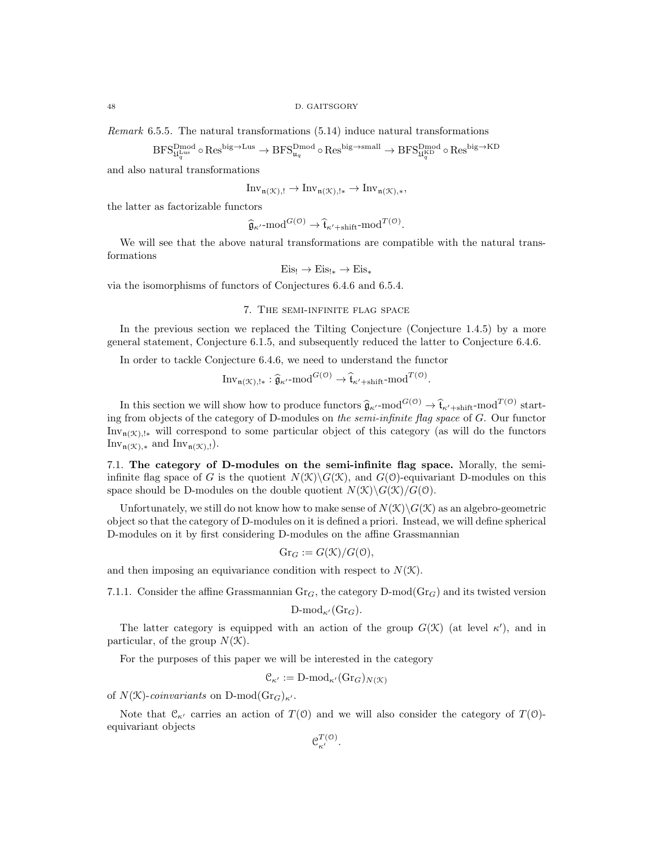Remark 6.5.5. The natural transformations (5.14) induce natural transformations

$$
\rm BFS_{4L_q^{\rm{Dus}}}^{\rm{Dmod}}\circ \rm Res^{big \rightarrow \rm{Lus}} \rightarrow \rm BFS_{u_q}^{\rm{Dmod}}\circ \rm Res^{big \rightarrow \rm small} \rightarrow \rm BFS_{4L_q^{\rm{KDD}}}^{\rm{Dmod}}\circ \rm Res^{big \rightarrow \rm KD}
$$

and also natural transformations

$$
\mathrm{Inv}_{\mathfrak{n}(\mathcal{K}),!}\to \mathrm{Inv}_{\mathfrak{n}(\mathcal{K}),!*}\to \mathrm{Inv}_{\mathfrak{n}(\mathcal{K}),*},
$$

the latter as factorizable functors

$$
\widehat{\mathfrak{g}}_{\kappa'}\text{-mod}^{G(\mathfrak{O})}\to \widehat{\mathfrak{t}}_{\kappa'+\text{shift}}\text{-mod}^{T(\mathfrak{O})}.
$$

We will see that the above natural transformations are compatible with the natural transformations

$$
\mathrm{Eis}_! \rightarrow \mathrm{Eis}_{!*} \rightarrow \mathrm{Eis}_*
$$

via the isomorphisms of functors of Conjectures 6.4.6 and 6.5.4.

### 7. The semi-infinite flag space

In the previous section we replaced the Tilting Conjecture (Conjecture 1.4.5) by a more general statement, Conjecture 6.1.5, and subsequently reduced the latter to Conjecture 6.4.6.

In order to tackle Conjecture 6.4.6, we need to understand the functor

$$
\mathrm{Inv}_{\mathfrak{n}(\mathcal{K}),!*}: \widehat{\mathfrak{g}}_{\kappa'}\text{-mod}^{G(\mathcal{O})} \to \widehat{\mathfrak{t}}_{\kappa'+\mathrm{shift}}\text{-mod}^{T(\mathcal{O})}.
$$

In this section we will show how to produce functors  $\hat{\mathfrak{g}}_{\kappa'}$ -mod<sup> $G(0)$ </sup>  $\rightarrow \hat{\mathfrak{t}}_{\kappa'+\text{shift}}$ -mod<sup> $T(0)$ </sup> start-<br>from objects of the estegay of D modules on the semi-infinite flag ange of C. Our functor ing from objects of the category of D-modules on the semi-infinite flag space of G. Our functor  $Inv_{n(\mathcal{K})}$  will correspond to some particular object of this category (as will do the functors Inv $_{\mathfrak{n}(\mathcal{K}),*}$  and Inv $_{\mathfrak{n}(\mathcal{K}),!}$ ).

7.1. The category of D-modules on the semi-infinite flag space. Morally, the semiinfinite flag space of G is the quotient  $N(\mathcal{K})\backslash G(\mathcal{K})$ , and  $G(\mathcal{O})$ -equivariant D-modules on this space should be D-modules on the double quotient  $N(\mathcal{K})\backslash G(\mathcal{K})/G(0)$ .

Unfortunately, we still do not know how to make sense of  $N(\mathcal{K})\backslash G(\mathcal{K})$  as an algebro-geometric object so that the category of D-modules on it is defined a priori. Instead, we will define spherical D-modules on it by first considering D-modules on the affine Grassmannian

$$
\mathrm{Gr}_G := G(\mathfrak{K})/G(\mathfrak{O}),
$$

and then imposing an equivariance condition with respect to  $N(\mathcal{K})$ .

7.1.1. Consider the affine Grassmannian  $\text{Gr}_G$ , the category D-mod( $\text{Gr}_G$ ) and its twisted version

$$
\operatorname{D-mod}_{\kappa'}(\operatorname{Gr}_G).
$$

The latter category is equipped with an action of the group  $G(\mathcal{K})$  (at level  $\kappa'$ ), and in particular, of the group  $N(\mathcal{K})$ .

For the purposes of this paper we will be interested in the category

$$
\mathcal{C}_{\kappa'} := \text{D-mod}_{\kappa'}(\text{Gr}_G)_{N(\mathcal{K})}
$$

of  $N(\mathcal{K})$ -coinvariants on D-mod $(\text{Gr}_G)_{\kappa'}$ .

Note that  $\mathcal{C}_{\kappa}$  carries an action of  $T(0)$  and we will also consider the category of  $T(0)$ equivariant objects

 $\mathfrak{C}^{T(\mathfrak{O})}_{\kappa^{\prime}}.$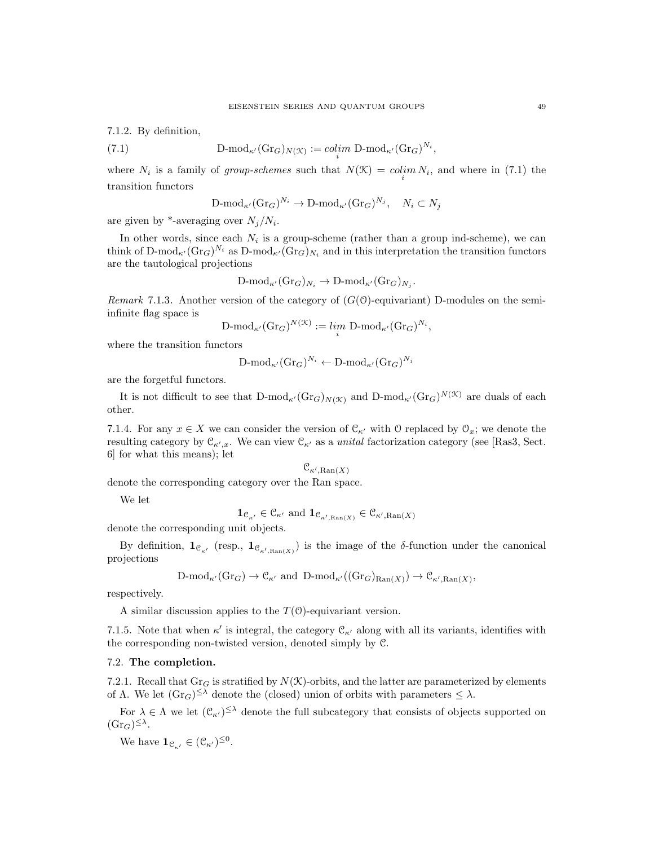7.1.2. By definition,

(7.1) 
$$
D\text{-mod}_{\kappa'}(\text{Gr}_G)_{N(\mathcal{K})} := colim_{i} D\text{-mod}_{\kappa'}(\text{Gr}_G)^{N_i}
$$

where  $N_i$  is a family of group-schemes such that  $N(\mathcal{K}) = colim_i N_i$ , and where in (7.1) the transition functors

,

$$
\text{D-mod}_{\kappa'}(\text{Gr}_G)^{N_i} \to \text{D-mod}_{\kappa'}(\text{Gr}_G)^{N_j}, \quad N_i \subset N_j
$$

are given by \*-averaging over  $N_j/N_i$ .

In other words, since each  $N_i$  is a group-scheme (rather than a group ind-scheme), we can think of D-mod<sub> $\kappa$ </sub><sup> $(Gr_G)$  $N_i$ </sup> as D-mod<sub> $\kappa$ </sub> $(Gr_G)_{N_i}$  and in this interpretation the transition functors are the tautological projections

$$
\text{D-mod}_{\kappa'}(\text{Gr}_G)_{N_i} \to \text{D-mod}_{\kappa'}(\text{Gr}_G)_{N_j}.
$$

Remark 7.1.3. Another version of the category of  $(G(\mathcal{O})$ -equivariant) D-modules on the semiinfinite flag space is

$$
\mathrm{D\text{-}mod}_{\kappa'}(\mathrm{Gr}_G)^{N(\mathcal{K})} := \lim_{i} \mathrm{D\text{-}mod}_{\kappa'}(\mathrm{Gr}_G)^{N_i},
$$

where the transition functors

$$
\text{D-mod}_{\kappa'}(\text{Gr}_G)^{N_i} \leftarrow \text{D-mod}_{\kappa'}(\text{Gr}_G)^{N_j}
$$

are the forgetful functors.

It is not difficult to see that  $D\text{-mod}_{\kappa'}(\text{Gr}_G)_{N(\mathcal{K})}$  and  $D\text{-mod}_{\kappa'}(\text{Gr}_G)^{N(\mathcal{K})}$  are duals of each other.

7.1.4. For any  $x \in X$  we can consider the version of  $\mathcal{C}_{\kappa}$  with O replaced by  $\mathcal{O}_x$ ; we denote the resulting category by  $\mathcal{C}_{\kappa',x}$ . We can view  $\mathcal{C}_{\kappa'}$  as a *unital* factorization category (see [Ras3, Sect. 6] for what this means); let

$$
\mathcal{C}_{\kappa', \text{Ran}(X)}
$$

denote the corresponding category over the Ran space.

We let

$$
\mathbf{1}_{\mathcal{C}_{\kappa'}} \in \mathcal{C}_{\kappa'}
$$
 and  $\mathbf{1}_{\mathcal{C}_{\kappa', \text{Ran}(X)}} \in \mathcal{C}_{\kappa', \text{Ran}(X)}$ 

denote the corresponding unit objects.

By definition,  $1_{\mathcal{C}_{\kappa'}}$  (resp.,  $1_{\mathcal{C}_{\kappa',\mathrm{Ran}(X)}}$ ) is the image of the δ-function under the canonical projections

 $\text{D-mod}_{\kappa'}(\text{Gr}_G) \to \mathcal{C}_{\kappa'}$  and  $\text{D-mod}_{\kappa'}((\text{Gr}_G)_{\text{Ran}(X)}) \to \mathcal{C}_{\kappa',\text{Ran}(X)},$ 

respectively.

A similar discussion applies to the  $T(0)$ -equivariant version.

7.1.5. Note that when  $\kappa'$  is integral, the category  $\mathcal{C}_{\kappa'}$  along with all its variants, identifies with the corresponding non-twisted version, denoted simply by C.

### 7.2. The completion.

7.2.1. Recall that  $\text{Gr}_G$  is stratified by  $N(\mathcal{K})$ -orbits, and the latter are parameterized by elements of  $\Lambda$ . We let  $(\text{Gr}_G)^{\leq \lambda}$  denote the (closed) union of orbits with parameters  $\leq \lambda$ .

For  $\lambda \in \Lambda$  we let  $(\mathcal{C}_{\kappa})^{\leq \lambda}$  denote the full subcategory that consists of objects supported on  $(\text{Gr}_G)^{\leq \lambda}$ .

We have  $\mathbf{1}_{\mathcal{C}_{\kappa'}} \in (\mathcal{C}_{\kappa'})^{\leq 0}$ .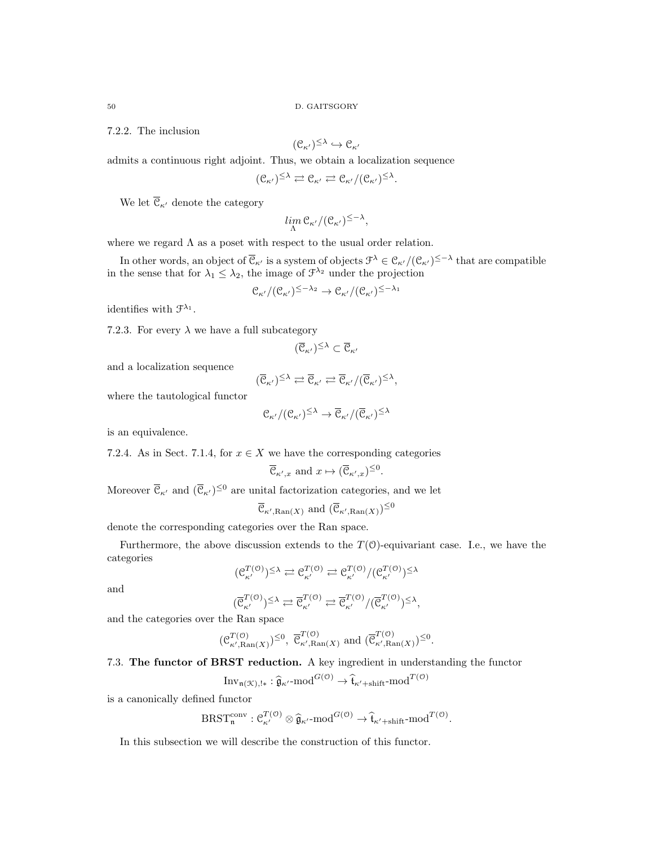7.2.2. The inclusion

$$
(\mathcal{C}_{\kappa'})^{\leq \lambda} \hookrightarrow \mathcal{C}_{\kappa'}
$$

admits a continuous right adjoint. Thus, we obtain a localization sequence

$$
(\mathcal{C}_{\kappa'})^{\leq \lambda} \rightleftarrows \mathcal{C}_{\kappa'} \rightleftarrows \mathcal{C}_{\kappa'}/(\mathcal{C}_{\kappa'})^{\leq \lambda}.
$$

We let  $\overline{\mathfrak{C}}_{\kappa}$  denote the category

$$
\lim_{\Lambda} \mathcal{C}_{\kappa'}/(\mathcal{C}_{\kappa'})^{\leq -\lambda},
$$

where we regard  $\Lambda$  as a poset with respect to the usual order relation.

In other words, an object of  $\overline{\mathcal{C}}_{\kappa'}$  is a system of objects  $\mathcal{F}^{\lambda} \in \mathcal{C}_{\kappa'}/(\mathcal{C}_{\kappa'})^{\leq -\lambda}$  that are compatible in the sense that for  $\lambda_1 \leq \lambda_2$ , the image of  $\mathcal{F}^{\lambda_2}$  under the projection

$$
\mathfrak{C}_{\kappa'}/(\mathfrak{C}_{\kappa'})^{\leq -\lambda_2} \to \mathfrak{C}_{\kappa'}/(\mathfrak{C}_{\kappa'})^{\leq -\lambda_1}
$$

identifies with  $\mathcal{F}^{\lambda_1}$ .

7.2.3. For every  $\lambda$  we have a full subcategory

$$
(\overline{\mathcal{C}}_{\kappa'})^{\leq \lambda} \subset \overline{\mathcal{C}}_{\kappa'}
$$

and a localization sequence

$$
(\overline{\mathcal{C}}_{\kappa'})^{\leq \lambda} \rightleftarrows \overline{\mathcal{C}}_{\kappa'} \rightleftarrows \overline{\mathcal{C}}_{\kappa'}/(\overline{\mathcal{C}}_{\kappa'})^{\leq \lambda},
$$

where the tautological functor

$$
\mathfrak{C}_{\kappa'}/(\mathfrak{C}_{\kappa'})^{\leq \lambda} \to \overline{\mathfrak{C}}_{\kappa'}/(\overline{\mathfrak{C}}_{\kappa'})^{\leq \lambda}
$$

is an equivalence.

7.2.4. As in Sect. 7.1.4, for  $x \in X$  we have the corresponding categories

$$
\overline{\mathcal{C}}_{\kappa',x}
$$
 and  $x \mapsto (\overline{\mathcal{C}}_{\kappa',x})^{\leq 0}$ .

Moreover  $\overline{\mathcal{C}}_{\kappa'}$  and  $(\overline{\mathcal{C}}_{\kappa'})^{\leq 0}$  are unital factorization categories, and we let

$$
\overline{\mathcal{C}}_{\kappa', \text{Ran}(X)}
$$
 and  $(\overline{\mathcal{C}}_{\kappa', \text{Ran}(X)})^{\leq 0}$ 

denote the corresponding categories over the Ran space.

Furthermore, the above discussion extends to the  $T(0)$ -equivariant case. I.e., we have the categories

$$
(\mathcal{C}_{\kappa'}^{T(\mathcal{O})})^{\leq \lambda} \rightleftarrows \mathcal{C}_{\kappa'}^{T(\mathcal{O})} \rightleftarrows \mathcal{C}_{\kappa'}^{T(\mathcal{O})}/(\mathcal{C}_{\kappa'}^{T(\mathcal{O})})^{\leq \lambda}
$$

and

$$
(\overline{\mathcal{C}}_{\kappa'}^{T(\mathcal{O})})^{\leq \lambda} \rightleftarrows \overline{\mathcal{C}}_{\kappa'}^{T(\mathcal{O})} \rightleftarrows \overline{\mathcal{C}}_{\kappa'}^{T(\mathcal{O})}/(\overline{\mathcal{C}}_{\kappa'}^{T(\mathcal{O})})^{\leq \lambda},
$$

and the categories over the Ran space

$$
(\mathcal{C}^{T(\mathcal{O})}_{\kappa',\text{Ran}(X)})^{\leq 0},\ \overline{\mathcal{C}}^{T(\mathcal{O})}_{\kappa',\text{Ran}(X)}\ \text{and}\ (\overline{\mathcal{C}}^{T(\mathcal{O})}_{\kappa',\text{Ran}(X)})^{\leq 0}.
$$

# 7.3. The functor of BRST reduction. A key ingredient in understanding the functor

$$
\mathrm{Inv}_{\mathfrak{n}(\mathcal{K}),!*}: \widehat{\mathfrak{g}}_{\kappa'}\text{-mod}^{G(\mathcal{O})} \to \widehat{\mathfrak{t}}_{\kappa'+\text{shift}}\text{-mod}^{T(\mathcal{O})}
$$

is a canonically defined functor

$$
\text{BRST}_{\mathfrak{n}}^{\text{conv}}: \mathcal{C}_{\kappa'}^{T(\mathfrak{O})} \otimes \widehat{\mathfrak{g}}_{\kappa'}\text{-}\mathrm{mod}^{G(\mathfrak{O})} \to \widehat{\mathfrak{t}}_{\kappa'+\mathrm{shift}}\text{-}\mathrm{mod}^{T(\mathfrak{O})}.
$$

In this subsection we will describe the construction of this functor.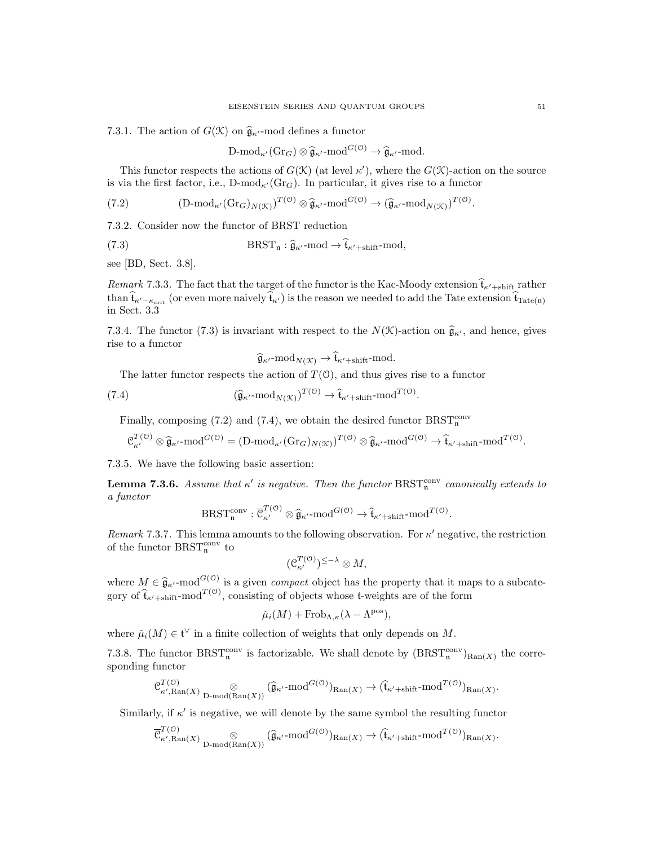7.3.1. The action of  $G(\mathcal{K})$  on  $\hat{\mathfrak{g}}_{\kappa}$  -mod defines a functor

$$
\mathrm{D\text{-}mod}_{\kappa'}(\mathrm{Gr}_G) \otimes \widehat{\mathfrak{g}}_{\kappa'}\text{-}\mathrm{mod}^{G(\mathcal{O})} \to \widehat{\mathfrak{g}}_{\kappa'}\text{-}\mathrm{mod}.
$$

This functor respects the actions of  $G(\mathcal{K})$  (at level  $\kappa'$ ), where the  $G(\mathcal{K})$ -action on the source is via the first factor, i.e.,  $D\text{-mod}_{\kappa'}(Gr_G)$ . In particular, it gives rise to a functor

(7.2) 
$$
(\text{D-mod}_{\kappa'}(\text{Gr}_G)_{N(\mathcal{K})})^{T(\mathcal{O})}\otimes \widehat{\mathfrak{g}}_{\kappa'}\text{-mod}^{G(\mathcal{O})} \to (\widehat{\mathfrak{g}}_{\kappa'}\text{-mod}_{N(\mathcal{K})})^{T(\mathcal{O})}.
$$

7.3.2. Consider now the functor of BRST reduction

(7.3) 
$$
BRST_{n}: \hat{\mathfrak{g}}_{\kappa'}\text{-mod} \to \hat{\mathfrak{t}}_{\kappa'+\text{shift}}\text{-mod},
$$

see [BD, Sect. 3.8].

Remark 7.3.3. The fact that the target of the functor is the Kac-Moody extension  $\hat{\mathfrak{t}}_{\kappa'+\text{shift}}$  rather than  $\hat{\mathbf{t}}_{\kappa'-\kappa_{\text{crit}}}$  (or even more naively  $\hat{\mathbf{t}}_{\kappa'}$ ) is the reason we needed to add the Tate extension  $\hat{\mathbf{t}}_{\text{Tate(n)}}$ in Sect. 3.3

7.3.4. The functor (7.3) is invariant with respect to the  $N(\mathcal{K})$ -action on  $\hat{\mathfrak{g}}_{\kappa'}$ , and hence, gives rise to a functor

$$
\widehat{\mathfrak{g}}_{\kappa'}\text{-mod}_{N(\mathfrak{K})}\to \mathfrak{t}_{\kappa'+\text{shift}}\text{-mod}.
$$

The latter functor respects the action of  $T(0)$ , and thus gives rise to a functor

(7.4) 
$$
(\widehat{\mathfrak{g}}_{\kappa'}\text{-mod}_{N(\mathfrak{K})})^{T(\mathfrak{O})}\to \widehat{\mathfrak{t}}_{\kappa'+\text{shift}}\text{-mod}^{T(\mathfrak{O})}.
$$

Finally, composing (7.2) and (7.4), we obtain the desired functor  $BRST_r^{\text{conv}}$ 

$$
\mathcal{C}_{\kappa'}^{T(\mathcal{O})} \otimes \widehat{\mathfrak{g}}_{\kappa'}\text{-mod}^{G(\mathcal{O})} = (\text{D-mod}_{\kappa'}(\text{Gr}_G)_{N(\mathcal{K})})^{T(\mathcal{O})} \otimes \widehat{\mathfrak{g}}_{\kappa'}\text{-mod}^{G(\mathcal{O})} \to \widehat{\mathfrak{t}}_{\kappa'+\text{shift}}\text{-mod}^{T(\mathcal{O})}.
$$

7.3.5. We have the following basic assertion:

**Lemma 7.3.6.** Assume that  $\kappa'$  is negative. Then the functor  $\text{BRST}_{n}^{\text{conv}}$  canonically extends to a functor

$$
\text{BRST}_{\mathfrak{n}}^{\text{conv}} : \overline{\mathfrak{C}}_{\kappa'}^{T(\mathfrak{O})} \otimes \widehat{\mathfrak{g}}_{\kappa'}\text{-}\mathrm{mod}^{G(\mathfrak{O})} \to \widehat{\mathfrak{t}}_{\kappa'+\mathrm{shift}}\text{-}\mathrm{mod}^{T(\mathfrak{O})}.
$$

Remark 7.3.7. This lemma amounts to the following observation. For  $\kappa'$  negative, the restriction of the functor  $\text{BRST}_\mathfrak{n}^\text{conv}$  to

$$
(\mathfrak{C}_{\kappa'}^{T(\mathfrak{O})})^{\leq -\lambda} \otimes M,
$$

where  $M \in \hat{\mathfrak{g}}_{\kappa}$  -mod $G^{(0)}$  is a given *compact* object has the property that it maps to a subcate-<br>game of  $\hat{\mathfrak{g}}$  -mod $T^{(0)}$  consisting of chiests where t weights are of the farm gory of  $\hat{\mathbf{t}}_{\kappa' + \text{shift}}$ -mod $T^{(0)}$ , consisting of objects whose t-weights are of the form

$$
\check{\mu}_i(M) + \text{Frob}_{\Lambda,\kappa}(\lambda - \Lambda^{\text{pos}}),
$$

where  $\mu_i(M) \in \mathfrak{t}^\vee$  in a finite collection of weights that only depends on M.

7.3.8. The functor BRST<sup>conv</sup> is factorizable. We shall denote by  $(BRST_n^{conv})_{\text{Ran}(X)}$  the corresponding functor

$$
\mathcal{C}^{T(\mathcal{O})}_{\kappa',\mathrm{Ran}(X)}\underset{\mathrm{D-mod}(\mathrm{Ran}(X))}{\otimes}(\widehat{\mathfrak{g}}_{\kappa'}\text{-mod}^{G(\mathcal{O})})_{\mathrm{Ran}(X)}\to (\widehat{\mathfrak{t}}_{\kappa'+\mathrm{shift}}\text{-mod}^{T(\mathcal{O})})_{\mathrm{Ran}(X)}.
$$

Similarly, if  $\kappa'$  is negative, we will denote by the same symbol the resulting functor

$$
\overline{\mathcal{C}}_{\kappa',\text{Ran}(X)}^{T(\mathcal{O})} \underset{\text{D-mod}( \text{Ran}(X))}{\otimes} (\widehat{\mathfrak{g}}_{\kappa'}\text{-mod}^{G(\mathcal{O})})_{\text{Ran}(X)} \to (\widehat{\mathfrak{t}}_{\kappa'+\text{shift}}\text{-mod}^{T(\mathcal{O})})_{\text{Ran}(X)}.
$$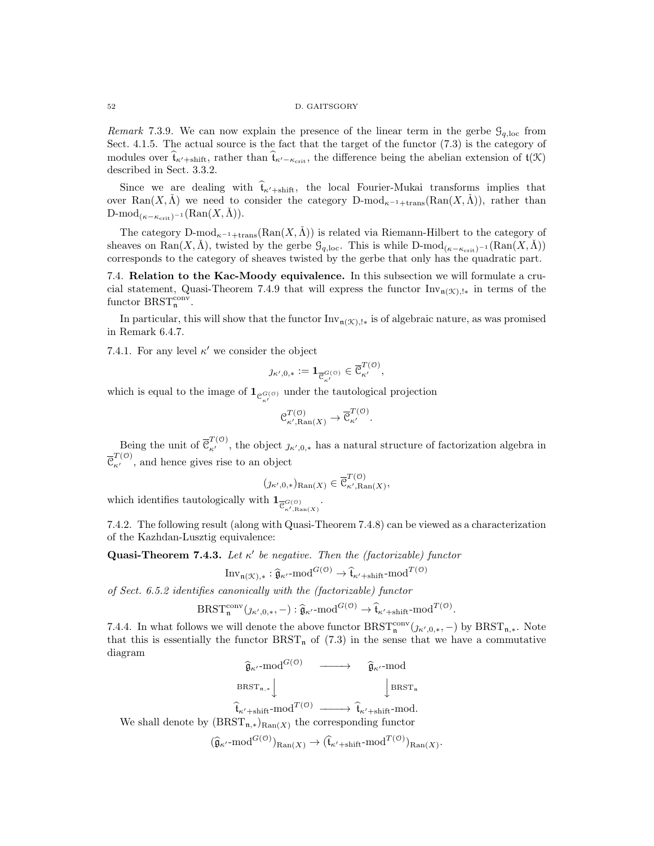Remark 7.3.9. We can now explain the presence of the linear term in the gerbe  $\mathcal{G}_{q,loc}$  from Sect. 4.1.5. The actual source is the fact that the target of the functor (7.3) is the category of modules over  $\hat{\mathfrak{t}}_{\kappa'+\text{shift}}$ , rather than  $\hat{\mathfrak{t}}_{\kappa'-\kappa_{\text{crit}}}$ , the difference being the abelian extension of  $\mathfrak{t}(\mathfrak{K})$ described in Sect. 3.3.2.

Since we are dealing with  $\hat{t}_{\kappa'+\text{shift}}$ , the local Fourier-Mukai transforms implies that over Ran(X,  $\check{\Lambda}$ ) we need to consider the category D-mod<sub>k<sup>-1</sup>+trans</sub>(Ran(X,  $\check{\Lambda}$ )), rather than D-mod<sub>( $\kappa-\kappa_{\rm crit}$ )−1 (Ran( $X, \Lambda$ )).</sub>

The category D-mod<sub> $\kappa^{-1}$ +trans(Ran(X, $\Lambda$ )) is related via Riemann-Hilbert to the category of</sub> sheaves on Ran(X, $\check{\Lambda}$ ), twisted by the gerbe  $\mathcal{G}_{q,\mathrm{loc}}$ . This is while D-mod<sub>( $\kappa-\kappa_{\mathrm{crit}}$ )<sup>-1</sup> (Ran(X, $\check{\Lambda}$ ))</sub> corresponds to the category of sheaves twisted by the gerbe that only has the quadratic part.

7.4. Relation to the Kac-Moody equivalence. In this subsection we will formulate a crucial statement, Quasi-Theorem 7.4.9 that will express the functor  $Inv_{n(\mathcal{K})}$ <sub>1</sub><sup>\*</sup> in terms of the functor  $BRST_n^{\text{conv}}$ .

In particular, this will show that the functor  $Inv_{n(\mathcal{K}),!*}$  is of algebraic nature, as was promised in Remark 6.4.7.

7.4.1. For any level  $\kappa'$  we consider the object

$$
\jmath_{\kappa',0,*}:=\mathbf{1}_{\overline{\mathbb{C}}^{\mathcal{G}(\mathfrak{O})}_{\kappa'}}\in \overline{\mathbb{C}}^{T(\mathfrak{O})}_{\kappa'},
$$

which is equal to the image of  $1_{\mathcal{C}^{G(\mathcal{O})}_{\kappa'}}$  under the tautological projection

$$
\mathcal{C}_{\kappa', \text{Ran}(X)}^{T(\mathcal{O})} \to \overline{\mathcal{C}}_{\kappa'}^{T(\mathcal{O})}.
$$

Being the unit of  $\overline{\mathfrak{C}}_{\kappa'}^{T(\mathcal{O})}$ , the object  $j_{\kappa',0,*}$  has a natural structure of factorization algebra in  $\overline{\mathcal{C}}_{\kappa'}^{T(\mathcal{O})}$ , and hence gives rise to an object

$$
(\jmath_{\kappa',0,*})_{\text{Ran}(X)} \in \overline{\mathcal{C}}_{\kappa',\text{Ran}(X)}^{T(\mathcal{O})},
$$

which identifies tautologically with  $1_{\overline{\mathcal{C}}_{\kappa',\mathrm{Ran}(X)}^{G(\mathcal{O})}}$ .

7.4.2. The following result (along with Quasi-Theorem 7.4.8) can be viewed as a characterization of the Kazhdan-Lusztig equivalence:

**Quasi-Theorem 7.4.3.** Let  $\kappa'$  be negative. Then the (factorizable) functor

$$
\mathrm{Inv}_{\mathfrak{n}(\mathcal{K}),*}: \widehat{\mathfrak{g}}_{\kappa'}\text{-mod}^{G(\mathcal{O})} \to \widehat{\mathfrak{t}}_{\kappa'+\text{shift}}\text{-mod}^{T(\mathcal{O})}
$$

of Sect. 6.5.2 identifies canonically with the (factorizable) functor

$$
\text{BRST}_{\mathfrak{n}}^{\text{conv}}(\jmath_{\kappa',0,*},-): \widehat{\mathfrak{g}}_{\kappa'}\text{-mod}^{G(\mathcal{O})} \to \widehat{\mathfrak{t}}_{\kappa'+\text{shift}}\text{-mod}^{T(\mathcal{O})}.
$$

7.4.4. In what follows we will denote the above functor  $BRST_n^{\text{conv}}(\jmath_{\kappa',0,*},-)$  by  $BRST_{\mathfrak{n},*}$ . Note that this is essentially the functor  $BRST_n$  of (7.3) in the sense that we have a commutative diagram

$$
\begin{array}{ccc}\n\widehat{\mathfrak{g}}_{\kappa'}\text{-mod}^{G(\mathbb{O})} & \longrightarrow & \widehat{\mathfrak{g}}_{\kappa'}\text{-mod} \\
\text{BRST}_{\mathfrak{n},*} & & \downarrow \text{BRST}_{\mathfrak{n}} \\
\widehat{\mathfrak{t}}_{\kappa'+\text{shift}}\text{-mod}^{T(\mathbb{O})} & \longrightarrow & \widehat{\mathfrak{t}}_{\kappa'+\text{shift}}\text{-mod}.\n\end{array}
$$

We shall denote by  $(BRST_{n,*})_{\text{Ran}(X)}$  the corresponding functor

$$
(\widehat{\mathfrak{g}}_{\kappa'}\text{-mod}^{G(\mathcal{O})})_{\text{Ran}(X)} \to (\widehat{\mathfrak{t}}_{\kappa'+\text{shift}}\text{-mod}^{T(\mathcal{O})})_{\text{Ran}(X)}.
$$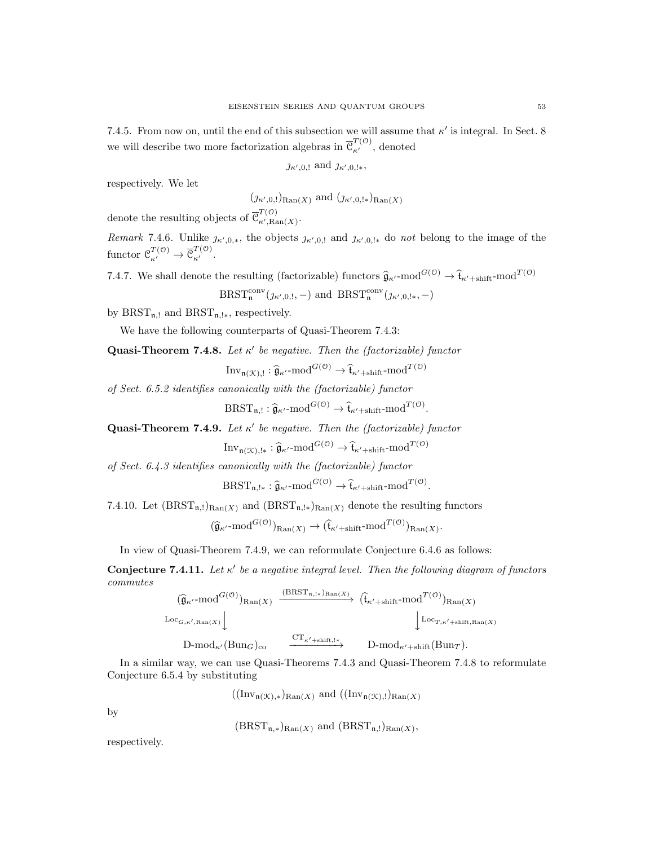7.4.5. From now on, until the end of this subsection we will assume that  $\kappa'$  is integral. In Sect. 8 we will describe two more factorization algebras in  $\overline{\mathcal{C}}_{\kappa'}^{T(\mathcal{O})}$ , denoted

$$
j_{\kappa',0,!}
$$
 and  $j_{\kappa',0,!*}$ ,

respectively. We let

$$
(\jmath_{\kappa',0,!})_{\text{Ran}(X)}
$$
 and  $(\jmath_{\kappa',0,!*})_{\text{Ran}(X)}$ 

denote the resulting objects of  $\overline{\mathcal{C}}_{\kappa',\mathrm{R}_{\kappa}}^{T(\mathcal{O})}$  $\kappa'$ , Ran $(X)$ .

Remark 7.4.6. Unlike  $j_{\kappa',0,*}$ , the objects  $j_{\kappa',0,!}$  and  $j_{\kappa',0,!*}$  do not belong to the image of the functor  $\mathcal{C}_{\kappa'}^{T(\mathcal{O})} \to \overline{\mathcal{C}}_{\kappa'}^{T(\mathcal{O})}.$ 

7.4.7. We shall denote the resulting (factorizable) functors  $\hat{\mathfrak{g}}_{\kappa}$ -mod $^{G(0)} \to \hat{\mathfrak{t}}_{\kappa'+\text{shift}}$ -mod $^{T(0)}$  $\text{BRST}_n^{\text{conv}}(\jmath_{\kappa',0,!},-)$  and  $\text{BRST}_n^{\text{conv}}(\jmath_{\kappa',0,!},+)$ 

by  $BRST_{n, !}$  and  $BRST_{n, !*}$ , respectively.

We have the following counterparts of Quasi-Theorem 7.4.3:

**Quasi-Theorem 7.4.8.** Let  $\kappa'$  be negative. Then the (factorizable) functor

 $Inv_{\mathfrak{n}(\mathcal{K}),!} : \hat{\mathfrak{g}}_{\kappa'}\text{-mod}^{G(\mathcal{O})} \to \hat{\mathfrak{t}}_{\kappa'+\text{shift}}\text{-mod}^{T(\mathcal{O})}$ 

of Sect. 6.5.2 identifies canonically with the (factorizable) functor

 $BRST_{n, !} : \hat{\mathfrak{g}}_{\kappa'}.mod^{G(\mathcal{O})} \to \hat{\mathfrak{t}}_{\kappa' + \text{shift}}.mod^{T(\mathcal{O})}.$ 

**Quasi-Theorem 7.4.9.** Let  $\kappa'$  be negative. Then the (factorizable) functor

 $Inv_{\mathbf{n}(\mathcal{K})}\,|_{*}: \widehat{\mathfrak{g}}_{\kappa'}\text{-mod}^{G(\mathcal{O})} \to \widehat{\mathfrak{t}}_{\kappa'+\text{shift}}\text{-mod}^{T(\mathcal{O})}$ 

of Sect. 6.4.3 identifies canonically with the (factorizable) functor

 $BRST_{\mathfrak{n},!*}: \hat{\mathfrak{g}}_{\kappa'}\text{-mod}^{G(\mathcal{O})} \to \hat{\mathfrak{t}}_{\kappa'+\text{shift}}\text{-mod}^{T(\mathcal{O})}.$ 

7.4.10. Let  $(BRST_{n,!})_{\text{Ran}(X)}$  and  $(BRST_{n,!*})_{\text{Ran}(X)}$  denote the resulting functors

$$
(\widehat{\mathfrak{g}}_{\kappa'}\text{-mod}^{G(\mathcal{O})})_{\text{Ran}(X)} \to (\widehat{\mathfrak{t}}_{\kappa'+\text{shift}}\text{-mod}^{T(\mathcal{O})})_{\text{Ran}(X)}.
$$

In view of Quasi-Theorem 7.4.9, we can reformulate Conjecture 6.4.6 as follows:

**Conjecture 7.4.11.** Let  $\kappa'$  be a negative integral level. Then the following diagram of functors commutes  $(RRST)$ 

$$
\begin{array}{ccc}\n(\widehat{\mathfrak{g}}_{\kappa'}\text{-mod}^{G(\mathcal{O})})_{\text{Ran}(X)} & \xrightarrow{\text{(BRS 1_n, !*/ \text{Ran}(X))}} (\widehat{\mathfrak{t}}_{\kappa'+\text{shift}}\text{-mod}^{T(\mathcal{O})})_{\text{Ran}(X)} \\
\downarrow^{\text{Loc}_{G,\kappa',\text{Ran}(X)}} & \downarrow^{\text{Loc}_{T,\kappa'+\text{shift},\text{Ran}(X)}} \\
D\text{-mod}_{\kappa'}(\text{Bun}_G)_{\text{co}} & \xrightarrow{\text{CT}_{\kappa'+\text{shift},!*}} & D\text{-mod}_{\kappa'+\text{shift}}(\text{Bun}_T).\n\end{array}
$$

In a similar way, we can use Quasi-Theorems 7.4.3 and Quasi-Theorem 7.4.8 to reformulate Conjecture 6.5.4 by substituting

 $((\text{Inv}_{\mathfrak{n}(\mathcal{K}),*})_{\text{Ran}(X)}$  and  $((\text{Inv}_{\mathfrak{n}(\mathcal{K}),!})_{\text{Ran}(X)})$ 

by

$$
(BRST_{n,*})_{\text{Ran}(X)}
$$
 and  $(BRST_{n,!})_{\text{Ran}(X)}$ ,

respectively.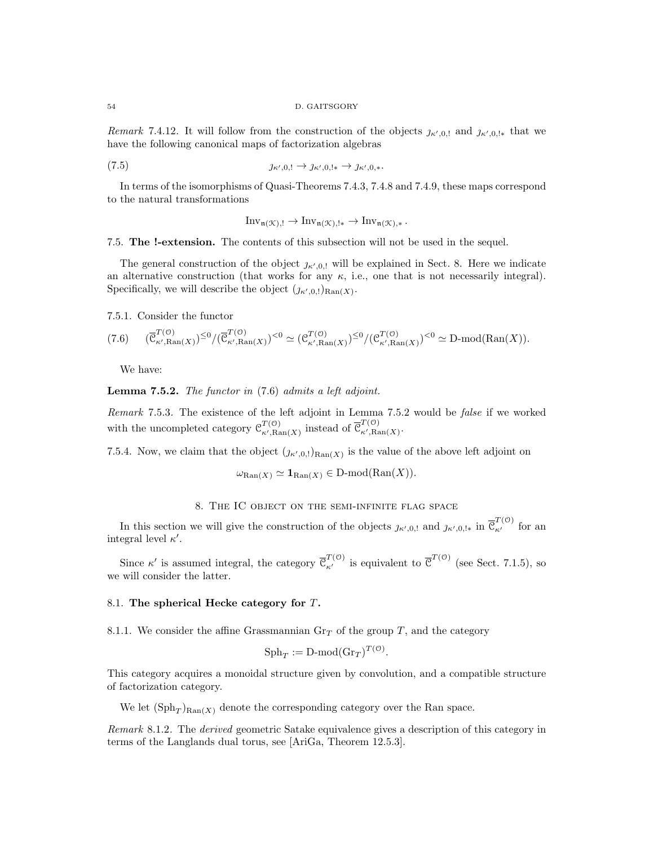Remark 7.4.12. It will follow from the construction of the objects  $j_{\kappa',0,1}$  and  $j_{\kappa',0,1*}$  that we have the following canonical maps of factorization algebras

(7.5) κ<sup>0</sup> ,0,! → κ<sup>0</sup> ,0,!<sup>∗</sup> → κ<sup>0</sup> ,0,∗.

In terms of the isomorphisms of Quasi-Theorems 7.4.3, 7.4.8 and 7.4.9, these maps correspond to the natural transformations

$$
\operatorname{Inv}_{\mathfrak{n}(\mathcal{K}),!} \to \operatorname{Inv}_{\mathfrak{n}(\mathcal{K}),!*} \to \operatorname{Inv}_{\mathfrak{n}(\mathcal{K}),*}.
$$

7.5. The !-extension. The contents of this subsection will not be used in the sequel.

The general construction of the object  $\jmath_{\kappa',0,1}$  will be explained in Sect. 8. Here we indicate an alternative construction (that works for any  $\kappa$ , i.e., one that is not necessarily integral). Specifically, we will describe the object  $(j_{\kappa',0,!})_{\text{Ran}(X)}$ .

7.5.1. Consider the functor

$$
(7.6) \qquad (\overline{\mathcal{C}}_{\kappa',\text{Ran}(X)}^{T(0)})^{\leq 0} / (\overline{\mathcal{C}}_{\kappa',\text{Ran}(X)}^{T(0)})^{< 0} \simeq (\mathcal{C}_{\kappa',\text{Ran}(X)}^{T(0)})^{\leq 0} / (\mathcal{C}_{\kappa',\text{Ran}(X)}^{T(0)})^{< 0} \simeq \text{D-mod}(\text{Ran}(X)).
$$

We have:

**Lemma 7.5.2.** The functor in  $(7.6)$  admits a left adjoint.

Remark 7.5.3. The existence of the left adjoint in Lemma 7.5.2 would be false if we worked with the uncompleted category  $\mathcal{C}^{T(\mathcal{O})}_{\mathcal{L}'\mathcal{B}_{\mathcal{C}}}$  $T^{(0)}_{\kappa',\text{Ran}(X)}$  instead of  $\overline{\mathfrak{C}}_{\kappa',\text{Ran}(X)}^{T^{(0)}}$  $\kappa'$ , Ran $(X)$ .

7.5.4. Now, we claim that the object  $(j_{\kappa',0,1})_{\text{Ran}(X)}$  is the value of the above left adjoint on

 $\omega_{\text{Ran}(X)} \simeq \mathbf{1}_{\text{Ran}(X)} \in D\text{-mod}(\text{Ran}(X)).$ 

# 8. The IC object on the semi-infinite flag space

In this section we will give the construction of the objects  $j_{\kappa',0,1}$  and  $j_{\kappa',0,1*}$  in  $\overline{\mathbb{C}}_{\kappa'}^{T(\mathcal{O})}$  for an integral level  $\kappa'$ .

Since  $\kappa'$  is assumed integral, the category  $\overline{\mathcal{C}}_{\kappa'}^{T(\mathcal{O})}$  is equivalent to  $\overline{\mathcal{C}}^{T(\mathcal{O})}$  (see Sect. 7.1.5), so we will consider the latter.

#### 8.1. The spherical Hecke category for T.

8.1.1. We consider the affine Grassmannian  $\text{Gr}_T$  of the group T, and the category

$$
Sph_T := D\text{-mod}(\text{Gr}_T)^{T(\mathcal{O})}
$$

.

This category acquires a monoidal structure given by convolution, and a compatible structure of factorization category.

We let  $(\mathrm{Sph}_{T})_{\text{Ran}(X)}$  denote the corresponding category over the Ran space.

Remark 8.1.2. The derived geometric Satake equivalence gives a description of this category in terms of the Langlands dual torus, see [AriGa, Theorem 12.5.3].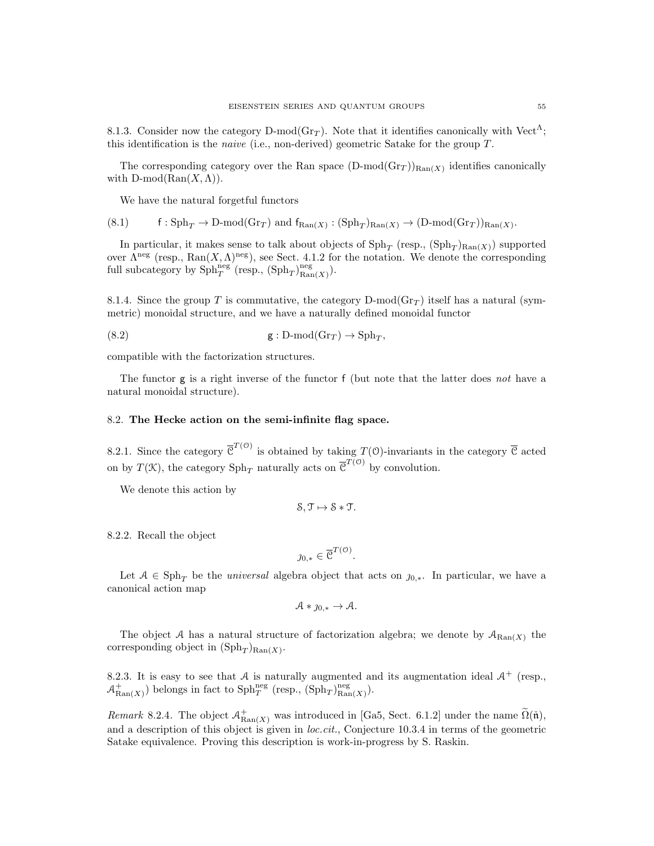8.1.3. Consider now the category D-mod( $\text{Gr}_T$ ). Note that it identifies canonically with Vect<sup>A</sup>; this identification is the *naive* (i.e., non-derived) geometric Satake for the group  $T$ .

The corresponding category over the Ran space  $(D\text{-mod}(Gr_T))_{\text{Ran}(X)}$  identifies canonically with  $D\text{-mod}(Ran(X,\Lambda)).$ 

We have the natural forgetful functors

(8.1) 
$$
f: \text{Sph}_T \to \text{D-mod}(Gr_T) \text{ and } f_{\text{Ran}(X)}: (\text{Sph}_T)_{\text{Ran}(X)} \to (\text{D-mod}(Gr_T))_{\text{Ran}(X)}.
$$

In particular, it makes sense to talk about objects of  $\text{Sph}_T$  (resp.,  $(\text{Sph}_T)_{\text{Ran}(X)}$ ) supported over  $\Lambda^{\text{neg}}$  (resp.,  $\text{Ran}(X,\Lambda)^{\text{neg}}$ ), see Sect. 4.1.2 for the notation. We denote the corresponding full subcategory by  $\text{Sph}_{T}^{\text{neg}}$  (resp.,  $(\text{Sph}_{T})_{\text{Rar}}^{\text{neg}}$  $\frac{\text{neg}}{\text{Ran}(X)}$ ).

8.1.4. Since the group T is commutative, the category D-mod( $\text{Gr}_{T}$ ) itself has a natural (symmetric) monoidal structure, and we have a naturally defined monoidal functor

(8.2) 
$$
g: D\text{-mod}(Gr_T) \to \text{Sph}_T,
$$

compatible with the factorization structures.

The functor g is a right inverse of the functor f (but note that the latter does not have a natural monoidal structure).

### 8.2. The Hecke action on the semi-infinite flag space.

8.2.1. Since the category  $\overline{\mathcal{C}}^{T(\mathcal{O})}$  is obtained by taking  $T(\mathcal{O})$ -invariants in the category  $\overline{\mathcal{C}}$  acted on by  $T(\mathcal{K})$ , the category  $\text{Sph}_T$  naturally acts on  $\overline{\mathcal{C}}^{T(\mathcal{O})}$  by convolution.

We denote this action by

$$
\mathcal{S}, \mathcal{T} \mapsto \mathcal{S} * \mathcal{T}.
$$

8.2.2. Recall the object

$$
\jmath_{0,*}\in\overline{\mathcal{C}}^{T(\mathcal{O})}.
$$

Let  $A \in \mathrm{Sph}_T$  be the *universal* algebra object that acts on  $j_{0,*}$ . In particular, we have a canonical action map

$$
\mathcal{A} * \jmath_{0,*} \to \mathcal{A}.
$$

The object A has a natural structure of factorization algebra; we denote by  $\mathcal{A}_{\text{Ran}(X)}$  the corresponding object in  $(\mathrm{Sph}_{T})_{\mathrm{Ran}(X)}$ .

8.2.3. It is easy to see that A is naturally augmented and its augmentation ideal  $A^+$  (resp.,  $\mathcal{A}^{\pm}_{\text{Ran}(X)}$ ) belongs in fact to  $\text{Sph}_{T}^{\text{neg}}$  (resp.,  $(\text{Sph}_{T})^{\text{neg}}_{\text{Ran}(X)}$ )  $\frac{\text{neg}}{\text{Ran}(X)}$ ).

Remark 8.2.4. The object  $\mathcal{A}^+_{\text{Ran}(X)}$  was introduced in [Ga5, Sect. 6.1.2] under the name  $\widetilde{\Omega}(\check{\mathfrak{n}})$ , and a description of this object is given in *loc.cit.*, Conjecture 10.3.4 in terms of the geometric Satake equivalence. Proving this description is work-in-progress by S. Raskin.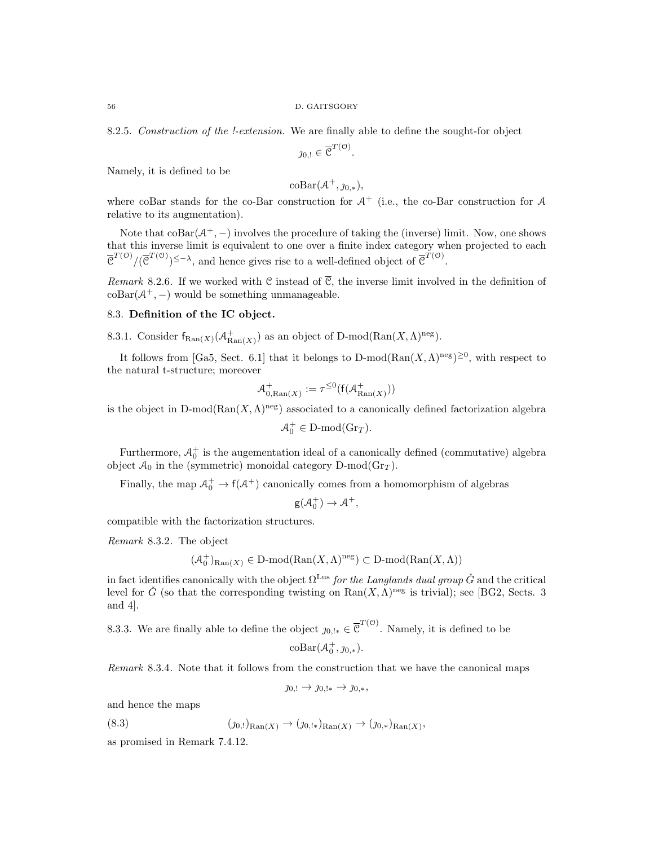8.2.5. Construction of the !-extension. We are finally able to define the sought-for object

$$
\jmath_{0,!} \in \overline{\mathcal{C}}^{T(\mathcal{O})}.
$$

Namely, it is defined to be

$$
\mathrm{coBar}(\mathcal{A}^+, \jmath_{0,*}),
$$

where coBar stands for the co-Bar construction for  $A^+$  (i.e., the co-Bar construction for A relative to its augmentation).

Note that  $\text{coBar}(\mathcal{A}^+, -)$  involves the procedure of taking the (inverse) limit. Now, one shows that this inverse limit is equivalent to one over a finite index category when projected to each  $\overline{\mathcal{C}}^{T(\mathcal{O})}/(\overline{\mathcal{C}}^{T(\mathcal{O})})^{\leq -\lambda}$ , and hence gives rise to a well-defined object of  $\overline{\mathcal{C}}^{T(\mathcal{O})}$ .

Remark 8.2.6. If we worked with C instead of  $\overline{C}$ , the inverse limit involved in the definition of  $coBar(\mathcal{A}^+, -)$  would be something unmanageable.

# 8.3. Definition of the IC object.

8.3.1. Consider  $f_{\text{Ran}(X)}(\mathcal{A}_{\text{Ran}(X)}^+)$  as an object of D-mod( $\text{Ran}(X,\Lambda)$ <sup>neg</sup>).

It follows from [Ga5, Sect. 6.1] that it belongs to D-mod( $\text{Ran}(X, \Lambda)$ <sup>neg</sup>)<sup>20</sup>, with respect to the natural t-structure; moreover

$$
\mathcal{A}_{0,\text{Ran}(X)}^+ := \tau^{\leq 0}(\mathsf{f}(\mathcal{A}_{\text{Ran}(X)}^+))
$$

is the object in D-mod $(\text{Ran}(X,\Lambda)^{neg})$  associated to a canonically defined factorization algebra

$$
\mathcal{A}_0^+ \in \mathbf{D}\text{-}\mathrm{mod}(\mathrm{Gr}_T).
$$

Furthermore,  $\mathcal{A}_0^+$  is the augementation ideal of a canonically defined (commutative) algebra object  $\mathcal{A}_0$  in the (symmetric) monoidal category D-mod( $\text{Gr}_T$ ).

Finally, the map  $\mathcal{A}_0^+ \to f(\mathcal{A}^+)$  canonically comes from a homomorphism of algebras

$$
g(\mathcal{A}_0^+)\to \mathcal{A}^+,
$$

compatible with the factorization structures.

Remark 8.3.2. The object

$$
(\mathcal{A}_0^+)_{\text{Ran}(X)}\in{\rm D\text{-}mod}(\text{Ran}(X,\Lambda)^{\text{neg}})\subset{\rm D\text{-}mod}(\text{Ran}(X,\Lambda))
$$

in fact identifies canonically with the object  $\Omega^{\text{Lus}}$  for the Langlands dual group  $\check{G}$  and the critical level for  $\check{G}$  (so that the corresponding twisting on  $\text{Ran}(X,\Lambda)^{neg}$  is trivial); see [BG2, Sects. 3 and 4].

8.3.3. We are finally able to define the object  $j_{0,1*} \in \overline{\mathcal{C}}^{T(\mathcal{O})}$ . Namely, it is defined to be

$$
\mathrm{coBar}(\mathcal{A}_0^+, \mathcal{y}_{0,*}).
$$

Remark 8.3.4. Note that it follows from the construction that we have the canonical maps

$$
\jmath_{0,!} \rightarrow \jmath_{0,!*} \rightarrow \jmath_{0,*},
$$

and hence the maps

(8.3) 
$$
(j_{0,!})_{\text{Ran}(X)} \to (j_{0,!*})_{\text{Ran}(X)} \to (j_{0,*})_{\text{Ran}(X)},
$$

as promised in Remark 7.4.12.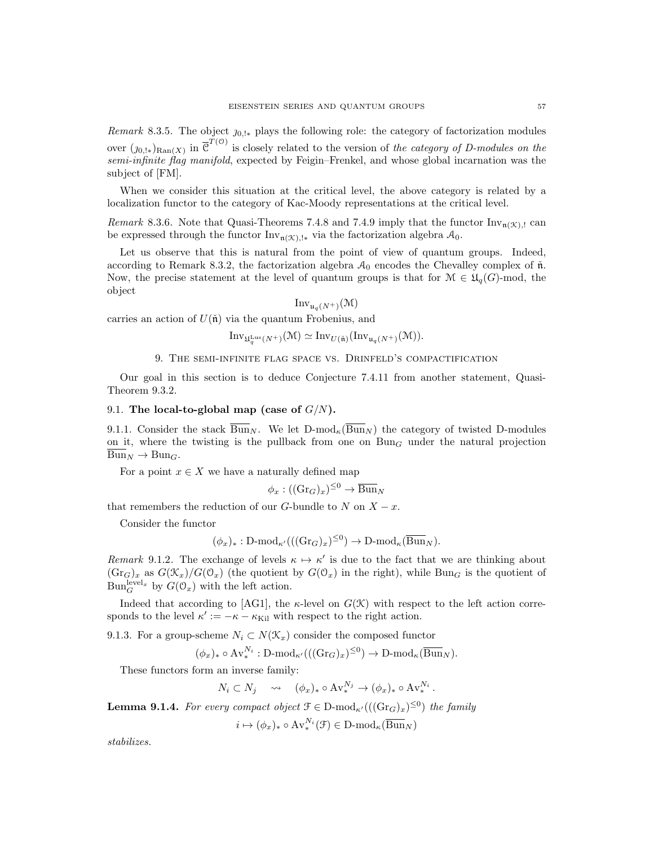Remark 8.3.5. The object  $j_{0,!*}$  plays the following role: the category of factorization modules over  $(j_{0,!*})_{\text{Ran}(X)}$  in  $\overline{\mathfrak{C}}^{T(\mathfrak{O})}$  is closely related to the version of the category of D-modules on the semi-infinite flag manifold, expected by Feigin–Frenkel, and whose global incarnation was the subject of [FM].

When we consider this situation at the critical level, the above category is related by a localization functor to the category of Kac-Moody representations at the critical level.

Remark 8.3.6. Note that Quasi-Theorems 7.4.8 and 7.4.9 imply that the functor  $\text{Inv}_{\mathfrak{n}(\mathcal{K})}$  can be expressed through the functor  $Inv_{n(\mathcal{K}),!*}$  via the factorization algebra  $\mathcal{A}_0$ .

Let us observe that this is natural from the point of view of quantum groups. Indeed, according to Remark 8.3.2, the factorization algebra  $A_0$  encodes the Chevalley complex of  $\tilde{\mathfrak{n}}$ . Now, the precise statement at the level of quantum groups is that for  $\mathcal{M} \in \mathfrak{U}_q(G)$ -mod, the object

$$
{\rm Inv}_{{\frak u}_q(N^+)}(\mathfrak{M})
$$

carries an action of  $U(\tilde{\mathfrak{n}})$  via the quantum Frobenius, and

$$
\mathrm{Inv}_{\mathfrak{U}^{\mathrm{Lus}}_q(N^+)}(\mathfrak{M}) \simeq \mathrm{Inv}_{U(\check{\mathfrak{n}})}(\mathrm{Inv}_{\mathfrak{u}_q(N^+)}(\mathfrak{M})).
$$

# 9. The semi-infinite flag space vs. Drinfeld's compactification

Our goal in this section is to deduce Conjecture 7.4.11 from another statement, Quasi-Theorem 9.3.2.

### 9.1. The local-to-global map (case of  $G/N$ ).

9.1.1. Consider the stack  $\overline{Bun}_N$ . We let  $D\text{-mod}_k(\overline{Bun}_N)$  the category of twisted D-modules on it, where the twisting is the pullback from one on  $Bun<sub>G</sub>$  under the natural projection  $\overline{\text{Bun}}_N \to \text{Bun}_G.$ 

For a point  $x \in X$  we have a naturally defined map

$$
\phi_x : ((\text{Gr}_G)_x)^{\leq 0} \to \overline{\text{Bun}}_N
$$

that remembers the reduction of our  $G$ -bundle to  $N$  on  $X - x$ .

Consider the functor

$$
(\phi_x)_*: \text{D-mod}_{\kappa'}(((\text{Gr}_G)_x)^{\leq 0}) \to \text{D-mod}_{\kappa}(\overline{\text{Bun}}_N).
$$

Remark 9.1.2. The exchange of levels  $\kappa \mapsto \kappa'$  is due to the fact that we are thinking about  $(\text{Gr}_G)_x$  as  $G(\mathcal{K}_x)/G(\mathcal{O}_x)$  (the quotient by  $G(\mathcal{O}_x)$  in the right), while Bun<sub>G</sub> is the quotient of  $\text{Bun}_{G}^{\text{level}_x}$  by  $G(\mathcal{O}_x)$  with the left action.

Indeed that according to [AG1], the  $\kappa$ -level on  $G(\mathcal{K})$  with respect to the left action corresponds to the level  $\kappa' := -\kappa - \kappa_{\text{Kil}}$  with respect to the right action.

9.1.3. For a group-scheme  $N_i \subset N(\mathcal{K}_x)$  consider the composed functor

$$
(\phi_x)_* \circ \mathrm{Av}^{N_i}_*: \mathrm{D\text{-}mod}_{\kappa'}(((\mathrm{Gr}_G)_x)^{\leq 0}) \to \mathrm{D\text{-}mod}_{\kappa}(\overline{\mathrm{Bun}}_N).
$$

These functors form an inverse family:

 $N_i \subset N_j \quad \leadsto \quad (\phi_x)_* \circ \mathrm{Av}_*^{N_j} \to (\phi_x)_* \circ \mathrm{Av}_*^{N_i}.$ 

**Lemma 9.1.4.** For every compact object  $\mathcal{F} \in \mathcal{D}\text{-mod}_{\kappa'}(((\text{Gr}_G)_x)^{\leq 0})$  the family

 $i \mapsto (\phi_x)_* \circ \operatorname{Av}_*^{N_i}(\mathcal{F}) \in \mathcal{D}\text{-mod}_{\kappa}(\overline{\operatorname{Bun}}_N)$ 

stabilizes.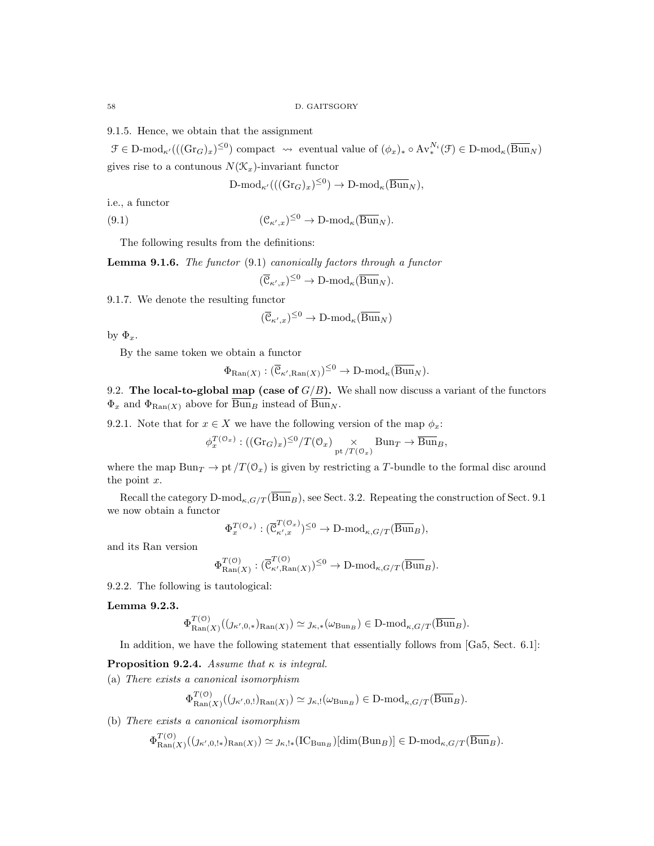9.1.5. Hence, we obtain that the assignment

 $\mathcal{F} \in \mathcal{D}\text{-mod}_{\kappa'}(((\text{Gr}_G)_x)^{\leq 0})$  compact  $\leadsto$  eventual value of  $(\phi_x)_* \circ \text{Av}_*^{N_i}(\mathcal{F}) \in \mathcal{D}\text{-mod}_{\kappa}(\overline{\text{Bun}}_N)$ gives rise to a contunous  $N(\mathcal{K}_x)$ -invariant functor

$$
\text{D-mod}_{\kappa'}(((\text{Gr}_G)_x)^{\leq 0}) \to \text{D-mod}_{\kappa}(\overline{\text{Bun}}_N),
$$

i.e., a functor

 $(9.1)$  $(x, x) \leq 0 \rightarrow D\text{-mod}_{\kappa}(\overline{\text{Bun}}_N).$ 

The following results from the definitions:

**Lemma 9.1.6.** The functor (9.1) canonically factors through a functor  $(\overline{\mathcal{C}}_{\kappa',x})^{\leq 0} \to \mathrm{D\text{-}mod}_{\kappa}(\overline{\mathrm{Bun}}_N).$ 

9.1.7. We denote the resulting functor

$$
(\overline{\mathcal{C}}_{\kappa',x})^{\leq 0} \to \text{D-mod}_{\kappa}(\overline{\text{Bun}}_N)
$$

by  $\Phi_x$ .

By the same token we obtain a functor

$$
\Phi_{\mathrm{Ran}(X)} : (\overline{\mathcal{C}}_{\kappa', \mathrm{Ran}(X)})^{\leq 0} \to \mathrm{D}\text{-mod}_{\kappa}(\overline{\mathrm{Bun}}_N).
$$

9.2. The local-to-global map (case of  $G/B$ ). We shall now discuss a variant of the functors  $\Phi_x$  and  $\Phi_{\text{Ran}(X)}$  above for  $\overline{\text{Bun}}_B$  instead of  $\overline{\text{Bun}}_N$ .

9.2.1. Note that for  $x \in X$  we have the following version of the map  $\phi_x$ :

$$
\phi_x^{T(\mathcal{O}_x)} : ((\mathrm{Gr}_G)_x)^{\leq 0} / T(\mathcal{O}_x) \underset{\mathrm{pt}}{\times} \mathrm{Bun}_T \to \overline{\mathrm{Bun}}_B,
$$

where the map  $Bun_{T} \to pt/T(\mathcal{O}_x)$  is given by restricting a T-bundle to the formal disc around the point  $x$ .

Recall the category  $D\text{-mod}_{\kappa,G/T}(\overline{Bun}_B)$ , see Sect. 3.2. Repeating the construction of Sect. 9.1 we now obtain a functor

$$
\Phi_x^{T(\mathcal{O}_x)} : (\overline{\mathcal{C}}_{\kappa',x}^{T(\mathcal{O}_x)})^{\leq 0} \to \text{D-mod}_{\kappa,G/T}(\overline{\operatorname{Bun}}_B),
$$

and its Ran version

$$
\Phi_{\mathrm{Ran}(X)}^{T(\mathcal{O})} : (\overline{\mathcal{C}}_{\kappa',\mathrm{Ran}(X)}^{T(\mathcal{O})})^{\leq 0} \to \mathrm{D}\text{-mod}_{\kappa,G/T}(\overline{\mathrm{Bun}}_B).
$$

9.2.2. The following is tautological:

Lemma 9.2.3.

$$
\Phi_{\mathrm{Ran}(X)}^{T(\mathcal{O})}((\jmath_{\kappa',0,*})_{\mathrm{Ran}(X)}) \simeq \jmath_{\kappa,*}(\omega_{\mathrm{Bun}_B}) \in \mathrm{D\text{-}mod}_{\kappa,G/T}(\overline{\mathrm{Bun}}_B).
$$

In addition, we have the following statement that essentially follows from [Ga5, Sect. 6.1]:

**Proposition 9.2.4.** Assume that  $\kappa$  is integral.

(a) There exists a canonical isomorphism

$$
\Phi_{\mathrm{Ran}(X)}^{T(\mathcal{O})}((\jmath_{\kappa',0,!})_{\mathrm{Ran}(X)}) \simeq \jmath_{\kappa,!}(\omega_{\mathrm{Bun}_B}) \in \mathrm{D\text{-}mod}_{\kappa, G/T}(\overline{\mathrm{Bun}}_B).
$$

(b) There exists a canonical isomorphism

$$
\Phi_{\text{Ran}(X)}^{T(\mathcal{O})}((\jmath_{\kappa',0,!*})_{\text{Ran}(X)}) \simeq \jmath_{\kappa,*}(\text{IC}_{\text{Bun}_B})[\text{dim}(\text{Bun}_B)] \in \text{D-mod}_{\kappa,G/T}(\overline{\text{Bun}}_B).
$$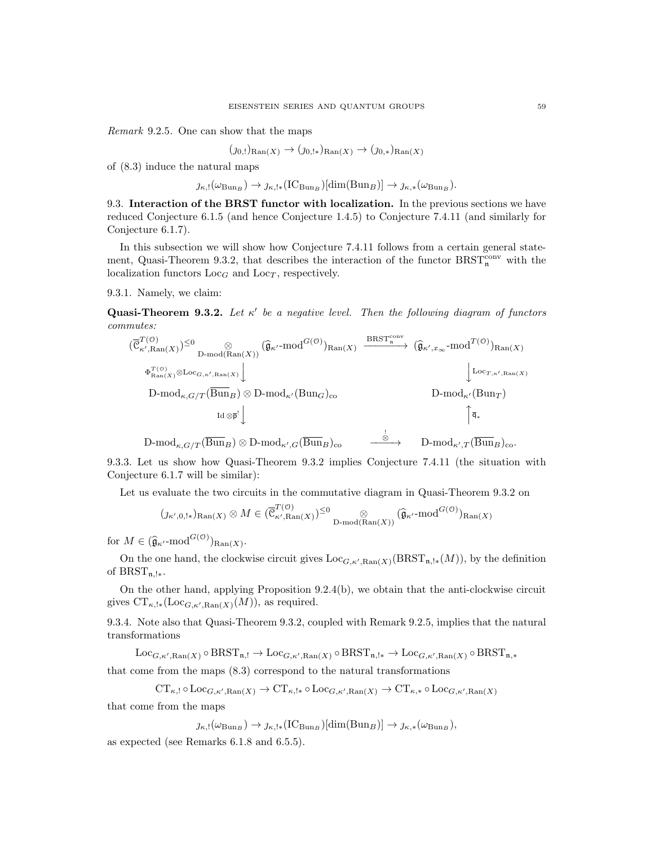Remark 9.2.5. One can show that the maps

$$
(j_{0,!})_{\text{Ran}(X)} \to (j_{0,!*})_{\text{Ran}(X)} \to (j_{0,*})_{\text{Ran}(X)}
$$

of (8.3) induce the natural maps

$$
\jmath_{\kappa,!}(\omega_{\mathrm{Bun}_B}) \to \jmath_{\kappa,!*}(\mathrm{IC}_{\mathrm{Bun}_B})[\dim(\mathrm{Bun}_B)] \to \jmath_{\kappa,*}(\omega_{\mathrm{Bun}_B}).
$$

9.3. Interaction of the BRST functor with localization. In the previous sections we have reduced Conjecture 6.1.5 (and hence Conjecture 1.4.5) to Conjecture 7.4.11 (and similarly for Conjecture 6.1.7).

In this subsection we will show how Conjecture 7.4.11 follows from a certain general statement, Quasi-Theorem 9.3.2, that describes the interaction of the functor  $BRST<sub>n</sub><sup>conv</sup>$  with the localization functors  $\text{Loc}_G$  and  $\text{Loc}_T$ , respectively.

9.3.1. Namely, we claim:

**Quasi-Theorem 9.3.2.** Let  $\kappa'$  be a negative level. Then the following diagram of functors commutes:

$$
\begin{array}{ll}\n(\overline{\mathcal{C}}_{\kappa',\mathrm{Ran}(X)}^{T(\mathcal{O})})^{\leq 0} \underset{\mathrm{D-mod}(\mathrm{Ran}(X))}{\otimes} (\widehat{\mathfrak{g}}_{\kappa'\text{-}\mathrm{mod}}^{G(\mathcal{O})})_{\mathrm{Ran}(X)} \xrightarrow{\mathrm{BRST}_{n}^{\mathrm{conv}}} (\widehat{\mathfrak{g}}_{\kappa',x_{\infty}}\text{-mod}^{T(\mathcal{O})})_{\mathrm{Ran}(X)}\\ \n&\Phi_{\mathrm{Ran}(X)}^{\mathcal{T}(\mathcal{O})} \otimes \mathrm{Loc}_{G,\kappa',\mathrm{Ran}(X)} \downarrow \downarrow & \downarrow \mathrm{Loc}_{T,\kappa',\mathrm{Ran}(X)}\\ \text{D-mod}_{\kappa,G/T}(\overline{\mathrm{Bun}}_{B}) \otimes \mathrm{D-mod}_{\kappa'}(\mathrm{Bun}_{G})_{\mathrm{co}} & \mathrm{D-mod}_{\kappa'}(\mathrm{Bun}_{T})\\ \text{Id} \otimes \overline{\mathsf{p}}^{\mathsf{I}} \downarrow & \qquad \qquad \Bigg\uparrow \overline{\mathsf{q}}_{*} & \Bigg\uparrow \overline{\mathsf{q}}_{*}\n\end{array}
$$

 $\mathrm{D\text{-}mod}_{\kappa,G/T}(\overline{\mathrm{Bun}}_B) \otimes \mathrm{D\text{-}mod}_{\kappa',G}(\overline{\mathrm{Bun}}_B)_\mathrm{co} \hspace{1cm} \overset{\frac{1}{\otimes}}{\xrightarrow{\quad \ \ \, \otimes\quad}} \mathrm{D\text{-}mod}_{\kappa',T}(\overline{\mathrm{Bun}}_B)_\mathrm{co}.$ 

9.3.3. Let us show how Quasi-Theorem 9.3.2 implies Conjecture 7.4.11 (the situation with Conjecture 6.1.7 will be similar):

Let us evaluate the two circuits in the commutative diagram in Quasi-Theorem 9.3.2 on

$$
(j_{\kappa',0,!*})_{\mathrm{Ran}(X)} \otimes M \in (\overline{\mathfrak{C}}_{\kappa',\mathrm{Ran}(X)}^{T(\mathfrak{O})})^{\leq 0} \otimes \bigotimes_{\mathrm{D-mod}(\mathrm{Ran}(X))} (\widehat{\mathfrak{g}}_{\kappa'}\text{-mod}^{G(\mathfrak{O})})_{\mathrm{Ran}(X)}
$$

for  $M \in (\widehat{\mathfrak{g}}_{\kappa'}\text{-mod}^{G(\mathfrak{O})})_{\text{Ran}(X)}$ .

On the one hand, the clockwise circuit gives  $Loc_{G,\kappa',\text{Ran}(X)}(BRST_{\mathfrak{n},!*}(M))$ , by the definition of  $BRST_{n,1*}$ .

On the other hand, applying Proposition 9.2.4(b), we obtain that the anti-clockwise circuit gives  $CT_{\kappa, !\ast}(\mathrm{Loc}_{G, \kappa', \mathrm{Ran}(X)}(M))$ , as required.

9.3.4. Note also that Quasi-Theorem 9.3.2, coupled with Remark 9.2.5, implies that the natural transformations

 $\text{Loc}_{G,\kappa',\text{Ran}(X)} \circ \text{BRST}_{\mathfrak{n},!} \to \text{Loc}_{G,\kappa',\text{Ran}(X)} \circ \text{BRST}_{\mathfrak{n},!*} \to \text{Loc}_{G,\kappa',\text{Ran}(X)} \circ \text{BRST}_{\mathfrak{n},*}$ 

that come from the maps (8.3) correspond to the natural transformations

$$
CT_{\kappa, !} \circ Loc_{G, \kappa', Ran(X)} \to CT_{\kappa, !*} \circ Loc_{G, \kappa', Ran(X)} \to CT_{\kappa, *} \circ Loc_{G, \kappa', Ran(X)}
$$

that come from the maps

$$
\jmath_{\kappa,!}(\omega_{\mathrm{Bun}_B}) \to \jmath_{\kappa,!*}(\mathrm{IC}_{\mathrm{Bun}_B})[\dim(\mathrm{Bun}_B)] \to \jmath_{\kappa,*}(\omega_{\mathrm{Bun}_B}),
$$

as expected (see Remarks 6.1.8 and 6.5.5).